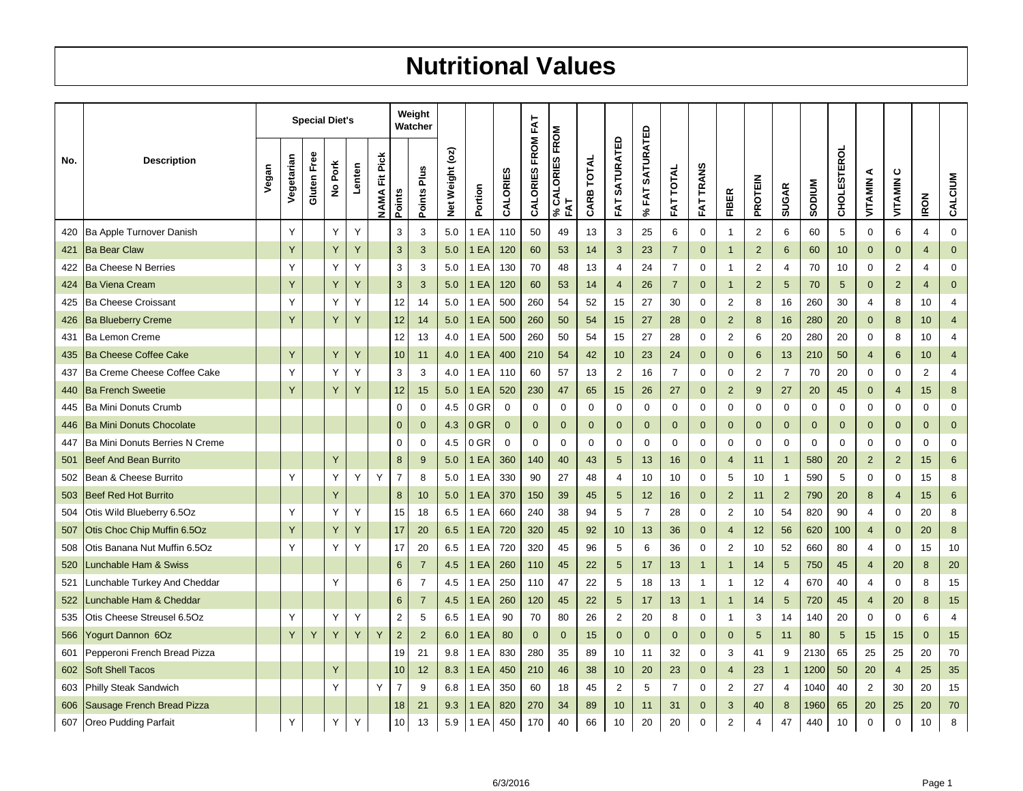## **Nutritional Values**

|     |                                 |       |            |             | <b>Special Diet's</b>                      |        |                   |                  | Weight<br>Watcher |                 |         |             |                   |                                         |            |                      |                                                       |                  |                  |                |                |                |               |                    |                |                |                |                  |
|-----|---------------------------------|-------|------------|-------------|--------------------------------------------|--------|-------------------|------------------|-------------------|-----------------|---------|-------------|-------------------|-----------------------------------------|------------|----------------------|-------------------------------------------------------|------------------|------------------|----------------|----------------|----------------|---------------|--------------------|----------------|----------------|----------------|------------------|
| No. | <b>Description</b>              | Vegan | Vegetarian | Gluten Free | Pork<br>$\overset{\mathtt{o}}{\mathtt{z}}$ | Lenten | Pick<br>置<br>NAMA | Points           | Points Plus       | Net Weight (oz) | Portion | CALORIES    | CALORIES FROM FAT | CALORIES FROM<br>FAT<br>$\mathcal{S}_6$ | CARB TOTAL | <b>FAT SATURATED</b> | <b>SATURATED</b><br>EAT<br>$\mathcal{S}_{\mathbf{0}}$ | <b>FAT TOTAL</b> | <b>FAT TRANS</b> | <b>FIBER</b>   | PROTEIN        | <b>SUGAR</b>   | <b>NUNGOS</b> | <b>CHOLESTEROL</b> | ⋖<br>VITAMIN   | ပ<br>VITAMIN   | <b>IRON</b>    | CALCIUM          |
| 420 | Ba Apple Turnover Danish        |       | Y          |             | Y                                          | Y      |                   | 3                | 3                 | 5.0             | EA      | 110         | 50                | 49                                      | 13         | 3                    | 25                                                    | 6                | $\mathbf 0$      | $\mathbf{1}$   | 2              | 6              | 60            | 5                  | $\mathbf 0$    | 6              | 4              | $\mathbf 0$      |
| 421 | <b>Ba Bear Claw</b>             |       | Y          |             | Y                                          | Y      |                   | $\mathbf{3}$     | $\mathbf{3}$      | 5.0             | 1<br>EA | 120         | 60                | 53                                      | 14         | 3                    | 23                                                    | $\overline{7}$   | $\mathbf{0}$     | $\overline{1}$ | $\overline{2}$ | 6              | 60            | 10                 | $\mathbf{0}$   | $\overline{0}$ | $\overline{4}$ | $\mathbf{0}$     |
| 422 | <b>Ba Cheese N Berries</b>      |       | Y          |             | Y                                          | Y      |                   | $\sqrt{3}$       | 3                 | 5.0             | EA<br>1 | 130         | 70                | 48                                      | 13         | 4                    | 24                                                    | $\overline{7}$   | $\mathbf 0$      | $\mathbf{1}$   | $\overline{2}$ | 4              | 70            | 10                 | $\mathbf 0$    | $\overline{2}$ | 4              | $\mathbf 0$      |
| 424 | <b>Ba Viena Cream</b>           |       | Y          |             | Υ                                          | Y      |                   | $\mathbf{3}$     | $\mathbf{3}$      | 5.0             | EA      | 120         | 60                | 53                                      | 14         | $\overline{4}$       | 26                                                    | $\overline{7}$   | $\mathbf 0$      | $\overline{1}$ | $\overline{2}$ | 5              | 70            | 5                  | $\mathbf 0$    | $\overline{2}$ | $\overline{4}$ | $\mathbf 0$      |
| 425 | <b>Ba Cheese Croissant</b>      |       | Y          |             | Y                                          | Y      |                   | 12               | 14                | 5.0             | 1 EA    | 500         | 260               | 54                                      | 52         | 15                   | 27                                                    | 30               | 0                | $\overline{2}$ | 8              | 16             | 260           | 30                 | 4              | 8              | 10             | 4                |
| 426 | <b>Ba Blueberry Creme</b>       |       | Y          |             | Y                                          | Y      |                   | 12               | 14                | 5.0             | 1 EA    | 500         | 260               | 50                                      | 54         | 15                   | 27                                                    | 28               | $\mathbf{0}$     | $\overline{2}$ | 8              | 16             | 280           | 20                 | $\overline{0}$ | 8              | 10             | $\overline{4}$   |
| 431 | <b>Ba Lemon Creme</b>           |       |            |             |                                            |        |                   | 12               | 13                | 4.0             | 1 EA    | 500         | 260               | 50                                      | 54         | 15                   | 27                                                    | 28               | $\mathbf 0$      | $\sqrt{2}$     | 6              | 20             | 280           | 20                 | 0              | 8              | 10             | 4                |
| 435 | <b>Ba Cheese Coffee Cake</b>    |       | Y          |             | Y                                          | Y      |                   | 10               | 11                | 4.0             | EA<br>1 | 400         | 210               | 54                                      | 42         | 10                   | 23                                                    | 24               | $\mathbf{0}$     | $\mathbf 0$    | 6              | 13             | 210           | 50                 | 4              | 6              | 10             | 4                |
| 437 | Ba Creme Cheese Coffee Cake     |       | Y          |             | Y                                          | Y      |                   | 3                | 3                 | 4.0             | EA      | 110         | 60                | 57                                      | 13         | 2                    | 16                                                    | $\overline{7}$   | $\mathbf 0$      | $\mathbf 0$    | 2              | $\overline{7}$ | 70            | 20                 | 0              | $\mathbf 0$    | $\overline{c}$ | $\overline{4}$   |
| 440 | <b>Ba French Sweetie</b>        |       | Y          |             | Υ                                          | Y      |                   | 12               | 15                | 5.0             | EA      | 520         | 230               | 47                                      | 65         | 15                   | 26                                                    | 27               | $\mathbf{0}$     | $\overline{2}$ | 9              | 27             | 20            | 45                 | $\mathbf{0}$   | $\overline{4}$ | 15             | 8                |
| 445 | Ba Mini Donuts Crumb            |       |            |             |                                            |        |                   | $\mathbf 0$      | $\mathbf 0$       | 4.5             | 0 GR    | 0           | $\mathbf 0$       | 0                                       | 0          | 0                    | 0                                                     | 0                | 0                | $\mathbf 0$    | 0              | 0              | $\mathbf 0$   | 0                  | 0              | $\mathbf 0$    | 0              | $\mathbf 0$      |
| 446 | <b>Ba Mini Donuts Chocolate</b> |       |            |             |                                            |        |                   | $\mathbf 0$      | $\mathbf{0}$      | 4.3             | $0$ GR  | $\mathbf 0$ | $\mathbf{0}$      | $\mathbf 0$                             | 0          | $\mathbf 0$          | $\mathbf 0$                                           | $\mathbf 0$      | $\mathbf{0}$     | $\mathbf 0$    | $\mathbf 0$    | $\mathbf{0}$   | $\mathbf{0}$  | 0                  | $\mathbf{0}$   | $\mathbf 0$    | $\mathbf{0}$   | $\mathbf 0$      |
| 447 | Ba Mini Donuts Berries N Creme  |       |            |             |                                            |        |                   | $\mathbf 0$      | 0                 | 4.5             | $0$ GR  | 0           | 0                 | 0                                       | 0          | 0                    | 0                                                     | 0                | 0                | 0              | 0              | 0              | 0             | 0                  | 0              | 0              | 0              | $\boldsymbol{0}$ |
| 501 | <b>Beef And Bean Burrito</b>    |       |            |             | Y                                          |        |                   | $\boldsymbol{8}$ | 9                 | 5.0             | 1 EA    | 360         | 140               | 40                                      | 43         | 5                    | 13                                                    | 16               | $\mathbf{0}$     | $\overline{4}$ | 11             | $\mathbf{1}$   | 580           | 20                 | $\overline{2}$ | $\overline{2}$ | 15             | $\,6$            |
| 502 | Bean & Cheese Burrito           |       | Υ          |             | Y                                          | Y      | Y                 | $\overline{7}$   | 8                 | 5.0             | 1 EA    | 330         | 90                | 27                                      | 48         | 4                    | 10                                                    | 10               | 0                | 5              | 10             | $\mathbf{1}$   | 590           | 5                  | 0              | $\mathbf 0$    | 15             | 8                |
| 503 | <b>Beef Red Hot Burrito</b>     |       |            |             | Y                                          |        |                   | 8                | 10                | 5.0             | EA<br>1 | 370         | 150               | 39                                      | 45         | 5                    | 12                                                    | 16               | $\mathbf{0}$     | $\overline{2}$ | 11             | $\overline{2}$ | 790           | 20                 | 8              | $\overline{4}$ | 15             | 6                |
| 504 | Otis Wild Blueberry 6.5Oz       |       | Υ          |             | Υ                                          | Υ      |                   | 15               | 18                | 6.5             | 1 EA    | 660         | 240               | 38                                      | 94         | 5                    | $\overline{7}$                                        | 28               | 0                | $\overline{c}$ | 10             | 54             | 820           | 90                 | 4              | $\mathbf 0$    | 20             | 8                |
| 507 | Otis Choc Chip Muffin 6.5Oz     |       | Y          |             | Y                                          | Y      |                   | 17               | 20                | 6.5             | 1<br>EA | 720         | 320               | 45                                      | 92         | 10                   | 13                                                    | 36               | $\mathbf 0$      | $\overline{4}$ | 12             | 56             | 620           | 100                | $\overline{4}$ | $\mathbf 0$    | 20             | $\boldsymbol{8}$ |
| 508 | Otis Banana Nut Muffin 6.5Oz    |       | Y          |             | Y                                          | Y      |                   | 17               | 20                | 6.5             | 1 EA    | 720         | 320               | 45                                      | 96         | 5                    | 6                                                     | 36               | $\boldsymbol{0}$ | $\sqrt{2}$     | 10             | 52             | 660           | 80                 | $\overline{4}$ | $\mathbf 0$    | 15             | 10               |
| 520 | unchable Ham & Swiss_           |       |            |             |                                            |        |                   | 6                | $\overline{7}$    | 4.5             | 1 EA    | 260         | 110               | 45                                      | 22         | 5                    | 17                                                    | 13               | $\mathbf{1}$     | $\overline{1}$ | 14             | 5              | 750           | 45                 | $\overline{4}$ | 20             | 8              | 20               |
| 521 | unchable Turkey And Cheddar.    |       |            |             | Y                                          |        |                   | 6                | $\overline{7}$    | 4.5             | 1 EA    | 250         | 110               | 47                                      | 22         | 5                    | 18                                                    | 13               | $\mathbf{1}$     | $\mathbf{1}$   | 12             | 4              | 670           | 40                 | 4              | 0              | 8              | 15               |
| 522 | unchable Ham & Cheddar          |       |            |             |                                            |        |                   | 6                | $\overline{7}$    | 4.5             | 1 EA    | 260         | 120               | 45                                      | 22         | 5                    | 17                                                    | 13               | $\mathbf{1}$     | $\overline{1}$ | 14             | 5              | 720           | 45                 | $\overline{4}$ | 20             | 8              | 15               |
| 535 | Otis Cheese Streusel 6.5Oz      |       | Y          |             | Υ                                          | Y      |                   | 2                | 5                 | 6.5             | EA<br>1 | 90          | 70                | 80                                      | 26         | $\overline{2}$       | 20                                                    | 8                | 0                | $\mathbf{1}$   | 3              | 14             | 140           | 20                 | 0              | $\mathbf 0$    | 6              | 4                |
| 566 | ogurt Dannon 6Oz                |       | Y          | Y           | Y                                          | Y      | Y                 | $\overline{2}$   | 2                 | 6.0             | EA      | 80          | $\mathbf 0$       | $\mathbf 0$                             | 15         | $\mathbf{0}$         | $\mathbf{0}$                                          | $\mathbf{0}$     | $\mathbf{0}$     | $\mathbf 0$    | 5              | 11             | 80            | 5                  | 15             | 15             | $\mathbf 0$    | 15               |
| 601 | Pepperoni French Bread Pizza    |       |            |             |                                            |        |                   | 19               | 21                | 9.8             | 1 EA    | 830         | 280               | 35                                      | 89         | 10                   | 11                                                    | 32               | 0                | 3              | 41             | 9              | 2130          | 65                 | 25             | 25             | 20             | 70               |
| 602 | <b>Soft Shell Tacos</b>         |       |            |             | Y                                          |        |                   | 10               | 12                | 8.3             | 1<br>EA | 450         | 210               | 46                                      | 38         | 10                   | 20                                                    | 23               | $\mathbf 0$      | $\overline{4}$ | 23             | $\mathbf{1}$   | 1200          | 50                 | 20             | $\overline{4}$ | 25             | 35               |
| 603 | Philly Steak Sandwich           |       |            |             | Y                                          |        | Y                 | $\overline{7}$   | 9                 | 6.8             | 1 EA    | 350         | 60                | 18                                      | 45         | $\overline{c}$       | 5                                                     | $\overline{7}$   | 0                | $\sqrt{2}$     | 27             | 4              | 1040          | 40                 | $\overline{2}$ | 30             | 20             | 15               |
| 606 | Sausage French Bread Pizza      |       |            |             |                                            |        |                   | 18               | 21                | 9.3             | EA<br>1 | 820         | 270               | 34                                      | 89         | 10                   | 11                                                    | 31               | $\mathbf 0$      | 3              | 40             | 8              | 1960          | 65                 | 20             | 25             | 20             | 70               |
| 607 | <b>Oreo Pudding Parfait</b>     |       | Υ          |             | Y                                          | Y      |                   | 10               | 13                | 5.9             | 1 EA    | 450         | 170               | 40                                      | 66         | 10                   | 20                                                    | 20               | $\mathbf 0$      | 2              | 4              | 47             | 440           | 10                 | $\mathbf 0$    | $\mathbf 0$    | 10             | 8                |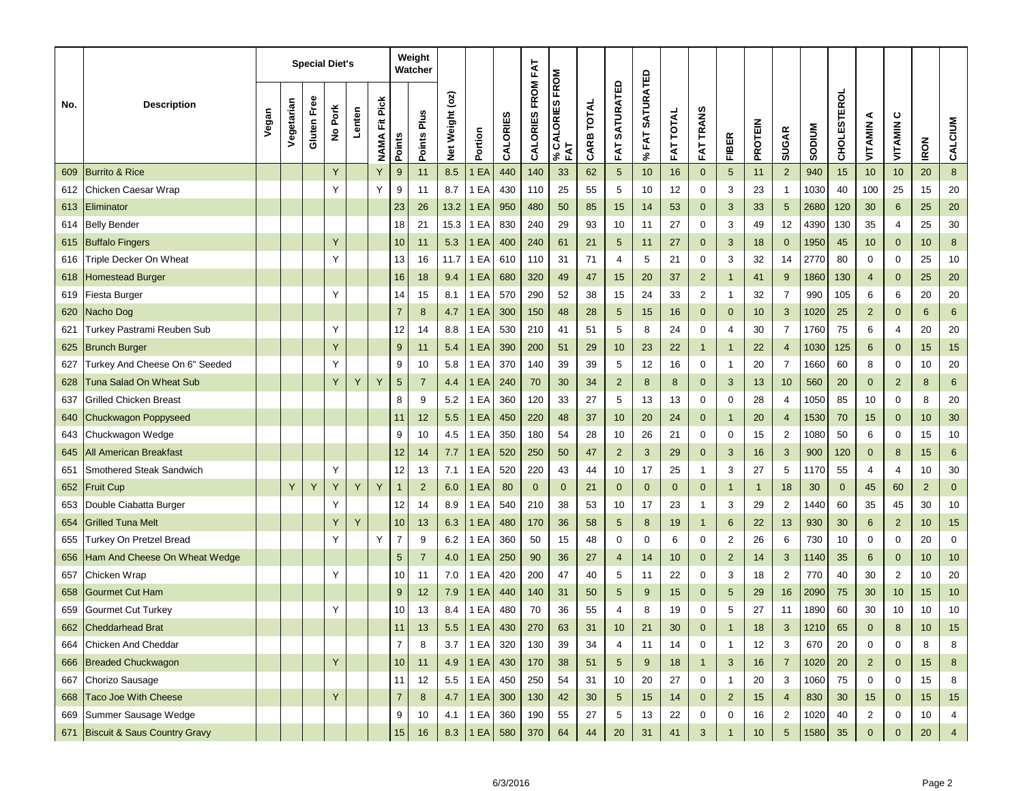|     |                                  |       |            |             | <b>Special Diet's</b> |        |                         |                | Weight<br>Watcher |                 |             |          |                   |                        |            |                  |                                 |                     |                  |                         |                |                |               |                    |                |                |                |                  |
|-----|----------------------------------|-------|------------|-------------|-----------------------|--------|-------------------------|----------------|-------------------|-----------------|-------------|----------|-------------------|------------------------|------------|------------------|---------------------------------|---------------------|------------------|-------------------------|----------------|----------------|---------------|--------------------|----------------|----------------|----------------|------------------|
| No. | <b>Description</b>               | Vegan | Vegetarian | Gluten Free | No Pork               | Lenten | Fit Pick<br><b>NAMA</b> | Points         | Points Plus       | Net Weight (oz) | Portion     | CALORIES | CALORIES FROM FAT | % CALORIES FROM<br>FAT | CARB TOTAL | SATURATED<br>FAT | <b>SATURATED</b><br><b>%FAT</b> | <b>TOTAL</b><br>FAT | <b>FAT TRANS</b> | <b>FIBER</b>            | <b>PROTEIN</b> | <b>SUGAR</b>   | <b>MUNQOS</b> | <b>CHOLESTEROL</b> | ⋖<br>VITAMIN   | ပ<br>VITAMIN   | <b>IRON</b>    | CALCIUM          |
| 609 | <b>Burrito &amp; Rice</b>        |       |            |             | Y                     |        | Y                       | 9              | 11                | 8.5             | EA          | 440      | 140               | 33                     | 62         | 5                | 10                              | 16                  | $\mathbf{0}$     | $\sqrt{5}$              | 11             | $\overline{2}$ | 940           | 15                 | 10             | 10             | 20             | $\bf 8$          |
| 612 | Chicken Caesar Wrap              |       |            |             |                       |        | Y                       | 9              | 11                | 8.7             | 1 EA        | 430      | 110               | 25                     | 55         | 5                | 10                              | 12                  | 0                | 3                       | 23             | $\mathbf{1}$   | 1030          | 40                 | 100            | 25             | 15             | 20               |
| 613 | Eliminator                       |       |            |             |                       |        |                         | 23             | 26                | 13.2            | 1 EA        | 950      | 480               | 50                     | 85         | 15               | 14                              | 53                  | $\mathbf{0}$     | 3                       | 33             | 5              | 2680          | 120                | 30             | 6              | 25             | 20               |
| 614 | Belly Bender                     |       |            |             |                       |        |                         | 18             | 21                | 15.3            | 1 EA        | 830      | 240               | 29                     | 93         | 10               | 11                              | 27                  | 0                | 3                       | 49             | 12             | 4390          | 130                | 35             | 4              | 25             | 30               |
| 615 | <b>Buffalo Fingers</b>           |       |            |             | Y                     |        |                         | 10             | 11                | 5.3             | 1 EA        | 400      | 240               | 61                     | 21         | 5                | 11                              | 27                  | $\mathbf 0$      | 3                       | 18             | $\mathbf{0}$   | 1950          | 45                 | 10             | $\mathbf 0$    | 10             | $\boldsymbol{8}$ |
| 616 | Triple Decker On Wheat           |       |            |             | Υ                     |        |                         | 13             | 16                | 11.7            | 1 EA        | 610      | 110               | 31                     | 71         | 4                | 5                               | 21                  | 0                | 3                       | 32             | 14             | 2770          | 80                 | 0              | 0              | 25             | 10               |
| 618 | <b>Homestead Burger</b>          |       |            |             |                       |        |                         | 16             | 18                | 9.4             | 1 EA        | 680      | 320               | 49                     | 47         | 15               | 20                              | 37                  | $\overline{2}$   | $\mathbf{1}$            | 41             | 9              | 1860          | 130                | 4              | $\mathbf 0$    | 25             | 20               |
| 619 | Fiesta Burger                    |       |            |             | Υ                     |        |                         | 14             | 15                | 8.1             | 1 EA        | 570      | 290               | 52                     | 38         | 15               | 24                              | 33                  | 2                | 1                       | 32             | 7              | 990           | 105                | 6              | 6              | 20             | 20               |
| 620 | <b>Nacho Dog</b>                 |       |            |             |                       |        |                         | $\overline{7}$ | 8                 | 4.7             | EA          | 300      | 150               | 48                     | 28         | 5                | 15                              | 16                  | $\mathbf{0}$     | $\pmb{0}$               | 10             | 3              | 1020          | 25                 | $\overline{c}$ | $\mathbf 0$    | 6              | $\,6$            |
| 621 | Turkey Pastrami Reuben Sub       |       |            |             | Υ                     |        |                         | 12             | 14                | 8.8             | 1 EA        | 530      | 210               | 41                     | 51         | 5                | 8                               | 24                  | 0                | 4                       | 30             | $\overline{7}$ | 1760          | 75                 | 6              | 4              | 20             | 20               |
| 625 | <b>Brunch Burger</b>             |       |            |             | Y                     |        |                         | 9              | 11                | 5.4             | 1 EA        | 390      | 200               | 51                     | 29         | 10               | 23                              | 22                  | $\overline{1}$   | $\mathbf{1}$            | 22             | $\overline{4}$ | 1030          | 125                | 6              | $\mathbf 0$    | 15             | 15               |
| 627 | Turkey And Cheese On 6" Seeded   |       |            |             | Υ                     |        |                         | 9              | 10                | 5.8             | 1 EA        | 370      | 140               | 39                     | 39         | 5                | 12                              | 16                  | 0                | 1                       | 20             | $\overline{7}$ | 1660          | 60                 | 8              | 0              | 10             | 20               |
| 628 | Tuna Salad On Wheat Sub          |       |            |             | Y                     | Υ      | Y                       | $\sqrt{5}$     | $\overline{7}$    | 4.4             | EA          | 240      | 70                | 30                     | 34         | $\overline{2}$   | 8                               | 8                   | $\mathbf{0}$     | 3                       | 13             | 10             | 560           | 20                 | $\mathbf 0$    | $\overline{2}$ | 8              | $6\phantom{1}6$  |
| 637 | Grilled Chicken Breast           |       |            |             |                       |        |                         | 8              | 9                 | 5.2             | EA          | 360      | 120               | 33                     | 27         | 5                | 13                              | 13                  | 0                | 0                       | 28             | 4              | 1050          | 85                 | 10             | 0              | 8              | 20               |
| 640 | <b>Chuckwagon Poppyseed</b>      |       |            |             |                       |        |                         | 11             | 12                | 5.5             | 1 EA        | 450      | 220               | 48                     | 37         | 10               | 20                              | 24                  | $\mathbf 0$      | $\mathbf{1}$            | 20             | $\overline{4}$ | 1530          | 70                 | 15             | $\mathbf 0$    | 10             | 30               |
| 643 | Chuckwagon Wedge                 |       |            |             |                       |        |                         | 9              | 10                | 4.5             | 1 EA        | 350      | 180               | 54                     | 28         | 10               | 26                              | 21                  | 0                | 0                       | 15             | 2              | 1080          | 50                 | 6              | 0              | 15             | 10               |
| 645 | <b>All American Breakfast</b>    |       |            |             |                       |        |                         | 12             | 14                | 7.7             | EA          | 520      | 250               | 50                     | 47         | $\overline{2}$   | 3                               | 29                  | $\mathbf{0}$     | 3                       | 16             | 3              | 900           | 120                | $\mathbf 0$    | 8              | 15             | $\,6$            |
| 651 | Smothered Steak Sandwich         |       |            |             | Υ                     |        |                         | 12             | 13                | 7.1             | 1 EA        | 520      | 220               | 43                     | 44         | 10               | 17                              | 25                  | $\overline{1}$   | 3                       | 27             | 5              | 1170          | 55                 | 4              | 4              | 10             | 30               |
| 652 | Fruit Cup                        |       | Y          | Υ           | Y                     | Y      | Y                       | $\mathbf{1}$   | $\overline{2}$    | 6.0             | 1 EA        | 80       | $\mathbf{0}$      | $\mathbf{0}$           | 21         | $\mathbf 0$      | $\mathbf 0$                     | $\mathbf{0}$        | $\mathbf{0}$     | $\mathbf{1}$            | -1             | 18             | 30            | $\mathbf 0$        | 45             | 60             | $\overline{2}$ | $\mathbf{0}$     |
| 653 | Double Ciabatta Burger           |       |            |             | Υ                     |        |                         | 12             | 14                | 8.9             | EA          | 540      | 210               | 38                     | 53         | 10               | 17                              | 23                  | $\overline{1}$   | 3                       | 29             | $\overline{2}$ | 1440          | 60                 | 35             | 45             | 30             | 10               |
| 654 | Grilled Tuna Melt                |       |            |             | Υ                     | Y      |                         | 10             | 13                | 6.3             | 1 EA        | 480      | 170               | 36                     | 58         | 5                | 8                               | 19                  | $\mathbf{1}$     | $6\phantom{1}$          | 22             | 13             | 930           | 30                 | 6              | $\overline{2}$ | 10             | 15               |
| 655 | Turkey On Pretzel Bread          |       |            |             | Υ                     |        | Υ                       | $\overline{7}$ | 9                 | 6.2             | EA          | 360      | 50                | 15                     | 48         | 0                | 0                               | 6                   | 0                | $\overline{\mathbf{c}}$ | 26             | 6              | 730           | 10                 | 0              | 0              | 20             | $\mathbf 0$      |
| 656 | Ham And Cheese On Wheat Wedge    |       |            |             |                       |        |                         | 5              | $\overline{7}$    | 4.0             | 1 EA        | 250      | 90                | 36                     | 27         | 4                | 14                              | 10                  | $\mathbf{0}$     | $\overline{2}$          | 14             | 3              | 1140          | 35                 | 6              | $\mathbf 0$    | 10             | 10               |
| 657 | Chicken Wrap                     |       |            |             | Υ                     |        |                         | 10             | 11                | 7.0             | EA          | 420      | 200               | 47                     | 40         | 5                | 11                              | 22                  | 0                | 3                       | 18             | 2              | 770           | 40                 | 30             | 2              | 10             | 20               |
| 658 | Gourmet Cut Ham                  |       |            |             |                       |        |                         | 9              | 12                | 7.9             | 1 EA        | 440      | 140               | 31                     | 50         | 5                | 9                               | 15                  | $\mathbf{0}$     | 5                       | 29             | 16             | 2090          | 75                 | 30             | 10             | 15             | 10               |
| 659 | Gourmet Cut Turkey               |       |            |             | Υ                     |        |                         | 10             | 13                | 8.4             | 1 EA        | 480      | 70                | 36                     | 55         | 4                | 8                               | 19                  | 0                | 5                       | 27             | 11             | 1890          | 60                 | 30             | 10             | 10             | 10               |
| 662 | <b>Cheddarhead Brat</b>          |       |            |             |                       |        |                         | 11             | 13                | $5.5\,$         | 1EA         | 430      | 270               | 63                     | 31         | 10               | 21                              | 30                  |                  |                         | 18             | 3              | 1210          | 65                 | $\mathbf 0$    |                | 10             | 15               |
| 664 | Chicken And Cheddar              |       |            |             |                       |        |                         | $\overline{7}$ | 8                 | 3.7             | 1 EA        | 320      | 130               | 39                     | 34         | 4                | 11                              | 14                  | 0                | 1                       | 12             | 3              | 670           | 20                 | 0              | 0              | 8              | 8                |
| 666 | <b>Breaded Chuckwagon</b>        |       |            |             | Υ                     |        |                         | 10             | 11                | 4.9             | 1 EA        | 430      | 170               | 38                     | 51         | $\sqrt{5}$       | 9                               | 18                  | $\mathbf{1}$     | 3                       | 16             | $\overline{7}$ | 1020          | 20                 | $\overline{a}$ | $\mathbf 0$    | 15             | 8                |
| 667 | Chorizo Sausage                  |       |            |             |                       |        |                         | 11             | 12                | 5.5             | 1 EA        | 450      | 250               | 54                     | 31         | 10               | 20                              | 27                  | 0                | 1                       | 20             | 3              | 1060          | 75                 | 0              | $\mathbf 0$    | 15             | 8                |
| 668 | Taco Joe With Cheese             |       |            |             | Y                     |        |                         | $\overline{7}$ | 8                 | 4.7             | <b>1 EA</b> | 300      | 130               | 42                     | 30         | 5                | 15                              | 14                  | $\mathbf{0}$     | $\overline{2}$          | 15             | $\overline{4}$ | 830           | 30                 | 15             | $\mathbf 0$    | 15             | 15               |
| 669 | Summer Sausage Wedge             |       |            |             |                       |        |                         | 9              | 10                | 4.1             | 1 EA        | 360      | 190               | 55                     | 27         | 5                | 13                              | 22                  | 0                | 0                       | 16             | $\overline{2}$ | 1020          | 40                 | $\overline{2}$ | $\mathbf 0$    | 10             | 4                |
|     | 671 Biscuit & Saus Country Gravy |       |            |             |                       |        |                         | $15\,$         | $16\,$            | 8.3             | 1 EA 580    |          | 370               | 64                     | $44\,$     | 20               | 31                              | 41                  | $\mathbf{3}$     | $\overline{1}$          | 10             | 5 <sup>5</sup> | 1580          | 35                 | $\overline{0}$ | $\pmb{0}$      | $20\,$         | $\overline{4}$   |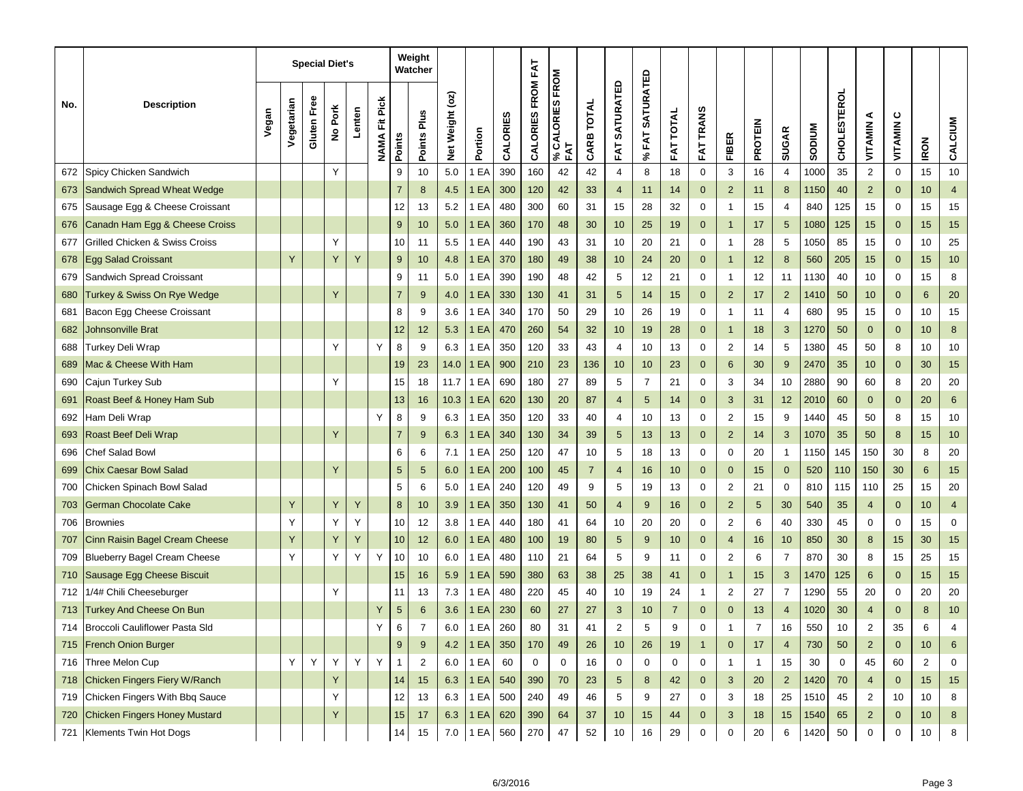|     |                                      |       |            |             | <b>Special Diet's</b> |        |                         |                | Weight<br>Watcher |                       |         |          |                   |                            |                |                |                           |                  |                  |                         |                |                |               |             |                |                  |             |                |
|-----|--------------------------------------|-------|------------|-------------|-----------------------|--------|-------------------------|----------------|-------------------|-----------------------|---------|----------|-------------------|----------------------------|----------------|----------------|---------------------------|------------------|------------------|-------------------------|----------------|----------------|---------------|-------------|----------------|------------------|-------------|----------------|
| No. | <b>Description</b>                   | Vegan | Vegetarian | Gluten Free | No Pork               | Lenten | Fit Pick<br><b>NAMA</b> | Points         | Points Plus       | $($ oz)<br>Net Weight | Portion | CALORIES | CALORIES FROM FAT | CALORIES FROM<br>FAT<br>వి | CARB TOTAL     | FAT SATURATED  | <b>SATURATED</b><br>% FAT | <b>FAT TOTAL</b> | <b>FAT TRANS</b> | <b>FIBER</b>            | <b>PROTEIN</b> | <b>SUGAR</b>   | <b>NUIQOS</b> | CHOLESTEROL | ⋖<br>VITAMIN   | ပ<br>VITAMIN     | <b>IRON</b> | CALCIUM        |
| 672 | Spicy Chicken Sandwich               |       |            |             | Y                     |        |                         | 9              | 10                | 5.0                   | EA      | 390      | 160               | 42                         | 42             | $\overline{4}$ | 8                         | 18               | $\mathbf 0$      | 3                       | 16             | $\overline{4}$ | 1000          | 35          | $\overline{c}$ | $\boldsymbol{0}$ | 15          | 10             |
| 673 | Sandwich Spread Wheat Wedge          |       |            |             |                       |        |                         | $\overline{7}$ | 8                 | 4.5                   | 1 EA    | 300      | 120               | 42                         | 33             | $\overline{4}$ | 11                        | 14               | $\mathbf{0}$     | $\overline{2}$          | 11             | 8              | 1150          | 40          | $\overline{2}$ | $\mathbf 0$      | 10          | $\overline{4}$ |
| 675 | Sausage Egg & Cheese Croissant       |       |            |             |                       |        |                         | 12             | 13                | 5.2                   | EA      | 480      | 300               | 60                         | 31             | 15             | 28                        | 32               | 0                | $\mathbf{1}$            | 15             | 4              | 840           | 125         | 15             | 0                | 15          | 15             |
| 676 | Canadn Ham Egg & Cheese Croiss       |       |            |             |                       |        |                         | $9\,$          | 10                | 5.0                   | 1 EA    | 360      | 170               | 48                         | 30             | 10             | 25                        | 19               | $\mathbf{0}$     | $\overline{1}$          | 17             | 5              | 1080          | 125         | 15             | $\mathbf{0}$     | 15          | 15             |
| 677 | Grilled Chicken & Swiss Croiss       |       |            |             | Υ                     |        |                         | 10             | 11                | 5.5                   | EA      | 440      | 190               | 43                         | 31             | 10             | 20                        | 21               | $\mathbf 0$      | $\mathbf{1}$            | 28             | 5              | 1050          | 85          | 15             | $\mathbf 0$      | 10          | 25             |
| 678 | <b>Egg Salad Croissant</b>           |       | Y          |             | Y                     | Y      |                         | 9              | 10                | 4.8                   | 1 EA    | 370      | 180               | 49                         | 38             | 10             | 24                        | 20               | $\mathbf{0}$     | $\overline{1}$          | 12             | 8              | 560           | 205         | 15             | $\mathbf 0$      | 15          | $10$           |
| 679 | Sandwich Spread Croissant            |       |            |             |                       |        |                         | 9              | 11                | 5.0                   | EA      | 390      | 190               | 48                         | 42             | 5              | 12                        | 21               | 0                | $\mathbf{1}$            | 12             | 11             | 1130          | 40          | 10             | 0                | 15          | 8              |
| 680 | Turkey & Swiss On Rye Wedge          |       |            |             | Y                     |        |                         | $\overline{7}$ | 9                 | 4.0                   | 1 EA    | 330      | 130               | 41                         | 31             | 5              | 14                        | 15               | $\mathbf{0}$     | $\overline{2}$          | 17             | $\overline{2}$ | 1410          | 50          | 10             | $\mathbf 0$      | 6           | 20             |
| 681 | Bacon Egg Cheese Croissant           |       |            |             |                       |        |                         | 8              | 9                 | 3.6                   | EA      | 340      | 170               | 50                         | 29             | 10             | 26                        | 19               | 0                | 1                       | 11             | 4              | 680           | 95          | 15             | 0                | 10          | 15             |
| 682 | Johnsonville Brat                    |       |            |             |                       |        |                         | 12             | 12                | 5.3                   | 1 EA    | 470      | 260               | 54                         | 32             | 10             | 19                        | 28               | $\mathbf{0}$     | $\mathbf{1}$            | 18             | 3              | 1270          | 50          | $\mathbf{0}$   | $\mathbf 0$      | 10          | $\bf 8$        |
| 688 | Turkey Deli Wrap                     |       |            |             | Υ                     |        | Y                       | 8              | 9                 | 6.3                   | 1 EA    | 350      | 120               | 33                         | 43             | $\overline{4}$ | 10                        | 13               | 0                | $\overline{2}$          | 14             | 5              | 1380          | 45          | 50             | 8                | 10          | $10$           |
| 689 | Mac & Cheese With Ham                |       |            |             |                       |        |                         | 19             | 23                | 14.0                  | 1 EA    | 900      | 210               | 23                         | 136            | 10             | 10                        | 23               | $\mathbf{0}$     | 6                       | 30             | 9              | 2470          | 35          | 10             | $\mathbf 0$      | 30          | 15             |
| 690 | Cajun Turkey Sub                     |       |            |             | Υ                     |        |                         | 15             | 18                | 11.7                  | EA      | 690      | 180               | 27                         | 89             | 5              | $\overline{7}$            | 21               | 0                | 3                       | 34             | 10             | 2880          | 90          | 60             | 8                | 20          | 20             |
| 691 | Roast Beef & Honey Ham Sub           |       |            |             |                       |        |                         | 13             | 16                | 10.3                  | 1 EA    | 620      | 130               | 20                         | 87             | $\overline{4}$ | 5                         | 14               | $\mathbf{0}$     | 3                       | 31             | 12             | 2010          | 60          | $\mathbf 0$    | $\mathbf{0}$     | 20          | $6\phantom{1}$ |
| 692 | Ham Deli Wrap                        |       |            |             |                       |        | Y                       | 8              | 9                 | 6.3                   | 1 EA    | 350      | 120               | 33                         | 40             | 4              | 10                        | 13               | 0                | $\overline{\mathbf{c}}$ | 15             | 9              | 1440          | 45          | 50             | 8                | 15          | 10             |
| 693 | Roast Beef Deli Wrap                 |       |            |             | Y                     |        |                         | $\overline{7}$ | 9                 | 6.3                   | 1 EA    | 340      | 130               | 34                         | 39             | 5              | 13                        | 13               | $\mathbf{0}$     | $\overline{2}$          | 14             | 3              | 1070          | 35          | 50             | 8                | 15          | 10             |
| 696 | Chef Salad Bowl                      |       |            |             |                       |        |                         | 6              | 6                 | 7.1                   | 1 EA    | 250      | 120               | 47                         | 10             | 5              | 18                        | 13               | 0                | 0                       | 20             | $\mathbf{1}$   | 1150          | 145         | 150            | 30               | 8           | 20             |
| 699 | <b>Chix Caesar Bowl Salad</b>        |       |            |             | Y                     |        |                         | 5              | 5                 | 6.0                   | 1 EA    | 200      | 100               | 45                         | $\overline{7}$ | $\overline{4}$ | 16                        | 10               | $\mathbf{0}$     | $\mathbf 0$             | 15             | $\mathbf{0}$   | 520           | 110         | 150            | 30               | 6           | 15             |
| 700 | Chicken Spinach Bowl Salad           |       |            |             |                       |        |                         | 5              | 6                 | 5.0                   | 1 EA    | 240      | 120               | 49                         | 9              | 5              | 19                        | 13               | 0                | $\overline{\mathbf{c}}$ | 21             | 0              | 810           | 115         | 110            | 25               | 15          | 20             |
| 703 | German Chocolate Cake                |       | Y          |             | Y                     | Y      |                         | 8              | 10                | 3.9                   | 1 EA    | 350      | 130               | 41                         | 50             | 4              | 9                         | 16               | $\mathbf{0}$     | $\overline{2}$          | 5              | 30             | 540           | 35          | 4              | $\mathbf{0}$     | 10          | $\overline{4}$ |
| 706 | <b>Brownies</b>                      |       | Y          |             | Υ                     | Υ      |                         | 10             | 12                | 3.8                   | 1 EA    | 440      | 180               | 41                         | 64             | 10             | 20                        | 20               | 0                | $\overline{\mathbf{c}}$ | 6              | 40             | 330           | 45          | 0              | 0                | 15          | $\mathbf 0$    |
| 707 | Cinn Raisin Bagel Cream Cheese       |       | Y          |             | Y                     | Y      |                         | 10             | 12                | 6.0                   | 1 EA    | 480      | 100               | 19                         | 80             | 5              | 9                         | 10               | $\mathbf{0}$     | 4                       | 16             | 10             | 850           | 30          | 8              | 15               | 30          | 15             |
| 709 | <b>Blueberry Bagel Cream Cheese</b>  |       | Y          |             | Υ                     | Υ      | Y                       | 10             | 10                | 6.0                   | 1 EA    | 480      | 110               | 21                         | 64             | 5              | 9                         | 11               | 0                | $\overline{\mathbf{c}}$ | 6              | $\overline{7}$ | 870           | 30          | 8              | 15               | 25          | 15             |
| 710 | Sausage Egg Cheese Biscuit           |       |            |             |                       |        |                         | 15             | 16                | 5.9                   | EA      | 590      | 380               | 63                         | 38             | 25             | 38                        | 41               | $\mathbf{0}$     | 1                       | 15             | 3              | 1470          | 125         | 6              | $\mathbf 0$      | 15          | 15             |
| 712 | 1/4# Chili Cheeseburger              |       |            |             |                       |        |                         | 11             | 13                | 7.3                   | 1 EA    | 480      | 220               | 45                         | 40             | 10             | 19                        | 24               | $\mathbf{1}$     | 2                       | 27             | 7              | 1290          | 55          | 20             | 0                | 20          | 20             |
| 713 | <b>Turkey And Cheese On Bun</b>      |       |            |             |                       |        | Y                       | $\sqrt{5}$     | 6                 | 3.6                   | EA      | 230      | 60                | 27                         | 27             | 3              | 10                        | $\overline{7}$   | $\Omega$         | $\mathbf{0}$            | 13             | $\overline{4}$ | 1020          | 30          | $\overline{4}$ | $\mathbf{0}$     | 8           | 10             |
| 714 | Broccoli Cauliflower Pasta SId       |       |            |             |                       |        |                         | ь              | 7                 | 6.0                   | 1 EA    | 260      | 80                | 31                         | 41             | 2              | 5                         | 9                | 0                |                         |                | 16             | 550           | 10          | $\overline{2}$ | 35               | 6           |                |
| 715 | <b>French Onion Burger</b>           |       |            |             |                       |        |                         | $9\,$          | 9                 | 4.2                   | 1 EA    | 350      | 170               | 49                         | 26             | 10             | 26                        | 19               | $\mathbf{1}$     | $\mathbf{0}$            | 17             | 4              | 730           | 50          | $\overline{2}$ | $\mathbf 0$      | 10          | 6              |
|     | 716 Three Melon Cup                  |       | Y          | Y           | Υ                     | Y      | Y                       |                | 2                 | 6.0                   | 1 EA    | 60       | $\mathbf 0$       | 0                          | 16             | $\mathbf 0$    | 0                         | $\mathbf 0$      | 0                | 1                       | $\mathbf{1}$   | 15             | 30            | 0           | 45             | 60               | 2           | 0              |
| 718 | Chicken Fingers Fiery W/Ranch        |       |            |             | Y                     |        |                         | 14             | 15                | 6.3                   | 1 EA    | 540      | 390               | 70                         | 23             | 5              | 8                         | 42               | $\mathbf 0$      | 3                       | 20             | $2^{\circ}$    | 1420          | 70          | $\overline{4}$ | $\mathbf{0}$     | 15          | 15             |
| 719 | Chicken Fingers With Bbq Sauce       |       |            |             | Υ                     |        |                         | 12             | 13                | 6.3                   | 1 EA    | 500      | 240               | 49                         | 46             | 5              | 9                         | 27               | $\mathbf 0$      | 3                       | 18             | 25             | 1510          | 45          | $\overline{2}$ | 10               | 10          | 8              |
| 720 | <b>Chicken Fingers Honey Mustard</b> |       |            |             | Υ                     |        |                         | $15\,$         | 17                | 6.3                   | 1 EA    | 620      | 390               | 64                         | 37             | 10             | 15                        | 44               | $\mathbf 0$      | 3                       | 18             | 15             | 1540          | 65          | $\overline{2}$ | $\mathbf 0$      | 10          | 8              |
|     | 721 Klements Twin Hot Dogs           |       |            |             |                       |        |                         | 14             | 15                | $7.0\,$               | 1 EA    | 560      | 270               | 47                         | 52             | 10             | 16                        | 29               | 0                | 0                       | 20             | 6              | 1420          | 50          | $\mathbf 0$    | $\mathbf 0$      | 10          | 8              |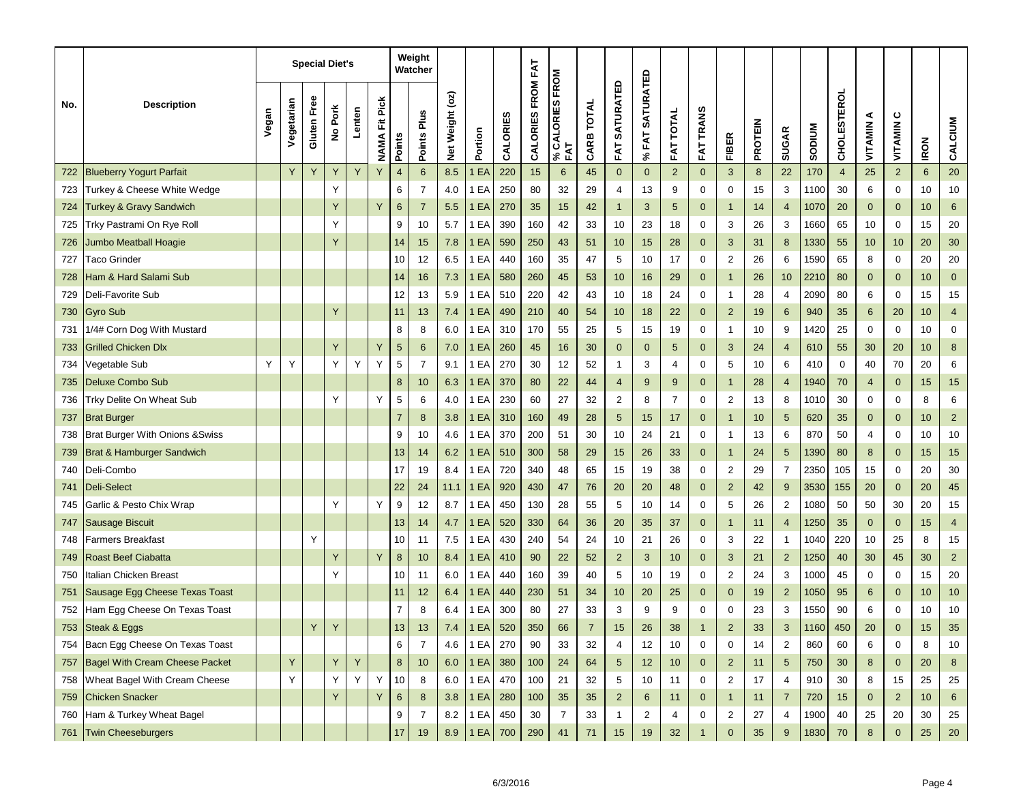|     |                                           |       |            |             | <b>Special Diet's</b> |        |                          |                | Weight<br>Watcher |                 |         |          |                   |                        |            |                          |                                 |                     |                  |                         |                |                |               |                    |              |                |             |                  |
|-----|-------------------------------------------|-------|------------|-------------|-----------------------|--------|--------------------------|----------------|-------------------|-----------------|---------|----------|-------------------|------------------------|------------|--------------------------|---------------------------------|---------------------|------------------|-------------------------|----------------|----------------|---------------|--------------------|--------------|----------------|-------------|------------------|
| No. | <b>Description</b>                        | Vegan | Vegetarian | Gluten Free | No Pork               | Lenten | Fit Pick<br><b>NAMAI</b> | <b>Points</b>  | Points Plus       | Net Weight (oz) | Portion | CALORIES | CALORIES FROM FAT | % CALORIES FROM<br>FAT | CARB TOTAL | <b>SATURATED</b><br>FAT. | <b>SATURATED</b><br><b>%FAT</b> | <b>TOTAL</b><br>FAT | <b>FAT TRANS</b> | <b>FIBER</b>            | <b>PROTEIN</b> | <b>SUGAR</b>   | <b>MUNQOS</b> | <b>CHOLESTEROL</b> | ⋖<br>VITAMIN | ပ<br>VITAMIN   | <b>IRON</b> | CALCIUM          |
| 722 | <b>Blueberry Yogurt Parfait</b>           |       |            | Y           | Y                     | Y      | Y                        | $\overline{4}$ | $6\phantom{1}6$   | 8.5             | EA      | 220      | 15                | 6                      | 45         | $\mathbf{0}$             | $\mathbf{0}$                    | $\overline{2}$      | $\mathbf{0}$     | $\mathbf{3}$            | 8              | 22             | 170           | $\overline{4}$     | 25           | $\overline{2}$ | 6           | 20               |
| 723 | Turkey & Cheese White Wedge               |       |            |             | Υ                     |        |                          | 6              | $\overline{7}$    | 4.0             | 1 EA    | 250      | 80                | 32                     | 29         | $\overline{4}$           | 13                              | 9                   | $\mathbf 0$      | 0                       | 15             | 3              | 1100          | 30                 | 6            | 0              | 10          | 10               |
| 724 | <b>Turkey &amp; Gravy Sandwich</b>        |       |            |             | Y                     |        | Y                        | $\,6$          | $\overline{7}$    | 5.5             | 1 EA    | 270      | 35                | 15                     | 42         | $\mathbf{1}$             | 3                               | 5                   | $\mathbf 0$      | $\overline{1}$          | 14             | 4              | 1070          | 20                 | $\mathbf{0}$ | $\mathbf 0$    | 10          | $\,6$            |
| 725 | Trky Pastrami On Rye Roll                 |       |            |             | Υ                     |        |                          | 9              | 10                | 5.7             | 1 EA    | 390      | 160               | 42                     | 33         | 10                       | 23                              | 18                  | 0                | 3                       | 26             | 3              | 1660          | 65                 | 10           | 0              | 15          | 20               |
| 726 | Jumbo Meatball Hoagie                     |       |            |             | Y                     |        |                          | 14             | 15                | 7.8             | 1 EA    | 590      | 250               | 43                     | 51         | 10                       | 15                              | 28                  | $\mathbf{0}$     | 3                       | 31             | 8              | 1330          | 55                 | 10           | 10             | 20          | 30               |
| 727 | <b>Taco Grinder</b>                       |       |            |             |                       |        |                          | 10             | 12                | 6.5             | 1 EA    | 440      | 160               | 35                     | 47         | 5                        | 10                              | 17                  | $\mathbf 0$      | $\overline{\mathbf{c}}$ | 26             | 6              | 1590          | 65                 | 8            | 0              | 20          | 20               |
| 728 | <b>Ham &amp; Hard Salami Sub</b>          |       |            |             |                       |        |                          | 14             | 16                | 7.3             | 1 EA    | 580      | 260               | 45                     | 53         | 10                       | 16                              | 29                  | $\mathbf{0}$     | $\overline{1}$          | 26             | 10             | 2210          | 80                 | $\mathbf{0}$ | $\mathbf 0$    | 10          | $\pmb{0}$        |
| 729 | Deli-Favorite Sub                         |       |            |             |                       |        |                          | 12             | 13                | 5.9             | 1 EA    | 510      | 220               | 42                     | 43         | 10                       | 18                              | 24                  | $\mathbf 0$      | $\mathbf{1}$            | 28             | 4              | 2090          | 80                 | 6            | 0              | 15          | 15               |
| 730 | <b>Gyro Sub</b>                           |       |            |             | Y                     |        |                          | 11             | 13                | 7.4             | EA      | 490      | 210               | 40                     | 54         | 10                       | 18                              | 22                  | $\mathbf 0$      | $\overline{2}$          | 19             | 6              | 940           | 35                 | 6            | 20             | 10          | $\overline{4}$   |
| 731 | 1/4# Corn Dog With Mustard                |       |            |             |                       |        |                          | 8              | 8                 | 6.0             | 1 EA    | 310      | 170               | 55                     | 25         | 5                        | 15                              | 19                  | 0                | $\mathbf{1}$            | 10             | 9              | 1420          | 25                 | 0            | 0              | 10          | $\mathbf 0$      |
| 733 | <b>Grilled Chicken Dlx</b>                |       |            |             | Y                     |        | Y                        | $\sqrt{5}$     | 6                 | 7.0             | 1 EA    | 260      | 45                | 16                     | 30         | $\mathbf 0$              | $\mathbf{0}$                    | 5                   | $\mathbf{0}$     | 3                       | 24             | 4              | 610           | 55                 | 30           | 20             | 10          | $\boldsymbol{8}$ |
| 734 | /egetable Sub                             | Y     | Υ          |             | Υ                     | Υ      | Y                        | 5              | $\overline{7}$    | 9.1             | 1 EA    | 270      | 30                | 12                     | 52         | $\mathbf{1}$             | 3                               | 4                   | $\mathbf 0$      | 5                       | 10             | 6              | 410           | 0                  | 40           | 70             | 20          | 6                |
| 735 | Deluxe Combo Sub                          |       |            |             |                       |        |                          | $\bf 8$        | 10                | 6.3             | 1 EA    | 370      | 80                | 22                     | 44         | $\overline{4}$           | 9                               | 9                   | $\mathbf 0$      | $\mathbf{1}$            | 28             | 4              | 1940          | 70                 | 4            | $\mathbf 0$    | 15          | 15               |
| 736 | Trky Delite On Wheat Sub                  |       |            |             | Υ                     |        | Y                        | 5              | 6                 | 4.0             | EA      | 230      | 60                | 27                     | 32         | $\overline{2}$           | 8                               | $\overline{7}$      | $\mathbf 0$      | $\overline{\mathbf{c}}$ | 13             | 8              | 1010          | 30                 | 0            | 0              | 8           | 6                |
| 737 | <b>Brat Burger</b>                        |       |            |             |                       |        |                          | $\overline{7}$ | 8                 | 3.8             | 1 EA    | 310      | 160               | 49                     | 28         | 5                        | 15                              | 17                  | $\mathbf 0$      | $\overline{1}$          | 10             | 5              | 620           | 35                 | $\mathbf{0}$ | $\mathbf 0$    | 10          | $\overline{2}$   |
| 738 | <b>Brat Burger With Onions &amp;Swiss</b> |       |            |             |                       |        |                          | 9              | 10                | 4.6             | 1 EA    | 370      | 200               | 51                     | 30         | 10                       | 24                              | 21                  | 0                | $\mathbf 1$             | 13             | 6              | 870           | 50                 | 4            | 0              | 10          | 10               |
| 739 | Brat & Hamburger Sandwich                 |       |            |             |                       |        |                          | 13             | 14                | 6.2             | 1 EA    | 510      | 300               | 58                     | 29         | 15                       | 26                              | 33                  | $\mathbf 0$      | $\overline{1}$          | 24             | 5              | 1390          | 80                 | 8            | $\mathbf 0$    | 15          | 15               |
| 740 | Deli-Combo                                |       |            |             |                       |        |                          | 17             | 19                | 8.4             | 1 EA    | 720      | 340               | 48                     | 65         | 15                       | 19                              | 38                  | 0                | $\overline{\mathbf{c}}$ | 29             | $\overline{7}$ | 2350          | 105                | 15           | 0              | 20          | $30\,$           |
| 741 | Deli-Select                               |       |            |             |                       |        |                          | 22             | 24                | 11.1            | 1 EA    | 920      | 430               | 47                     | 76         | 20                       | 20                              | 48                  | $\mathbf 0$      | $\overline{2}$          | 42             | 9              | 3530          | 155                | 20           | $\mathbf 0$    | 20          | 45               |
| 745 | Garlic & Pesto Chix Wrap                  |       |            |             | Υ                     |        | Y                        | 9              | 12                | 8.7             | 1 EA    | 450      | 130               | 28                     | 55         | $\sqrt{5}$               | 10                              | 14                  | 0                | 5                       | 26             | $\overline{2}$ | 1080          | 50                 | 50           | 30             | 20          | 15               |
| 747 | <b>Sausage Biscuit</b>                    |       |            |             |                       |        |                          | 13             | 14                | 4.7             | 1 EA    | 520      | 330               | 64                     | 36         | 20                       | 35                              | 37                  | $\mathbf{0}$     | $\mathbf{1}$            | 11             | 4              | 1250          | 35                 | $\mathbf 0$  | $\mathbf 0$    | 15          | $\overline{4}$   |
| 748 | Farmers Breakfast                         |       |            | Y           |                       |        |                          | 10             | 11                | 7.5             | 1 EA    | 430      | 240               | 54                     | 24         | 10                       | 21                              | 26                  | 0                | 3                       | 22             | $\mathbf{1}$   | 1040          | 220                | 10           | 25             | 8           | 15               |
| 749 | Roast Beef Ciabatta                       |       |            |             | Y                     |        | Y                        | $\bf 8$        | 10                | 8.4             | 1 EA    | 410      | 90                | 22                     | 52         | $\overline{2}$           | 3                               | 10                  | $\mathbf{0}$     | 3                       | 21             | $\overline{2}$ | 1250          | 40                 | 30           | 45             | 30          | $\overline{2}$   |
| 750 | talian Chicken Breast                     |       |            |             | Υ                     |        |                          | 10             | 11                | 6.0             | 1 EA    | 440      | 160               | 39                     | 40         | 5                        | 10                              | 19                  | 0                | $\overline{\mathbf{c}}$ | 24             | 3              | 1000          | 45                 | 0            | 0              | 15          | 20               |
| 751 | Sausage Egg Cheese Texas Toast            |       |            |             |                       |        |                          | 11             | 12                | 6.4             | 1 EA    | 440      | 230               | 51                     | 34         | 10                       | 20                              | 25                  | $\mathbf{0}$     | $\mathbf{0}$            | 19             | $\overline{2}$ | 1050          | 95                 | 6            | $\mathbf 0$    | 10          | 10               |
|     | 752 Ham Egg Cheese On Texas Toast         |       |            |             |                       |        |                          | 7              | 8                 | 6.4             | 1 EA    | 300      | 80                | 27                     | 33         | 3                        | 9                               | 9                   | $\mathbf 0$      | 0                       | 23             | 3              | 1550          | 90                 | 6            | 0              | 10          | 10               |
|     | 753 Steak & Eggs                          |       |            |             |                       |        |                          | 13             | 13                | $7.4$           | 1EA     | 520      | 350               | 66                     |            | 15                       | 26                              | 38                  |                  | $\overline{2}$          | 33             | 3              | 1160          | 450                | 20           |                | 15          | 35               |
|     | 754 Bacn Egg Cheese On Texas Toast        |       |            |             |                       |        |                          | 6              | $\overline{7}$    | 4.6             | 1 EA    | 270      | 90                | 33                     | 32         | $\overline{4}$           | 12                              | 10                  | $\mathbf 0$      | 0                       | 14             | $\overline{2}$ | 860           | 60                 | 6            | 0              | 8           | 10               |
| 757 | <b>Bagel With Cream Cheese Packet</b>     |       | Y          |             | Y                     | Υ      |                          | 8              | 10 <sup>1</sup>   | 6.0             | 1EA     | 380      | 100               | 24                     | 64         | $\sqrt{5}$               | 12                              | 10                  | $\mathbf 0$      | $\overline{2}$          | 11             | 5              | 750           | 30                 | 8            | $\mathbf 0$    | 20          | 8                |
|     | 758 Wheat Bagel With Cream Cheese         |       | Υ          |             | Y                     | Y      | Y                        | 10             | 8                 | 6.0             | 1 EA    | 470      | 100               | 21                     | 32         | 5                        | 10                              | 11                  | $\mathbf 0$      | 2                       | 17             | 4              | 910           | 30                 | 8            | 15             | 25          | 25               |
| 759 | <b>Chicken Snacker</b>                    |       |            |             | Y                     |        | Y                        | 6              | 8                 | 3.8             | 1EA     | 280      | 100               | 35                     | 35         | $\overline{2}$           | 6                               | 11                  | $\mathbf{0}$     | $\mathbf{1}$            | 11             | $\overline{7}$ | 720           | 15                 | $\mathbf{0}$ | $\overline{2}$ | 10          | 6                |
| 760 | Ham & Turkey Wheat Bagel                  |       |            |             |                       |        |                          | 9              | $\overline{7}$    | 8.2             | 1 EA    | 450      | 30                | $\overline{7}$         | 33         | $\mathbf{1}$             | $\overline{2}$                  | 4                   | $\mathbf 0$      | $\overline{c}$          | 27             | 4              | 1900          | 40                 | 25           | 20             | 30          | 25               |
|     | 761 Twin Cheeseburgers                    |       |            |             |                       |        |                          | $17$           | 19                | 8.9             | 1EA     | 700      | 290               | 41                     | 71         | 15                       | 19                              | 32 <sub>2</sub>     | $\overline{1}$   | $\pmb{0}$               | 35             | 9              | 1830          | 70                 | 8            | $\mathbf{0}$   | 25          | 20               |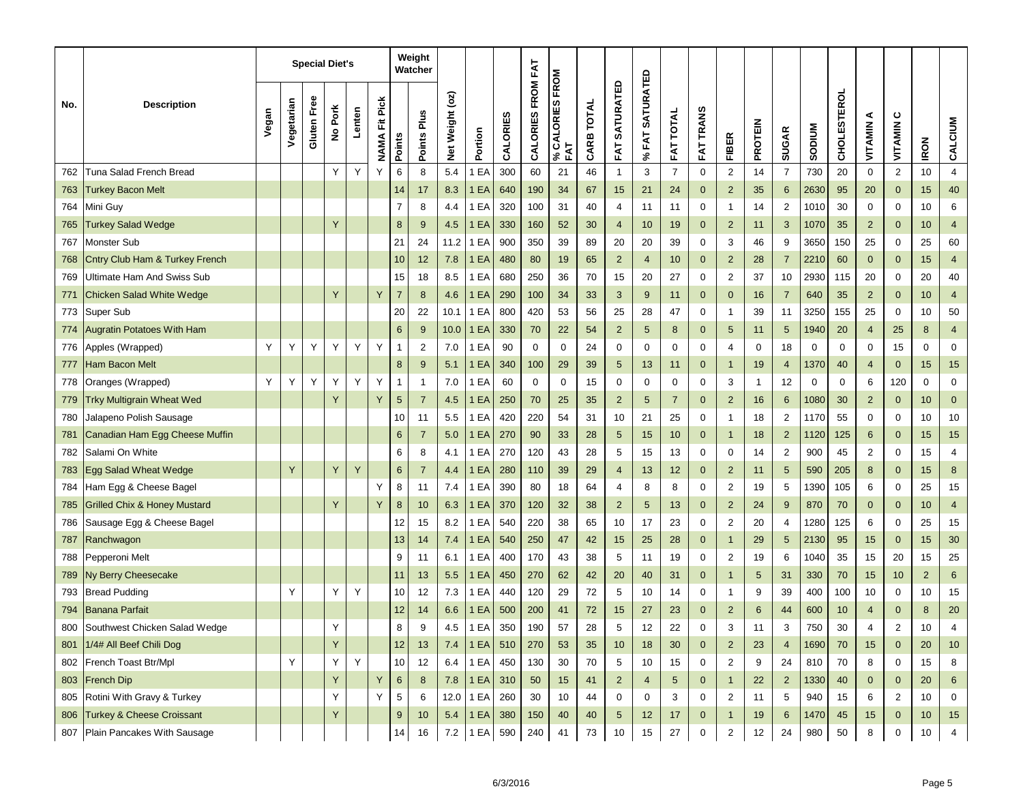|     |                                         |       |            |             | <b>Special Diet's</b> |        |                      |                  | Weight<br>Watcher |                           |             |          |                   |                            |            |                         |                             |                  |                  |                         |                |                 |               |                    |                |                |                |                         |
|-----|-----------------------------------------|-------|------------|-------------|-----------------------|--------|----------------------|------------------|-------------------|---------------------------|-------------|----------|-------------------|----------------------------|------------|-------------------------|-----------------------------|------------------|------------------|-------------------------|----------------|-----------------|---------------|--------------------|----------------|----------------|----------------|-------------------------|
| No. | <b>Description</b>                      | Vegan | Vegetarian | Gluten Free | No Pork               | Lenten | <b>NAMA Fit Pick</b> | <b>Points</b>    | Points Plus       | $($ o Z $)$<br>Net Weight | Portion     | CALORIES | CALORIES FROM FAT | CALORIES FROM<br>FAT<br>వి | CARB TOTAL | <b>SATURATED</b><br>FAT | <b>SATURATED</b><br>% $FAT$ | <b>FAT TOTAL</b> | <b>FAT TRANS</b> | <b>FIBER</b>            | <b>PROTEIN</b> | <b>SUGAR</b>    | <b>NUMGOS</b> | <b>CHOLESTEROL</b> | ⋖<br>VITAMIN   | ပ<br>VITAMIN   | <b>IRON</b>    | CALCIUM                 |
| 762 | Tuna Salad French Bread                 |       |            |             | Y                     | Y      | Υ                    | 6                | 8                 | 5.4                       | EA          | 300      | 60                | 21                         | 46         | $\mathbf{1}$            | 3                           | $\overline{7}$   | $\mathbf 0$      | $\sqrt{2}$              | 14             | $\overline{7}$  | 730           | 20                 | $\mathbf 0$    | $\sqrt{2}$     | 10             | $\overline{\mathbf{4}}$ |
| 763 | <b>Turkey Bacon Melt</b>                |       |            |             |                       |        |                      | 14               | 17                | 8.3                       | 1 EA        | 640      | 190               | 34                         | 67         | 15                      | 21                          | 24               | $\mathbf{0}$     | $\overline{2}$          | 35             | 6               | 2630          | 95                 | 20             | $\mathbf 0$    | 15             | 40                      |
| 764 | Mini Guy                                |       |            |             |                       |        |                      | $\overline{7}$   | 8                 | 4.4                       | 1 EA        | 320      | 100               | 31                         | 40         | $\overline{4}$          | 11                          | 11               | 0                | $\overline{1}$          | 14             | $\overline{2}$  | 1010          | 30                 | 0              | 0              | 10             | 6                       |
| 765 | <b>Turkey Salad Wedge</b>               |       |            |             | Y                     |        |                      | $\bf 8$          | 9                 | 4.5                       | 1 EA        | 330      | 160               | 52                         | 30         | $\overline{4}$          | 10                          | 19               | $\mathbf 0$      | $\overline{2}$          | 11             | 3               | 1070          | 35                 | $\overline{2}$ | $\mathbf{0}$   | 10             | $\overline{4}$          |
| 767 | Monster Sub                             |       |            |             |                       |        |                      | 21               | 24                | 11.2                      | 1 EA        | 900      | 350               | 39                         | 89         | 20                      | 20                          | 39               | $\mathbf 0$      | 3                       | 46             | 9               | 3650          | 150                | 25             | 0              | 25             | 60                      |
| 768 | Cntry Club Ham & Turkey French          |       |            |             |                       |        |                      | 10               | 12                | 7.8                       | 1 EA        | 480      | 80                | 19                         | 65         | $\overline{2}$          | $\overline{4}$              | 10 <sup>1</sup>  | $\mathbf{0}$     | $\overline{2}$          | 28             | $\overline{7}$  | 2210          | 60                 | $\mathbf{0}$   | $\mathbf 0$    | 15             | $\overline{\mathbf{4}}$ |
| 769 | Ultimate Ham And Swiss Sub              |       |            |             |                       |        |                      | 15               | 18                | 8.5                       | 1 EA        | 680      | 250               | 36                         | 70         | 15                      | 20                          | 27               | 0                | $\overline{2}$          | 37             | 10              | 2930          | 115                | 20             | 0              | 20             | 40                      |
| 771 | <b>Chicken Salad White Wedge</b>        |       |            |             | Y                     |        | Y                    | $\overline{7}$   | 8                 | 4.6                       | 1 EA        | 290      | 100               | 34                         | 33         | 3                       | 9                           | 11               | $\mathbf 0$      | $\mathbf{0}$            | 16             | $\overline{7}$  | 640           | 35                 | $\overline{2}$ | $\mathbf 0$    | 10             | $\overline{\mathbf{4}}$ |
| 773 | Super Sub                               |       |            |             |                       |        |                      | 20               | 22                | 10.1                      | 1 EA        | 800      | 420               | 53                         | 56         | 25                      | 28                          | 47               | 0                | $\overline{1}$          | 39             | 11              | 3250          | 155                | 25             | 0              | 10             | 50                      |
| 774 | <b>Augratin Potatoes With Ham</b>       |       |            |             |                       |        |                      | $\,6\,$          | 9                 | 10.0                      | 1 EA        | 330      | 70                | 22                         | 54         | $\overline{2}$          | 5                           | 8                | $\mathbf{0}$     | $\sqrt{5}$              | 11             | 5               | 1940          | 20                 | 4              | 25             | 8              | $\overline{4}$          |
| 776 | Apples (Wrapped)                        | Y     | Υ          | Y           | Y                     | Y      | Y                    | $\mathbf{1}$     | $\overline{2}$    | 7.0                       | 1 EA        | 90       | $\mathbf 0$       | 0                          | 24         | 0                       | $\mathbf 0$                 | 0                | 0                | 4                       | 0              | 18              | 0             | 0                  | 0              | 15             | $\mathbf 0$    | $\mathbf 0$             |
| 777 | Ham Bacon Melt                          |       |            |             |                       |        |                      | $\bf 8$          | 9                 | 5.1                       | 1 EA        | 340      | 100               | 29                         | 39         | $\sqrt{5}$              | 13                          | 11               | $\mathbf 0$      | $\mathbf{1}$            | 19             | 4               | 1370          | 40                 | $\overline{4}$ | $\mathbf 0$    | 15             | 15                      |
| 778 | Oranges (Wrapped)                       | Y     | Υ          | Y           | Y                     | Y      | Y                    | $\mathbf{1}$     | $\overline{1}$    | 7.0                       | 1 EA        | 60       | 0                 | 0                          | 15         | $\mathbf 0$             | 0                           | 0                | $\mathbf 0$      | 3                       | 1              | 12              | $\mathbf 0$   | 0                  | 6              | 120            | $\mathbf 0$    | $\mathbf 0$             |
| 779 | <b>Trky Multigrain Wheat Wed</b>        |       |            |             | Y                     |        | Y                    | $\sqrt{5}$       | $\overline{7}$    | 4.5                       | 1 EA        | 250      | 70                | 25                         | 35         | $\overline{2}$          | 5                           | $\overline{7}$   | $\mathbf{0}$     | $\overline{2}$          | 16             | 6               | 1080          | 30                 | $\overline{2}$ | $\mathbf{0}$   | 10             | $\mathbf 0$             |
| 780 | Jalapeno Polish Sausage                 |       |            |             |                       |        |                      | 10               | 11                | 5.5                       | 1 EA        | 420      | 220               | 54                         | 31         | 10                      | 21                          | 25               | 0                | $\overline{1}$          | 18             | 2               | 1170          | 55                 | 0              | 0              | 10             | 10                      |
| 781 | Canadian Ham Egg Cheese Muffin          |       |            |             |                       |        |                      | 6                | $\overline{7}$    | 5.0                       | 1 EA        | 270      | 90                | 33                         | 28         | 5                       | 15                          | 10               | $\mathbf{0}$     | $\mathbf{1}$            | 18             | $\overline{2}$  | 1120          | 125                | 6              | $\mathbf 0$    | 15             | 15                      |
| 782 | Salami On White                         |       |            |             |                       |        |                      | 6                | 8                 | 4.1                       | 1 EA        | 270      | 120               | 43                         | 28         | 5                       | 15                          | 13               | 0                | 0                       | 14             | 2               | 900           | 45                 | 2              | $\mathbf 0$    | 15             | $\overline{4}$          |
| 783 | <b>Egg Salad Wheat Wedge</b>            |       | Y          |             | Y                     | Y      |                      | $6\phantom{1}$   | $\overline{7}$    | 4.4                       | 1 EA        | 280      | 110               | 39                         | 29         | $\overline{4}$          | 13                          | 12               | $\mathbf{0}$     | $\overline{2}$          | 11             | 5               | 590           | 205                | 8              | $\mathbf 0$    | 15             | $\bf 8$                 |
| 784 | Ham Egg & Cheese Bagel                  |       |            |             |                       |        | Y                    | 8                | 11                | 7.4                       | 1 EA        | 390      | 80                | 18                         | 64         | 4                       | 8                           | 8                | 0                | $\overline{\mathbf{c}}$ | 19             | 5               | 1390          | 105                | 6              | 0              | 25             | 15                      |
| 785 | <b>Grilled Chix &amp; Honey Mustard</b> |       |            |             | Y                     |        | Y                    | 8                | 10                | 6.3                       | 1 EA        | 370      | 120               | 32                         | 38         | $\overline{2}$          | 5                           | 13               | $\mathbf 0$      | $\overline{2}$          | 24             | 9               | 870           | 70                 | 0              | $\mathbf 0$    | 10             | $\overline{4}$          |
| 786 | Sausage Egg & Cheese Bagel              |       |            |             |                       |        |                      | 12               | 15                | 8.2                       | 1 EA        | 540      | 220               | 38                         | 65         | 10                      | 17                          | 23               | $\mathbf 0$      | $\overline{\mathbf{c}}$ | 20             | $\overline{4}$  | 1280          | 125                | 6              | $\mathbf 0$    | 25             | 15                      |
| 787 | Ranchwagon                              |       |            |             |                       |        |                      | 13               | 14                | 7.4                       | 1 EA        | 540      | 250               | 47                         | 42         | 15                      | 25                          | 28               | $\mathbf{0}$     | $\overline{1}$          | 29             | 5               | 2130          | 95                 | 15             | $\mathbf 0$    | 15             | 30                      |
| 788 | Pepperoni Melt                          |       |            |             |                       |        |                      | 9                | 11                | 6.1                       | 1 EA        | 400      | 170               | 43                         | 38         | 5                       | 11                          | 19               | 0                | $\overline{\mathbf{c}}$ | 19             | 6               | 1040          | 35                 | 15             | 20             | 15             | 25                      |
| 789 | Ny Berry Cheesecake                     |       |            |             |                       |        |                      | 11               | 13                | 5.5                       | 1 EA        | 450      | 270               | 62                         | 42         | 20                      | 40                          | 31               | $\mathbf 0$      | -1                      | 5              | 31              | 330           | 70                 | 15             | 10             | $\overline{2}$ | 6                       |
| 793 | <b>Bread Pudding</b>                    |       | Y          |             | Υ                     | Υ      |                      | 10               | 12                | 7.3                       | 1 EA        | 440      | 120               | 29                         | 72         | 5                       | 10                          | 14               | 0                | $\mathbf{1}$            | 9              | 39              | 400           | 100                | 10             | 0              | 10             | 15                      |
| 794 | Banana Parfait                          |       |            |             |                       |        |                      | 12               | 14                | 6.6                       | 1 EA        | 500      | 200               | 41                         | 72         | 15                      | 27                          | 23               | $\mathbf 0$      | $\overline{2}$          | 6              | 44              | 600           | 10                 | 4              | $\mathbf 0$    | 8              | 20                      |
|     | 800 Southwest Chicken Salad Wedge       |       |            |             |                       |        |                      | 8                | 9                 | 4.5                       | 1 EA        | 350      | 190               | 57                         | 28         | 5                       | 12                          | 22               | 0                | 3                       | 11             | 3               | 750           | 30                 | 4              | 2              | 10             | 4                       |
| 801 | 1/4# All Beef Chili Dog                 |       |            |             | Y                     |        |                      | 12               | 13                | 7.4                       | 1EA         | 510      | 270               | 53                         | 35         | 10                      | 18                          | 30               | $\mathbf 0$      | $\overline{2}$          | 23             | $\overline{4}$  | 1690          | 70                 | 15             | $\mathbf 0$    | 20             | 10                      |
|     | 802 French Toast Btr/Mpl                |       | Y          |             | Υ                     | Y      |                      | 10               | 12                | 6.4                       | 1 EA        | 450      | 130               | 30                         | 70         | 5                       | 10                          | 15               | $\mathbf 0$      | $\overline{2}$          | 9              | 24              | 810           | 70                 | 8              | $\mathbf 0$    | 15             | 8                       |
|     | 803 French Dip                          |       |            |             | Y                     |        | Υ                    | 6                | 8                 | 7.8                       | 1 EA        | 310      | 50                | 15                         | 41         | $\overline{2}$          | 4                           | $5\phantom{.0}$  | $\mathbf 0$      | $\overline{1}$          | 22             | $\overline{2}$  | 1330          | 40                 | $\mathbf 0$    | $\mathbf 0$    | 20             | 6                       |
|     | 805 Rotini With Gravy & Turkey          |       |            |             | Υ                     |        | Y                    | 5                | 6                 |                           | $12.0$ 1 EA | 260      | 30                | 10                         | 44         | $\mathbf 0$             | 0                           | 3                | $\mathbf 0$      | 2                       | 11             | $5\phantom{.0}$ | 940           | 15                 | 6              | $\overline{2}$ | 10             | $\mathbf 0$             |
| 806 | Turkey & Cheese Croissant               |       |            |             | Υ                     |        |                      | $\boldsymbol{9}$ | 10                | 5.4                       | 1EA         | 380      | 150               | 40                         | 40         | $\sqrt{5}$              | 12                          | 17               | $\mathbf 0$      | $\mathbf{1}$            | 19             | 6               | 1470          | 45                 | 15             | $\mathbf 0$    | 10             | 15                      |
|     | 807 Plain Pancakes With Sausage         |       |            |             |                       |        |                      | 14               | 16                | 7.2                       | 1 EA        | 590      | 240               | 41                         | 73         | 10                      | 15                          | 27               | $\mathbf 0$      | $\overline{c}$          | 12             | 24              | 980           | 50                 | 8              | $\mathbf 0$    | 10             | $\overline{4}$          |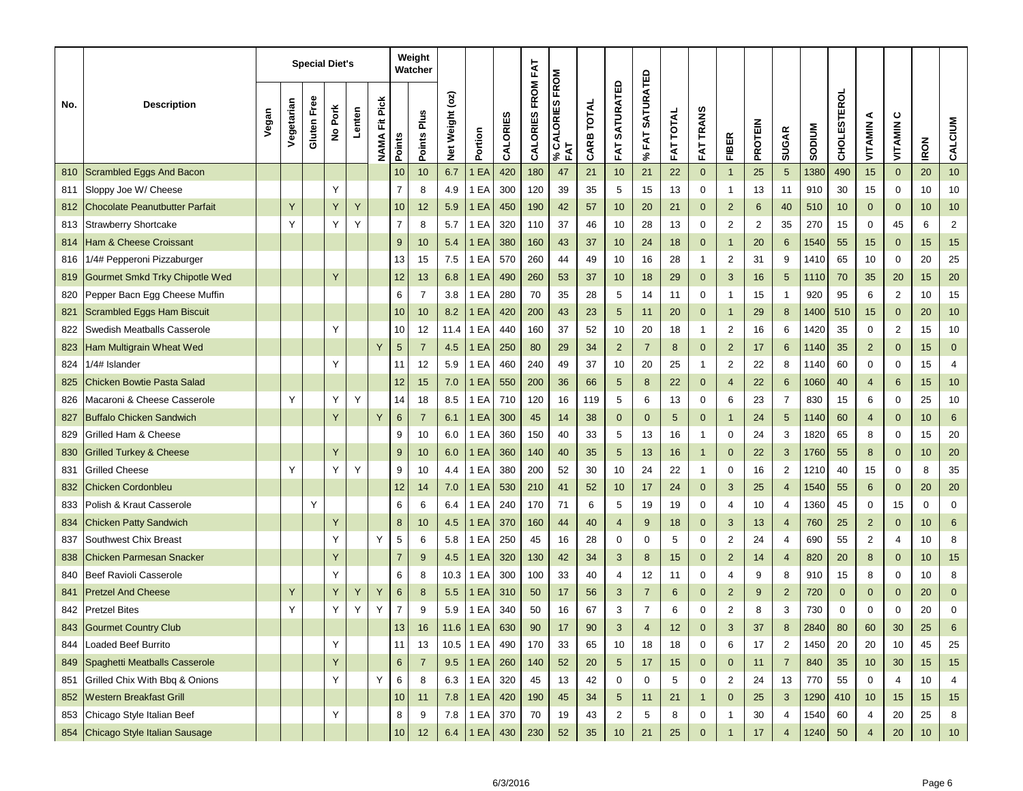|     |                                       |       |            |                    | <b>Special Diet's</b> |        |                         |                 | Weight<br>Watcher |                 |             |          |                   |                        |            |                          |                                 |                     |                  |                         |                |                |               |                    |                 |                |             |                |
|-----|---------------------------------------|-------|------------|--------------------|-----------------------|--------|-------------------------|-----------------|-------------------|-----------------|-------------|----------|-------------------|------------------------|------------|--------------------------|---------------------------------|---------------------|------------------|-------------------------|----------------|----------------|---------------|--------------------|-----------------|----------------|-------------|----------------|
| No. | <b>Description</b>                    | Vegan | Vegetarian | <b>Gluten Free</b> | No Pork               | Lenten | Fit Pick<br><b>NAMA</b> | Points          | Points Plus       | Net Weight (oz) | Portion     | CALORIES | CALORIES FROM FAT | % CALORIES FROM<br>FAT | CARB TOTAL | <b>SATURATED</b><br>FAT. | <b>SATURATED</b><br><b>%FAT</b> | <b>TOTAL</b><br>FAT | <b>FAT TRANS</b> | <b>FIBER</b>            | <b>PROTEIN</b> | <b>SUGAR</b>   | <b>NUMGOS</b> | <b>CHOLESTEROL</b> | ⋖<br>VITAMIN    | ပ<br>VITAMIN   | <b>IRON</b> | CALCIUM        |
| 810 | Scrambled Eggs And Bacon              |       |            |                    |                       |        |                         | 10              | 10                | 6.7             | EA          | 420      | 180               | 47                     | 21         | 10                       | 21                              | 22                  | $\mathbf{0}$     | $\overline{1}$          | 25             | 5              | 1380          | 490                | 15              | $\mathbf 0$    | 20          | 10             |
| 811 | Sloppy Joe W/ Cheese                  |       |            |                    | Υ                     |        |                         | 7               | 8                 | 4.9             | 1 EA        | 300      | 120               | 39                     | 35         | 5                        | 15                              | 13                  | $\mathbf 0$      | $\overline{1}$          | 13             | 11             | 910           | 30                 | 15              | $\mathbf 0$    | 10          | 10             |
| 812 | Chocolate Peanutbutter Parfait        |       | Y          |                    | Y                     | Y      |                         | 10              | 12                | 5.9             | 1 EA        | 450      | 190               | 42                     | 57         | 10                       | 20                              | 21                  | $\mathbf{0}$     | $\overline{2}$          | 6              | 40             | 510           | 10                 | $\mathbf{0}$    | $\mathbf{0}$   | 10          | 10             |
| 813 | <b>Strawberry Shortcake</b>           |       | Y          |                    | Υ                     | Y      |                         | $\overline{7}$  | 8                 | 5.7             | 1 EA        | 320      | 110               | 37                     | 46         | 10                       | 28                              | 13                  | $\mathbf 0$      | $\overline{\mathbf{c}}$ | $\overline{2}$ | 35             | 270           | 15                 | 0               | 45             | 6           | $\overline{2}$ |
| 814 | <b>Ham &amp; Cheese Croissant</b>     |       |            |                    |                       |        |                         | 9               | 10                | 5.4             | 1 EA        | 380      | 160               | 43                     | 37         | 10                       | 24                              | 18                  | $\mathbf{0}$     | $\mathbf{1}$            | 20             | 6              | 1540          | 55                 | 15              | $\mathbf{0}$   | 15          | 15             |
| 816 | 1/4# Pepperoni Pizzaburger            |       |            |                    |                       |        |                         | 13              | 15                | 7.5             | 1 EA        | 570      | 260               | 44                     | 49         | 10                       | 16                              | 28                  | $\mathbf{1}$     | $\overline{\mathbf{c}}$ | 31             | 9              | 1410          | 65                 | 10              | $\mathbf 0$    | 20          | 25             |
| 819 | <b>Gourmet Smkd Trky Chipotle Wed</b> |       |            |                    | Y                     |        |                         | 12              | 13                | 6.8             | 1 EA        | 490      | 260               | 53                     | 37         | 10                       | 18                              | 29                  | $\mathbf{0}$     | 3                       | 16             | 5              | 1110          | 70                 | 35              | 20             | 15          | 20             |
| 820 | Pepper Bacn Egg Cheese Muffin         |       |            |                    |                       |        |                         | 6               | $\overline{7}$    | 3.8             | 1 EA        | 280      | 70                | 35                     | 28         | 5                        | 14                              | 11                  | $\mathbf 0$      | $\overline{1}$          | 15             | 1              | 920           | 95                 | 6               | $\overline{2}$ | 10          | 15             |
| 821 | <b>Scrambled Eggs Ham Biscuit</b>     |       |            |                    |                       |        |                         | 10              | 10                | 8.2             | EA          | 420      | 200               | 43                     | 23         | $\sqrt{5}$               | 11                              | 20                  | $\mathbf 0$      | $\mathbf{1}$            | 29             | 8              | 1400          | 510                | 15              | $\mathbf{0}$   | 20          | 10             |
| 822 | Swedish Meatballs Casserole           |       |            |                    |                       |        |                         | 10              | 12                | 11.4            | 1 EA        | 440      | 160               | 37                     | 52         | 10                       | 20                              | 18                  | $\mathbf{1}$     | $\overline{2}$          | 16             | 6              | 1420          | 35                 | 0               | $\overline{2}$ | 15          | 10             |
| 823 | Ham Multigrain Wheat Wed              |       |            |                    |                       |        | Y                       | $\sqrt{5}$      | $\overline{7}$    | 4.5             | 1 EA        | 250      | 80                | 29                     | 34         | $\overline{2}$           | $\overline{7}$                  | 8                   | $\mathbf{0}$     | $\overline{2}$          | 17             | 6              | 1140          | 35                 | $\overline{2}$  | $\mathbf{0}$   | 15          | $\mathbf{0}$   |
| 824 | 1/4# Islander                         |       |            |                    | Υ                     |        |                         | 11              | 12                | 5.9             | 1 EA        | 460      | 240               | 49                     | 37         | 10                       | 20                              | 25                  | $\mathbf{1}$     | $\overline{\mathbf{c}}$ | 22             | 8              | 1140          | 60                 | 0               | $\mathbf 0$    | 15          | 4              |
| 825 | <b>Chicken Bowtie Pasta Salad</b>     |       |            |                    |                       |        |                         | 12              | 15                | 7.0             | EA          | 550      | 200               | 36                     | 66         | 5                        | 8                               | 22                  | $\mathbf{0}$     | 4                       | 22             | 6              | 1060          | 40                 | $\overline{4}$  | 6              | 15          | 10             |
| 826 | Macaroni & Cheese Casserole           |       | Υ          |                    | Υ                     | Y      |                         | 14              | 18                | 8.5             | EA          | 710      | 120               | 16                     | 119        | 5                        | 6                               | 13                  | 0                | 6                       | 23             | $\overline{7}$ | 830           | 15                 | 6               | $\mathbf 0$    | 25          | 10             |
| 827 | <b>Buffalo Chicken Sandwich</b>       |       |            |                    | Y                     |        | Y                       | $\,6$           | $\overline{7}$    | 6.1             | 1 EA        | 300      | 45                | 14                     | 38         | $\mathbf 0$              | $\mathbf 0$                     | 5                   | $\mathbf{0}$     | $\overline{1}$          | 24             | 5              | 1140          | 60                 | $\overline{4}$  | $\mathbf{0}$   | 10          | 6              |
| 829 | Grilled Ham & Cheese                  |       |            |                    |                       |        |                         | 9               | 10                | 6.0             | EA          | 360      | 150               | 40                     | 33         | 5                        | 13                              | 16                  | $\mathbf{1}$     | 0                       | 24             | 3              | 1820          | 65                 | 8               | $\mathbf 0$    | 15          | 20             |
| 830 | <b>Grilled Turkey &amp; Cheese</b>    |       |            |                    | Y                     |        |                         | 9               | 10                | 6.0             | EA          | 360      | 140               | 40                     | 35         | 5                        | 13                              | 16                  | $\overline{1}$   | $\mathbf 0$             | 22             | 3              | 1760          | 55                 | 8               | $\mathbf{0}$   | 10          | 20             |
| 831 | Grilled Cheese                        |       | Y          |                    | Υ                     | Y      |                         | 9               | 10                | 4.4             | EA          | 380      | 200               | 52                     | 30         | 10                       | 24                              | 22                  | $\mathbf{1}$     | 0                       | 16             | $\overline{2}$ | 1210          | 40                 | 15              | $\mathbf 0$    | 8           | 35             |
| 832 | Chicken Cordonbleu                    |       |            |                    |                       |        |                         | 12              | 14                | 7.0             | 1 EA        | 530      | 210               | 41                     | 52         | 10                       | 17                              | 24                  | $\mathbf{0}$     | 3                       | 25             | $\overline{4}$ | 1540          | 55                 | 6               | $\mathbf{0}$   | 20          | 20             |
| 833 | Polish & Kraut Casserole              |       |            | Y                  |                       |        |                         | 6               | 6                 | 6.4             | 1 EA        | 240      | 170               | 71                     | 6          | 5                        | 19                              | 19                  | 0                | 4                       | 10             | 4              | 1360          | 45                 | 0               | 15             | 0           | $\mathbf 0$    |
| 834 | <b>Chicken Patty Sandwich</b>         |       |            |                    | Y                     |        |                         | 8               | 10                | 4.5             | 1 EA        | 370      | 160               | 44                     | 40         | $\overline{4}$           | 9                               | 18                  | $\mathbf{0}$     | 3                       | 13             | $\overline{4}$ | 760           | 25                 | $\overline{2}$  | $\mathbf{0}$   | 10          | 6              |
| 837 | Southwest Chix Breast                 |       |            |                    | Υ                     |        | Y                       | 5               | 6                 | 5.8             | EA          | 250      | 45                | 16                     | 28         | 0                        | 0                               | 5                   | 0                | $\overline{\mathbf{c}}$ | 24             | 4              | 690           | 55                 | 2               | $\overline{4}$ | 10          | 8              |
| 838 | Chicken Parmesan Snacker              |       |            |                    | Y                     |        |                         | $\overline{7}$  | 9                 | 4.5             | 1 EA        | 320      | 130               | 42                     | 34         | 3                        | 8                               | 15                  | $\mathbf{0}$     | $\overline{2}$          | 14             | 4              | 820           | 20                 | 8               | $\mathbf{0}$   | 10          | 15             |
| 840 | Beef Ravioli Casserole                |       |            |                    | Υ                     |        |                         | 6               | 8                 | 10.3            | EA          | 300      | 100               | 33                     | 40         | 4                        | 12                              | 11                  | 0                | 4                       | 9              | 8              | 910           | 15                 | 8               | 0              | 10          | 8              |
| 841 | <b>Pretzel And Cheese</b>             |       | Υ          |                    | Y                     | Υ      | Υ                       | 6               | 8                 | 5.5             | I EA        | 310      | 50                | 17                     | 56         | 3                        | $\overline{7}$                  | 6                   | $\mathbf{0}$     | $\overline{2}$          | 9              | $\overline{2}$ | 720           | $\mathbf 0$        | 0               | $\mathbf 0$    | 20          | $\mathbf{0}$   |
| 842 | <b>Pretzel Bites</b>                  |       | Υ          |                    | Υ                     | Υ      | Υ                       | 7               | 9                 | 5.9             | 1 EA        | 340      | 50                | 16                     | 67         | 3                        | $\overline{7}$                  | 6                   | 0                | $\overline{\mathbf{c}}$ | 8              | 3              | 730           | 0                  | 0               | 0              | 20          | 0              |
| 843 | Gourmet Country Club                  |       |            |                    |                       |        |                         | 13              | 16                |                 | 11.6   1 EA | 630      | 90                |                        | 90         | $\mathbf{3}$             | $\overline{4}$                  | 12                  | $\mathbf 0$      | 3                       | 37             | 8              | 2840          | 80                 | 60              | 30             | 25          |                |
| 844 | Loaded Beef Burrito                   |       |            |                    | Υ                     |        |                         | 11              | 13                | 10.5            | 1 EA        | 490      | 170               | 33                     | 65         | 10                       | 18                              | 18                  | $\mathbf 0$      | 6                       | 17             | 2              | 1450          | 20                 | 20              | 10             | 45          | 25             |
| 849 | Spaghetti Meatballs Casserole         |       |            |                    | Y                     |        |                         | $\,6$           | $\overline{7}$    | 9.5             | 1 EA        | 260      | 140               | 52                     | 20         | $\sqrt{5}$               | 17                              | 15                  | $\mathbf 0$      | $\mathbf 0$             | 11             | $\overline{7}$ | 840           | 35                 | 10 <sup>1</sup> | 30             | 15          | $15$           |
| 851 | Grilled Chix With Bbq & Onions        |       |            |                    | Υ                     |        | Y                       | 6               | 8                 | 6.3             | 1 EA        | 320      | 45                | 13                     | 42         | 0                        | 0                               | 5                   | $\mathbf 0$      | $\overline{2}$          | 24             | 13             | 770           | 55                 | 0               | $\overline{4}$ | 10          | 4              |
| 852 | <b>Western Breakfast Grill</b>        |       |            |                    |                       |        |                         | 10 <sup>1</sup> | 11                | 7.8             | <b>1 EA</b> | 420      | 190               | 45                     | 34         | 5                        | 11                              | 21                  | $\mathbf{1}$     | $\mathbf 0$             | 25             | 3              | 1290          | 410                | 10 <sup>1</sup> | 15             | 15          | 15             |
| 853 | Chicago Style Italian Beef            |       |            |                    | Υ                     |        |                         | 8               | 9                 | 7.8             | 1 EA        | 370      | 70                | 19                     | 43         | $\overline{2}$           | 5                               | 8                   | 0                | $\overline{1}$          | 30             | 4              | 1540          | 60                 | 4               | 20             | 25          | 8              |
|     | 854 Chicago Style Italian Sausage     |       |            |                    |                       |        |                         | $10\,$          | 12                | 6.4             | 1 EA 430    |          | 230               | 52                     | 35         | 10                       | 21                              | 25                  | $\mathbf 0$      | $\overline{1}$          | 17             | $\overline{4}$ | 1240          | 50                 | 4               | $20\,$         | $10$        | 10             |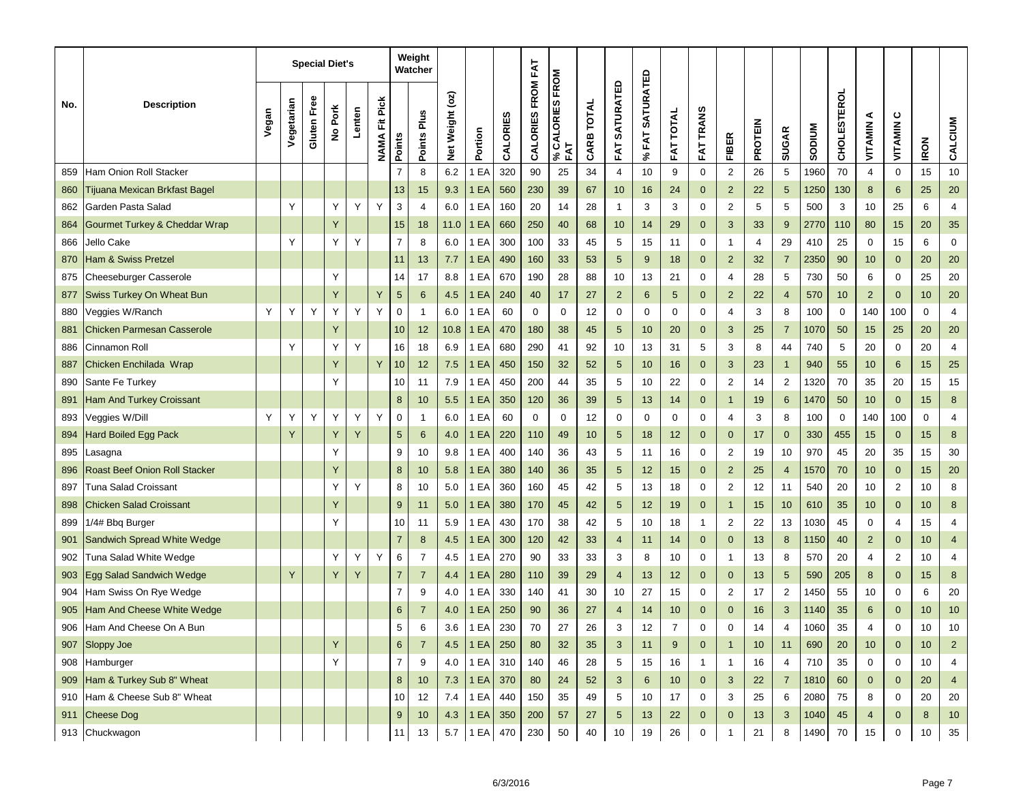|     |                                      |       |            |             | <b>Special Diet's</b> |        |                         |                | Weight<br>Watcher |                                                  |             |          |                   |                            |            |                  |                           |                  |                  |                         |                |                |               |                    |                 |                  |             |                         |
|-----|--------------------------------------|-------|------------|-------------|-----------------------|--------|-------------------------|----------------|-------------------|--------------------------------------------------|-------------|----------|-------------------|----------------------------|------------|------------------|---------------------------|------------------|------------------|-------------------------|----------------|----------------|---------------|--------------------|-----------------|------------------|-------------|-------------------------|
| No. | <b>Description</b>                   | Vegan | Vegetarian | Gluten Free | No Pork               | Lenten | Fit Pick<br><b>NAMA</b> | Points         | Points Plus       | $($ oz)<br>Weight<br>$\frac{\text{d}}{\text{d}}$ | Portion     | CALORIES | CALORIES FROM FAT | CALORIES FROM<br>FAT<br>వి | CARB TOTAL | SATURATED<br>FAT | <b>SATURATED</b><br>% FAT | <b>FAT TOTAL</b> | <b>FAT TRANS</b> | <b>FIBER</b>            | <b>PROTEIN</b> | <b>SUGAR</b>   | <b>NUIQOS</b> | <b>CHOLESTEROL</b> | ⋖<br>VITAMIN    | ပ<br>VITAMIN     | <b>IRON</b> | CALCIUM                 |
| 859 | Ham Onion Roll Stacker               |       |            |             |                       |        |                         | $\overline{7}$ | 8                 | 6.2                                              | EA          | 320      | 90                | 25                         | 34         | $\overline{4}$   | 10                        | 9                | $\mathbf 0$      | $\mathbf 2$             | 26             | 5              | 1960          | 70                 | $\overline{4}$  | $\boldsymbol{0}$ | 15          | 10                      |
| 860 | Tijuana Mexican Brkfast Bagel        |       |            |             |                       |        |                         | 13             | 15                | 9.3                                              | 1 EA        | 560      | 230               | 39                         | 67         | 10               | 16                        | 24               | $\mathbf{0}$     | $\overline{2}$          | 22             | 5              | 1250          | 130                | 8               | 6                | 25          | 20                      |
| 862 | Garden Pasta Salad                   |       | Y          |             | Υ                     | Y      | Y                       | 3              | 4                 | 6.0                                              | 1 EA        | 160      | 20                | 14                         | 28         | $\mathbf{1}$     | 3                         | 3                | 0                | $\overline{c}$          | 5              | 5              | 500           | 3                  | 10              | 25               | 6           | 4                       |
| 864 | Gourmet Turkey & Cheddar Wrap        |       |            |             | Y                     |        |                         | 15             | 18                | 11.0                                             | <b>1 EA</b> | 660      | 250               | 40                         | 68         | 10               | 14                        | 29               | $\overline{0}$   | 3                       | 33             | 9              | 2770          | 110                | 80              | 15               | 20          | 35                      |
| 866 | Jello Cake                           |       | Y          |             | Υ                     | Y      |                         | $\overline{7}$ | 8                 | 6.0                                              | EA          | 300      | 100               | 33                         | 45         | 5                | 15                        | 11               | 0                | $\mathbf{1}$            | 4              | 29             | 410           | 25                 | 0               | 15               | 6           | $\mathbf 0$             |
| 870 | <b>Ham &amp; Swiss Pretzel</b>       |       |            |             |                       |        |                         | 11             | 13                | 7.7                                              | 1 EA        | 490      | 160               | 33                         | 53         | 5                | 9                         | 18               | $\mathbf{0}$     | $\overline{2}$          | 32             | $\overline{7}$ | 2350          | 90                 | 10              | $\mathbf 0$      | 20          | 20                      |
| 875 | Cheeseburger Casserole               |       |            |             | Υ                     |        |                         | 14             | 17                | 8.8                                              | EA          | 670      | 190               | 28                         | 88         | 10               | 13                        | 21               | 0                | 4                       | 28             | 5              | 730           | 50                 | 6               | 0                | 25          | 20                      |
| 877 | Swiss Turkey On Wheat Bun            |       |            |             | Y                     |        | Y                       | 5              | 6                 | 4.5                                              | 1 EA        | 240      | 40                | 17                         | 27         | $\overline{2}$   | 6                         | 5                | $\mathbf 0$      | $\overline{2}$          | 22             | 4              | 570           | 10                 | $\overline{2}$  | $\mathbf 0$      | 10          | 20                      |
| 880 | Veggies W/Ranch                      | Υ     | Υ          | Y           | Y                     | Υ      | Y                       | 0              | $\overline{1}$    | 6.0                                              | EA          | 60       | $\mathbf 0$       | 0                          | 12         | 0                | 0                         | 0                | 0                | $\overline{4}$          | 3              | 8              | 100           | 0                  | 140             | 100              | $\mathbf 0$ | $\overline{\mathbf{4}}$ |
| 881 | <b>Chicken Parmesan Casserole</b>    |       |            |             | Y                     |        |                         | 10             | 12                | 10.8                                             | 1 EA        | 470      | 180               | 38                         | 45         | 5                | 10                        | 20               | $\mathbf{0}$     | 3                       | 25             | $\overline{7}$ | 1070          | 50                 | 15              | 25               | 20          | 20                      |
| 886 | Cinnamon Roll                        |       | Y          |             | Y                     | Y      |                         | 16             | 18                | 6.9                                              | 1 EA        | 680      | 290               | 41                         | 92         | 10               | 13                        | 31               | 5                | 3                       | 8              | 44             | 740           | 5                  | 20              | 0                | 20          | 4                       |
| 887 | Chicken Enchilada Wrap               |       |            |             | Y                     |        | Y                       | 10             | 12                | 7.5                                              | 1 EA        | 450      | 150               | 32                         | 52         | 5                | 10                        | 16               | $\mathbf{0}$     | 3                       | 23             | $\mathbf{1}$   | 940           | 55                 | 10              | 6                | 15          | 25                      |
| 890 | Sante Fe Turkey                      |       |            |             | Υ                     |        |                         | 10             | 11                | 7.9                                              | EA          | 450      | 200               | 44                         | 35         | 5                | 10                        | 22               | 0                | $\overline{2}$          | 14             | $\overline{2}$ | 1320          | 70                 | 35              | 20               | 15          | 15                      |
| 891 | <b>Ham And Turkey Croissant</b>      |       |            |             |                       |        |                         | 8              | 10                | 5.5                                              | 1 EA        | 350      | 120               | 36                         | 39         | 5                | 13                        | 14               | $\mathbf{0}$     | $\mathbf{1}$            | 19             | 6              | 1470          | 50                 | 10              | $\mathbf{0}$     | 15          | 8                       |
| 893 | Veggies W/Dill                       | Y     | Υ          | Y           | Y                     | Υ      | Y                       | 0              | $\overline{1}$    | 6.0                                              | 1 EA        | 60       | 0                 | 0                          | 12         | 0                | 0                         | 0                | 0                | 4                       | 3              | 8              | 100           | 0                  | 140             | 100              | 0           | 4                       |
| 894 | <b>Hard Boiled Egg Pack</b>          |       | Y          |             | Y                     | Υ      |                         | 5              | 6                 | 4.0                                              | EA          | 220      | 110               | 49                         | 10         | 5                | 18                        | 12               | $\mathbf{0}$     | $\mathbf 0$             | 17             | $\mathbf{0}$   | 330           | 455                | 15              | $\mathbf 0$      | 15          | 8                       |
| 895 | asagna                               |       |            |             | Υ                     |        |                         | 9              | 10                | 9.8                                              | EA          | 400      | 140               | 36                         | 43         | 5                | 11                        | 16               | 0                | 2                       | 19             | 10             | 970           | 45                 | 20              | 35               | 15          | 30                      |
| 896 | <b>Roast Beef Onion Roll Stacker</b> |       |            |             | Y                     |        |                         | 8              | 10                | 5.8                                              | 1 EA        | 380      | 140               | 36                         | 35         | 5                | 12                        | 15               | $\mathbf{0}$     | $\overline{2}$          | 25             | 4              | 1570          | 70                 | 10              | $\mathbf 0$      | 15          | 20                      |
| 897 | Tuna Salad Croissant                 |       |            |             | Υ                     | Y      |                         | 8              | 10                | 5.0                                              | 1 EA        | 360      | 160               | 45                         | 42         | 5                | 13                        | 18               | 0                | $\overline{\mathbf{c}}$ | 12             | 11             | 540           | 20                 | 10              | 2                | 10          | 8                       |
| 898 | <b>Chicken Salad Croissant</b>       |       |            |             | Y                     |        |                         | 9              | 11                | 5.0                                              | 1 EA        | 380      | 170               | 45                         | 42         | 5                | 12                        | 19               | $\overline{0}$   | -1                      | 15             | 10             | 610           | 35                 | 10              | $\mathbf 0$      | 10          | 8                       |
| 899 | 1/4# Bbq Burger                      |       |            |             | Υ                     |        |                         | 10             | 11                | 5.9                                              | 1 EA        | 430      | 170               | 38                         | 42         | 5                | 10                        | 18               | $\overline{1}$   | $\overline{\mathbf{c}}$ | 22             | 13             | 1030          | 45                 | 0               | 4                | 15          | 4                       |
| 901 | Sandwich Spread White Wedge          |       |            |             |                       |        |                         | $\overline{7}$ | 8                 | 4.5                                              | 1 EA        | 300      | 120               | 42                         | 33         | 4                | 11                        | 14               | $\mathbf{0}$     | $\mathbf 0$             | 13             | 8              | 1150          | 40                 | $\overline{c}$  | $\mathbf{0}$     | 10          | $\overline{4}$          |
| 902 | Tuna Salad White Wedge               |       |            |             | Υ                     | Υ      | Y                       | 6              | $\overline{7}$    | 4.5                                              | 1 EA        | 270      | 90                | 33                         | 33         | 3                | 8                         | 10               | 0                | $\mathbf{1}$            | 13             | 8              | 570           | 20                 | 4               | $\overline{2}$   | 10          | 4                       |
| 903 | Egg Salad Sandwich Wedge             |       | Y          |             | Y                     |        |                         | $\overline{7}$ | $\overline{7}$    | 4.4                                              | EA          | 280      | 110               | 39                         | 29         | 4                | 13                        | 12               | $\mathbf{0}$     | $\pmb{0}$               | 13             | 5              | 590           | 205                | 8               | $\mathbf 0$      | 15          | $\boldsymbol{8}$        |
| 904 | Ham Swiss On Rye Wedge               |       |            |             |                       |        |                         | $\overline{7}$ | 9                 | 4.0                                              | EA          | 330      | 140               | 41                         | 30         | 10               | 27                        | 15               | 0                | 2                       | 17             | $\overline{c}$ | 1450          | 55                 | 10              | 0                | 6           | 20                      |
| 905 | Ham And Cheese White Wedge           |       |            |             |                       |        |                         | 6              | $\overline{7}$    | 4.0                                              | EA          | 250      | 90                | 36                         | 27         | $\overline{4}$   | 14                        | 10               | $\mathbf 0$      | $\mathbf{0}$            | 16             | 3              | 1140          | 35                 | 6               | $\mathbf{0}$     | 10          | 10                      |
| 906 | Ham And Cheese On A Bun              |       |            |             |                       |        |                         | G              | 6                 | 3.6                                              | 1 EA        | 230      | 70                | 27                         | 26         | 3                | 12                        | 7                | 0                | 0                       | 14             | 4              | 1060          | 35                 | 4               | 0                | 10          | 10                      |
| 907 | Sloppy Joe                           |       |            |             | Y                     |        |                         | 6              | $\overline{7}$    | 4.5                                              | <b>1 EA</b> | 250      | 80                | 32                         | 35         | 3                | 11                        | 9                | $\mathbf{0}$     | $\mathbf{1}$            | 10             | 11             | 690           | 20                 | 10 <sup>1</sup> | $\mathbf 0$      | 10          | $\overline{2}$          |
|     | 908 Hamburger                        |       |            |             | Y                     |        |                         | $\overline{7}$ | 9                 | 4.0                                              | 1EA         | 310      | 140               | 46                         | 28         | 5                | 15                        | 16               | $\mathbf{1}$     | $\mathbf{1}$            | 16             | $\overline{4}$ | 710           | 35                 | $\mathbf 0$     | $\mathbf 0$      | 10          | 4                       |
|     | 909 Ham & Turkey Sub 8" Wheat        |       |            |             |                       |        |                         | 8              | 10 <sup>°</sup>   | 7.3                                              | 1EA         | 370      | 80                | 24                         | 52         | 3                | 6                         | 10 <sup>1</sup>  | $\mathbf{0}$     | 3                       | 22             | $\mathbf{7}$   | 1810          | 60                 | $\mathbf{0}$    | $\mathbf 0$      | 20          | $\overline{4}$          |
| 910 | Ham & Cheese Sub 8" Wheat            |       |            |             |                       |        |                         | 10             | 12                | 7.4                                              | 1 EA        | 440      | 150               | 35                         | 49         | 5                | 10                        | 17               | $\mathbf 0$      | 3                       | 25             | 6              | 2080          | 75                 | 8               | 0                | 20          | 20                      |
| 911 | <b>Cheese Dog</b>                    |       |            |             |                       |        |                         | $9\,$          | 10                | 4.3                                              | <b>1 EA</b> | 350      | 200               | 57                         | 27         | 5                | 13                        | 22               | $\mathbf 0$      | $\mathbf{0}$            | 13             | 3              | 1040          | 45                 | $\overline{4}$  | $\mathbf 0$      | 8           | $10$                    |
|     | 913 Chuckwagon                       |       |            |             |                       |        |                         | 11             | 13                | 5.7                                              | 1EA         | 470      | 230               | 50                         | 40         | 10               | 19                        | 26               | 0                | 1                       | 21             | 8              | 1490          | 70                 | 15              | $\mathbf 0$      | 10          | 35                      |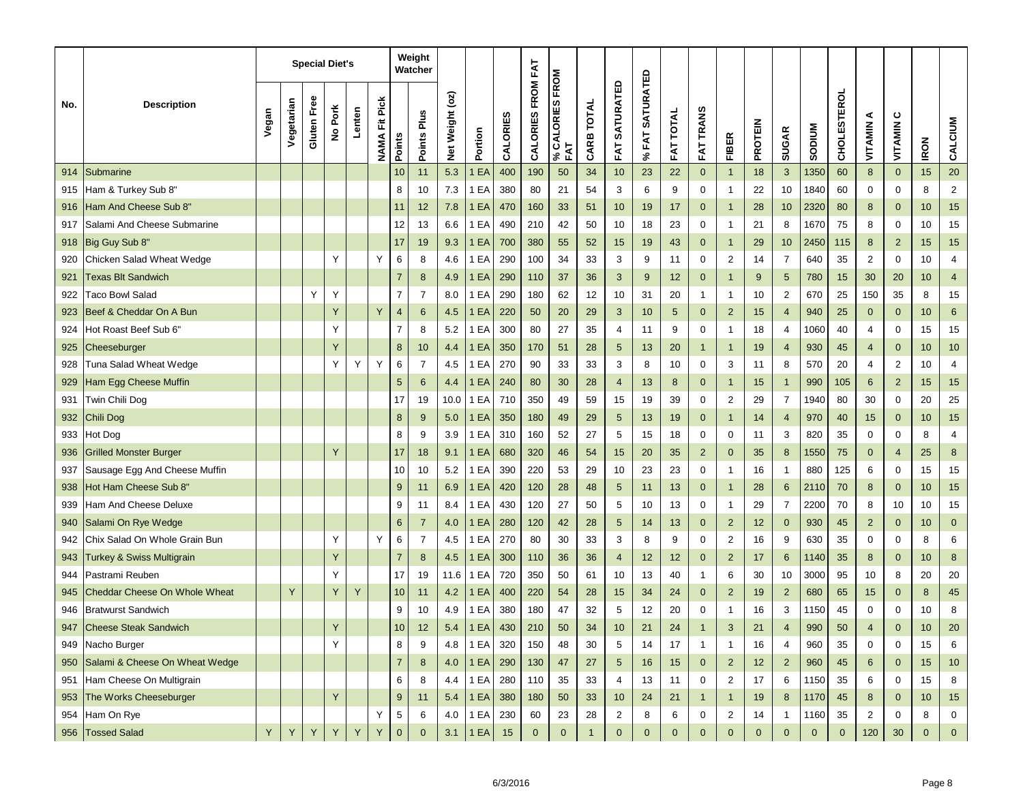|     |                                      |       |            |             | <b>Special Diet's</b> |        |                         |                | Weight<br>Watcher |                        |             |          |                   |                            |            |                         |                           |                  |                  |                         |                |                |             |                    |                |                |             |                  |
|-----|--------------------------------------|-------|------------|-------------|-----------------------|--------|-------------------------|----------------|-------------------|------------------------|-------------|----------|-------------------|----------------------------|------------|-------------------------|---------------------------|------------------|------------------|-------------------------|----------------|----------------|-------------|--------------------|----------------|----------------|-------------|------------------|
| No. | <b>Description</b>                   | Vegan | Vegetarian | Gluten Free | No Pork               | Lenten | Fit Pick<br><b>NAMA</b> | <b>Points</b>  | Points Plus       | $($ oz)<br>Weight<br>ğ | Portion     | CALORIES | CALORIES FROM FAT | CALORIES FROM<br>FAT<br>వి | CARB TOTAL | <b>SATURATED</b><br>FAT | <b>SATURATED</b><br>% FAT | <b>FAT TOTAL</b> | <b>FAT TRANS</b> | <b>FIBER</b>            | <b>PROTEIN</b> | <b>SUGAR</b>   | MUNGOS      | <b>CHOLESTEROL</b> | ⋖<br>VITAMIN   | ပ<br>VITAMIN   | <b>IRON</b> | CALCIUM          |
| 914 | Submarine                            |       |            |             |                       |        |                         | 10             | 11                | 5.3                    | EA          | 400      | 190               | 50                         | 34         | 10                      | 23                        | 22               | $\mathbf{0}$     | $\mathbf{1}$            | 18             | 3              | 1350        | 60                 | 8              | $\mathbf 0$    | 15          | 20               |
| 915 | Ham & Turkey Sub 8"                  |       |            |             |                       |        |                         | 8              | 10                | 7.3                    | 1 EA        | 380      | 80                | 21                         | 54         | 3                       | 6                         | 9                | 0                | 1                       | 22             | 10             | 1840        | 60                 | 0              | 0              | 8           | $\overline{2}$   |
| 916 | <b>Ham And Cheese Sub 8'</b>         |       |            |             |                       |        |                         | 11             | 12                | 7.8                    | 1 EA        | 470      | 160               | 33                         | 51         | 10                      | 19                        | 17               | $\mathbf{0}$     | $\mathbf{1}$            | 28             | 10             | 2320        | 80                 | 8              | $\mathbf 0$    | 10          | 15               |
| 917 | Salami And Cheese Submarine          |       |            |             |                       |        |                         | 12             | 13                | 6.6                    | 1 EA        | 490      | 210               | 42                         | 50         | 10                      | 18                        | 23               | 0                | $\mathbf{1}$            | 21             | 8              | 1670        | 75                 | 8              | 0              | 10          | 15               |
| 918 | Big Guy Sub 8"                       |       |            |             |                       |        |                         | 17             | 19                | 9.3                    | 1 EA        | 700      | 380               | 55                         | 52         | 15                      | 19                        | 43               | $\mathbf{0}$     | $\mathbf{1}$            | 29             | 10             | 2450        | 115                | 8              | $\overline{2}$ | 15          | 15               |
| 920 | Chicken Salad Wheat Wedge            |       |            |             | Υ                     |        | Y                       | 6              | 8                 | 4.6                    | EA          | 290      | 100               | 34                         | 33         | 3                       | 9                         | 11               | 0                | $\overline{\mathbf{c}}$ | 14             | 7              | 640         | 35                 | $\overline{2}$ | 0              | 10          | 4                |
| 921 | <b>Texas Blt Sandwich</b>            |       |            |             |                       |        |                         | $\overline{7}$ | 8                 | 4.9                    | 1 EA        | 290      | 110               | 37                         | 36         | 3                       | 9                         | 12               | $\mathbf 0$      | $\mathbf{1}$            | 9              | 5              | 780         | 15                 | 30             | 20             | 10          | $\overline{4}$   |
| 922 | <b>Taco Bowl Salad</b>               |       |            | Υ           | Υ                     |        |                         | $\overline{7}$ | $\overline{7}$    | 8.0                    | EA          | 290      | 180               | 62                         | 12         | 10                      | 31                        | 20               | $\mathbf{1}$     | 1                       | 10             | $\overline{2}$ | 670         | 25                 | 150            | 35             | 8           | 15               |
| 923 | Beef & Cheddar On A Bun              |       |            |             | Y                     |        | Y                       | $\overline{4}$ | 6                 | 4.5                    | EA          | 220      | 50                | 20                         | 29         | 3                       | 10                        | 5                | $\mathbf 0$      | $\overline{2}$          | 15             | 4              | 940         | 25                 | $\mathbf 0$    | $\mathbf 0$    | 10          | $\,6\,$          |
| 924 | Hot Roast Beef Sub 6"                |       |            |             | Υ                     |        |                         | 7              | 8                 | 5.2                    | EA          | 300      | 80                | 27                         | 35         | 4                       | 11                        | 9                | 0                | 1                       | 18             | 4              | 1060        | 40                 | 4              | 0              | 15          | 15               |
| 925 | Cheeseburger                         |       |            |             | Y                     |        |                         | 8              | 10                | 4.4                    | 1 EA        | 350      | 170               | 51                         | 28         | 5                       | 13                        | 20               | $\mathbf{1}$     | $\mathbf{1}$            | 19             | 4              | 930         | 45                 | $\overline{4}$ | $\mathbf 0$    | 10          | 10               |
| 928 | Tuna Salad Wheat Wedge               |       |            |             | Υ                     | Υ      | Y                       | 6              | $\overline{7}$    | 4.5                    | EA          | 270      | 90                | 33                         | 33         | 3                       | 8                         | 10               | 0                | 3                       | 11             | 8              | 570         | 20                 | 4              | $\overline{2}$ | 10          | $\overline{4}$   |
| 929 | Ham Egg Cheese Muffin                |       |            |             |                       |        |                         | 5              | 6                 | 4.4                    | EA          | 240      | 80                | 30                         | 28         | 4                       | 13                        | 8                | $\mathbf{0}$     | $\mathbf{1}$            | 15             | $\mathbf{1}$   | 990         | 105                | 6              | $\overline{2}$ | 15          | 15               |
| 931 | Twin Chili Dog                       |       |            |             |                       |        |                         | 17             | 19                | 10.0                   | 1 EA        | 710      | 350               | 49                         | 59         | 15                      | 19                        | 39               | 0                | 2                       | 29             | $\overline{7}$ | 1940        | 80                 | 30             | 0              | 20          | 25               |
| 932 | Chili Dog                            |       |            |             |                       |        |                         | 8              | 9                 | 5.0                    | 1 EA        | 350      | 180               | 49                         | 29         | 5                       | 13                        | 19               | $\mathbf{0}$     | $\mathbf{1}$            | 14             | 4              | 970         | 40                 | 15             | $\mathbf 0$    | 10          | 15               |
| 933 | Hot Dog                              |       |            |             |                       |        |                         | 8              | 9                 | 3.9                    | 1 EA        | 310      | 160               | 52                         | 27         | 5                       | 15                        | 18               | 0                | 0                       | 11             | 3              | 820         | 35                 | 0              | 0              | 8           | 4                |
| 936 | <b>Grilled Monster Burger</b>        |       |            |             | Y                     |        |                         | 17             | 18                | 9.1                    | 1 EA        | 680      | 320               | 46                         | 54         | 15                      | 20                        | 35               | $\overline{2}$   | $\pmb{0}$               | 35             | 8              | 1550        | 75                 | 0              | $\overline{4}$ | 25          | $\bf 8$          |
| 937 | Sausage Egg And Cheese Muffin        |       |            |             |                       |        |                         | 10             | 10                | 5.2                    | 1 EA        | 390      | 220               | 53                         | 29         | 10                      | 23                        | 23               | 0                | 1                       | 16             | $\mathbf{1}$   | 880         | 125                | 6              | 0              | 15          | 15               |
| 938 | Hot Ham Cheese Sub 8'                |       |            |             |                       |        |                         | 9              | 11                | 6.9                    | 1 EA        | 420      | 120               | 28                         | 48         | 5                       | 11                        | 13               | $\mathbf{0}$     | $\mathbf{1}$            | 28             | 6              | 2110        | 70                 | 8              | $\mathbf 0$    | 10          | 15               |
| 939 | <b>Ham And Cheese Deluxe</b>         |       |            |             |                       |        |                         | 9              | 11                | 8.4                    | 1 EA        | 430      | 120               | 27                         | 50         | 5                       | 10                        | 13               | 0                | 1                       | 29             | $\overline{7}$ | 2200        | 70                 | 8              | 10             | 10          | 15               |
| 940 | Salami On Rye Wedge                  |       |            |             |                       |        |                         | 6              | $\overline{7}$    | 4.0                    | 1 EA        | 280      | 120               | 42                         | 28         | 5                       | 14                        | 13               | $\mathbf{0}$     | $\overline{2}$          | 12             | $\mathbf{0}$   | 930         | 45                 | $\overline{2}$ | $\mathbf 0$    | 10          | $\mathbf 0$      |
| 942 | Chix Salad On Whole Grain Bun        |       |            |             | Υ                     |        | Y                       | 6              | $\overline{7}$    | 4.5                    | 1 EA        | 270      | 80                | 30                         | 33         | 3                       | 8                         | 9                | 0                | $\overline{\mathbf{c}}$ | 16             | 9              | 630         | 35                 | 0              | 0              | 8           | 6                |
| 943 | <b>Turkey &amp; Swiss Multigrain</b> |       |            |             | Y                     |        |                         | $\overline{7}$ | 8                 | 4.5                    | 1 EA        | 300      | 110               | 36                         | 36         | 4                       | 12                        | 12               | $\mathbf{0}$     | $\overline{2}$          | 17             | $6\phantom{1}$ | 1140        | 35                 | 8              | $\mathbf 0$    | 10          | $\boldsymbol{8}$ |
| 944 | Pastrami Reuben                      |       |            |             | Υ                     |        |                         | 17             | 19                | 11.6                   | 1 EA        | 720      | 350               | 50                         | 61         | 10                      | 13                        | 40               | $\mathbf{1}$     | 6                       | 30             | 10             | 3000        | 95                 | 10             | 8              | 20          | 20               |
| 945 | Cheddar Cheese On Whole Wheat        |       | Y          |             | Y                     | Υ      |                         | 10             | 11                | 4.2                    | 1 EA        | 400      | 220               | 54                         | 28         | 15                      | 34                        | 24               | $\mathbf{0}$     | $\overline{2}$          | 19             | $\overline{2}$ | 680         | 65                 | 15             | $\mathbf 0$    | 8           | 45               |
| 946 | <b>Bratwurst Sandwich</b>            |       |            |             |                       |        |                         | 9              | 10                | 4.9                    | 1 EA        | 380      | 180               | 47                         | 32         | 5                       | 12                        | 20               | 0                | 1                       | 16             | 3              | 1150        | 45                 | 0              | 0              | 10          | 8                |
| 947 | <b>Cheese Steak Sandwich</b>         |       |            |             |                       |        |                         | 10             | 12                | $5.4$                  | <b>1 EA</b> | 430      | 210               | 50                         | 34         | 10                      | 21                        | 24               |                  | З                       | 21             | 4              | 990         | 50                 | 4              |                | 10          | <b>20</b>        |
| 949 | Nacho Burger                         |       |            |             | Y                     |        |                         | 8              | 9                 | 4.8                    | 1 EA        | 320      | 150               | 48                         | 30         | 5                       | 14                        | 17               | $\mathbf{1}$     | $\mathbf{1}$            | 16             | $\overline{4}$ | 960         | 35                 | $\mathbf 0$    | $\mathbf 0$    | 15          | 6                |
| 950 | Salami & Cheese On Wheat Wedge       |       |            |             |                       |        |                         | $\overline{7}$ | 8                 | 4.0                    | 1EA         | 290      | 130               | 47                         | 27         | $5\phantom{.0}$         | 16                        | 15               | $\mathbf{0}$     | $\overline{2}$          | 12             | 2 <sup>2</sup> | 960         | 45                 | 6              | $\mathbf 0$    | 15          | $10$             |
| 951 | Ham Cheese On Multigrain             |       |            |             |                       |        |                         | 6              | 8                 | 4.4                    | 1 EA        | 280      | 110               | 35                         | 33         | $\overline{4}$          | 13                        | 11               | $\mathbf 0$      | 2                       | 17             | 6              | 1150        | 35                 | 6              | 0              | 15          | 8                |
| 953 | The Works Cheeseburger               |       |            |             | Y                     |        |                         | $9\,$          | 11                | 5.4                    | 1 EA        | 380      | 180               | 50                         | 33         | 10                      | 24                        | 21               | $\mathbf{1}$     | $\mathbf{1}$            | 19             | 8              | 1170        | 45                 | 8              | $\mathbf{0}$   | 10          | 15               |
| 954 | Ham On Rye                           |       |            |             |                       |        | Y                       | 5              | 6                 | 4.0                    | 1 EA        | 230      | 60                | 23                         | 28         | $\overline{2}$          | 8                         | 6                | 0                | $\overline{2}$          | 14             | $\mathbf{1}$   | 1160        | 35                 | $\overline{2}$ | 0              | 8           | $\mathbf 0$      |
|     | 956 Tossed Salad                     | Y     | Y          | Y           | Y                     | Y      | Y                       | $\mathbf{0}$   | $\mathbf{0}$      | 3.1                    | 1EA         | 15       | $\mathbf{0}$      | $\pmb{0}$                  |            | $\pmb{0}$               | $\mathbf 0$               | $\overline{0}$   | $\mathbf{0}$     | $\pmb{0}$               | $\mathbf{0}$   | $\mathbf 0$    | $\mathbf 0$ | $\mathbf{0}$       | 120            | $30\,$         | $\pmb{0}$   | $\mathbf{0}$     |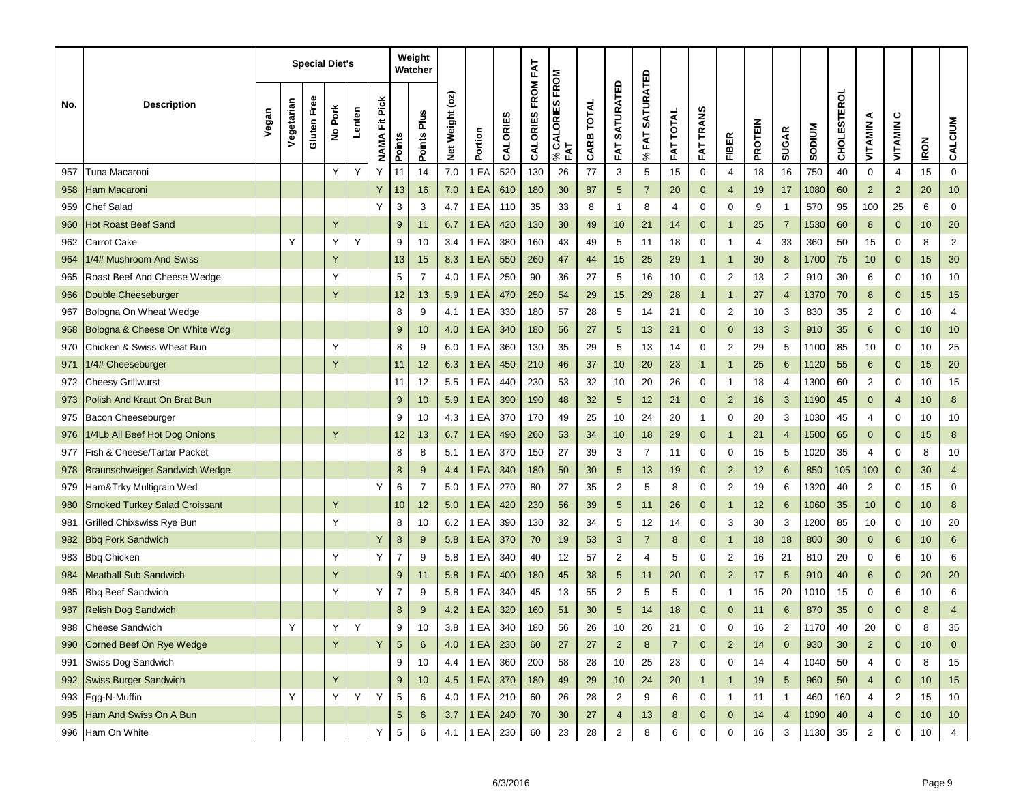|     |                                      |       |            |             | <b>Special Diet's</b> |        |                         |                | Weight<br>Watcher |                 |             |          |                   |                        |            |                   |                                 |                     |                  |                         |                |                |               |                    |                |                  |             |                         |
|-----|--------------------------------------|-------|------------|-------------|-----------------------|--------|-------------------------|----------------|-------------------|-----------------|-------------|----------|-------------------|------------------------|------------|-------------------|---------------------------------|---------------------|------------------|-------------------------|----------------|----------------|---------------|--------------------|----------------|------------------|-------------|-------------------------|
| No. | <b>Description</b>                   | Vegan | Vegetarian | Gluten Free | No Pork               | Lenten | Fit Pick<br><b>NAMA</b> | Points         | Points Plus       | Net Weight (oz) | Portion     | CALORIES | CALORIES FROM FAT | % CALORIES FROM<br>FAT | CARB TOTAL | SATURATED<br>FAT. | <b>SATURATED</b><br><b>%FAT</b> | <b>TOTAL</b><br>FAT | <b>FAT TRANS</b> | <b>FIBER</b>            | <b>PROTEIN</b> | <b>SUGAR</b>   | <b>NUIQOS</b> | <b>CHOLESTEROL</b> | ⋖<br>VITAMIN   | ပ<br>VITAMIN     | <b>IRON</b> | CALCIUM                 |
| 957 | Tuna Macaroni                        |       |            |             | Υ                     | Y      | Υ                       | 11             | 14                | 7.0             | EA          | 520      | 130               | 26                     | 77         | 3                 | 5                               | 15                  | $\mathbf 0$      | $\overline{4}$          | 18             | 16             | 750           | 40                 | 0              | 4                | 15          | $\mathbf 0$             |
| 958 | Ham Macaroni                         |       |            |             |                       |        | Y                       | 13             | 16                | 7.0             | 1 EA        | 610      | 180               | 30                     | 87         | 5                 | $\overline{7}$                  | 20                  | $\mathbf{0}$     | $\overline{4}$          | 19             | 17             | 1080          | 60                 | $\overline{2}$ | $\overline{2}$   | 20          | 10                      |
| 959 | <b>Chef Salad</b>                    |       |            |             |                       |        | Y                       | 3              | 3                 | 4.7             | 1 EA        | 110      | 35                | 33                     | 8          | $\mathbf{1}$      | 8                               | 4                   | 0                | $\mathbf 0$             | 9              | $\mathbf{1}$   | 570           | 95                 | 100            | 25               | 6           | $\mathbf 0$             |
| 960 | <b>Hot Roast Beef Sand</b>           |       |            |             | Y                     |        |                         | 9              | 11                | 6.7             | 1 EA        | 420      | 130               | 30                     | 49         | 10                | 21                              | 14                  | $\mathbf 0$      | $\overline{1}$          | 25             | $\overline{7}$ | 1530          | 60                 | 8              | $\mathbf{0}$     | 10          | 20                      |
| 962 | Carrot Cake                          |       | Y          |             | Υ                     | Y      |                         | 9              | 10                | 3.4             | 1 EA        | 380      | 160               | 43                     | 49         | 5                 | 11                              | 18                  | 0                | 1                       | 4              | 33             | 360           | 50                 | 15             | 0                | 8           | $\overline{c}$          |
| 964 | 1/4# Mushroom And Swiss              |       |            |             | Y                     |        |                         | 13             | 15                | 8.3             | 1 EA        | 550      | 260               | 47                     | 44         | 15                | 25                              | 29                  | $\mathbf{1}$     | $\overline{1}$          | 30             | 8              | 1700          | 75                 | 10             | $\mathbf 0$      | 15          | 30                      |
| 965 | Roast Beef And Cheese Wedge          |       |            |             | Υ                     |        |                         | 5              | $\overline{7}$    | 4.0             | EA          | 250      | 90                | 36                     | 27         | 5                 | 16                              | 10                  | 0                | $\overline{2}$          | 13             | $\overline{2}$ | 910           | 30                 | 6              | 0                | 10          | $10$                    |
| 966 | Double Cheeseburger                  |       |            |             | Y                     |        |                         | 12             | 13                | 5.9             | 1 EA        | 470      | 250               | 54                     | 29         | 15                | 29                              | 28                  | $\overline{1}$   | $\mathbf{1}$            | 27             | 4              | 1370          | 70                 | 8              | $\mathbf 0$      | 15          | 15                      |
| 967 | Bologna On Wheat Wedge               |       |            |             |                       |        |                         | 8              | 9                 | 4.1             | EA          | 330      | 180               | 57                     | 28         | 5                 | 14                              | 21                  | 0                | $\overline{\mathbf{c}}$ | 10             | 3              | 830           | 35                 | 2              | 0                | 10          | $\overline{\mathbf{4}}$ |
| 968 | Bologna & Cheese On White Wdg        |       |            |             |                       |        |                         | 9              | 10                | 4.0             | 1 EA        | 340      | 180               | 56                     | 27         | 5                 | 13                              | 21                  | $\mathbf 0$      | $\mathbf 0$             | 13             | 3              | 910           | 35                 | $\,6\,$        | $\mathbf 0$      | 10          | 10                      |
| 970 | Chicken & Swiss Wheat Bun            |       |            |             | Υ                     |        |                         | 8              | 9                 | 6.0             | EA          | 360      | 130               | 35                     | 29         | 5                 | 13                              | 14                  | 0                | $\overline{\mathbf{c}}$ | 29             | 5              | 1100          | 85                 | 10             | 0                | 10          | 25                      |
| 971 | 1/4# Cheeseburger                    |       |            |             | Y                     |        |                         | 11             | 12                | 6.3             | 1 EA        | 450      | 210               | 46                     | 37         | 10                | 20                              | 23                  | $\overline{1}$   | $\mathbf{1}$            | 25             | 6              | 1120          | 55                 | 6              | $\mathbf{0}$     | 15          | 20                      |
| 972 | Cheesy Grillwurst                    |       |            |             |                       |        |                         | 11             | 12                | 5.5             | EA          | 440      | 230               | 53                     | 32         | 10                | 20                              | 26                  | 0                | 1                       | 18             | 4              | 1300          | 60                 | 2              | 0                | 10          | 15                      |
| 973 | Polish And Kraut On Brat Bun         |       |            |             |                       |        |                         | 9              | 10                | 5.9             | 1 EA        | 390      | 190               | 48                     | 32         | $\overline{5}$    | 12                              | 21                  | $\mathbf{0}$     | $\overline{2}$          | 16             | 3              | 1190          | 45                 | $\mathbf 0$    | $\overline{4}$   | 10          | $\bf 8$                 |
| 975 | Bacon Cheeseburger                   |       |            |             |                       |        |                         | 9              | 10                | 4.3             | EA          | 370      | 170               | 49                     | 25         | 10                | 24                              | 20                  | $\mathbf{1}$     | $\mathbf 0$             | 20             | 3              | 1030          | 45                 | 4              | 0                | 10          | 10                      |
| 976 | 1/4Lb All Beef Hot Dog Onions        |       |            |             | Y                     |        |                         | 12             | 13                | 6.7             | 1 EA        | 490      | 260               | 53                     | 34         | 10                | 18                              | 29                  | $\mathbf{0}$     | $\mathbf{1}$            | 21             | 4              | 1500          | 65                 | 0              | $\mathbf 0$      | 15          | 8                       |
| 977 | Fish & Cheese/Tartar Packet          |       |            |             |                       |        |                         | 8              | 8                 | 5.1             | EA          | 370      | 150               | 27                     | 39         | 3                 | $\overline{7}$                  | 11                  | 0                | 0                       | 15             | 5              | 1020          | 35                 | 4              | 0                | 8           | 10                      |
| 978 | <b>Braunschweiger Sandwich Wedge</b> |       |            |             |                       |        |                         | 8              | 9                 | 4.4             | 1 EA        | 340      | 180               | 50                     | 30         | 5                 | 13                              | 19                  | $\mathbf{0}$     | $\overline{2}$          | 12             | 6              | 850           | 105                | 100            | $\mathbf 0$      | 30          | $\overline{4}$          |
| 979 | Ham&Trky Multigrain Wed              |       |            |             |                       |        | Y                       | 6              | $\overline{7}$    | 5.0             | 1 EA        | 270      | 80                | 27                     | 35         | $\overline{2}$    | 5                               | 8                   | 0                | $\overline{2}$          | 19             | 6              | 1320          | 40                 | $\overline{2}$ | 0                | 15          | $\mathbf 0$             |
| 980 | <b>Smoked Turkey Salad Croissant</b> |       |            |             | Y                     |        |                         | 10             | 12                | 5.0             | 1 EA        | 420      | 230               | 56                     | 39         | 5                 | 11                              | 26                  | $\mathbf{0}$     | -1                      | 12             | 6              | 1060          | 35                 | 10             | $\mathbf{0}$     | 10          | 8                       |
| 981 | Grilled Chixswiss Rye Bun            |       |            |             | Υ                     |        |                         | 8              | 10                | 6.2             | EA          | 390      | 130               | 32                     | 34         | 5                 | 12                              | 14                  | 0                | 3                       | 30             | 3              | 1200          | 85                 | 10             | 0                | 10          | 20                      |
| 982 | <b>Bbg Pork Sandwich</b>             |       |            |             |                       |        | Y                       | $\bf 8$        | 9                 | 5.8             | 1 EA        | 370      | 70                | 19                     | 53         | 3                 | $\overline{7}$                  | 8                   | $\mathbf{0}$     | $\mathbf{1}$            | 18             | 18             | 800           | 30                 | $\mathbf 0$    | 6                | 10          | $\,6$                   |
| 983 | <b>Bbg Chicken</b>                   |       |            |             | Υ                     |        | Y                       | $\overline{7}$ | 9                 | 5.8             | EA          | 340      | 40                | 12                     | 57         | $\overline{2}$    | 4                               | 5                   | 0                | $\overline{2}$          | 16             | 21             | 810           | 20                 | 0              | 6                | 10          | $\,6\,$                 |
| 984 | <b>Meatball Sub Sandwich</b>         |       |            |             | Y                     |        |                         | 9              | 11                | 5.8             | 1 EA        | 400      | 180               | 45                     | 38         | 5                 | 11                              | 20                  | $\mathbf{0}$     | $\overline{2}$          | 17             | 5              | 910           | 40                 | 6              | $\mathbf 0$      | 20          | 20                      |
| 985 | <b>Bbg Beef Sandwich</b>             |       |            |             | Υ                     |        | Y                       | $\overline{7}$ | 9                 | 5.8             | EA          | 340      | 45                | 13                     | 55         | $\overline{c}$    | 5                               | 5                   | 0                | 1                       | 15             | 20             | 1010          | 15                 | 0              | 6                | 10          | 6                       |
| 987 | <b>Relish Dog Sandwich</b>           |       |            |             |                       |        |                         | 8              | 9                 | 4.2             | 1 EA        | 320      | 160               | 51                     | 30         | 5                 | 14                              | 18                  | $\overline{0}$   | $\mathbf{0}$            | 11             | 6              | 870           | 35                 | $\mathbf 0$    | $\Omega$         | 8           | $\overline{4}$          |
| 988 | Cheese Sandwich                      |       |            |             | Y                     | Y      |                         | 9              | 10                | 3.8             | 1 EA        | 340      | 180               | 56                     | 26         | 10                | 26                              | 21                  | $\mathsf{O}$     | 0                       | 16             | $\mathbf{z}$   | 11/0          | 40                 | 20             | 0                | 8           | 35                      |
| 990 | Corned Beef On Rye Wedge             |       |            |             | Y                     |        | Y                       | $5\phantom{.}$ | 6                 | 4.0             | 1EA         | 230      | 60                | 27                     | 27         | $\overline{2}$    | 8                               | $\overline{7}$      | $\mathbf{0}$     | $\overline{2}$          | 14             | $\overline{0}$ | 930           | 30                 | $\overline{2}$ | $\mathbf 0$      | 10          | $\mathbf 0$             |
| 991 | Swiss Dog Sandwich                   |       |            |             |                       |        |                         | 9              | 10                | 4.4             | 1 EA        | 360      | 200               | 58                     | 28         | 10                | 25                              | 23                  | $\mathbf 0$      | 0                       | 14             | $\overline{4}$ | 1040          | 50                 | 4              | $\mathbf 0$      | 8           | 15                      |
| 992 | Swiss Burger Sandwich                |       |            |             | Y                     |        |                         | $9\,$          | 10 <sup>1</sup>   | 4.5             | <b>1 EA</b> | 370      | 180               | 49                     | 29         | 10                | 24                              | 20                  | $\mathbf{1}$     | $\mathbf{1}$            | 19             | 5 <sup>5</sup> | 960           | 50                 | $\overline{4}$ | $\mathbf 0$      | 10          | 15                      |
| 993 | Egg-N-Muffin                         |       | Y          |             | Y                     | Υ      | Y                       | 5              | 6                 | 4.0             | 1 EA        | 210      | 60                | 26                     | 28         | $\overline{2}$    | 9                               | 6                   | $\mathbf 0$      | $\mathbf{1}$            | 11             | $\mathbf{1}$   | 460           | 160                | $\overline{4}$ | $\overline{2}$   | 15          | 10                      |
| 995 | Ham And Swiss On A Bun               |       |            |             |                       |        |                         | $\sqrt{5}$     | 6                 | 3.7             | 1 EA        | 240      | 70                | 30                     | $27\,$     | $\overline{4}$    | 13                              | 8                   | 0                | $\mathbf{0}$            | 14             | $\overline{4}$ | 1090          | 40                 | 4              | $\mathbf 0$      | $10$        | $10$                    |
|     | 996 Ham On White                     |       |            |             |                       |        | Y                       | 5              | 6                 | 4.1             | 1 EA        | 230      | 60                | 23                     | 28         | $\overline{2}$    | 8                               | 6                   | 0                | 0                       | 16             | 3              | 1130          | 35                 | $\overline{2}$ | $\boldsymbol{0}$ | $10$        | $\overline{4}$          |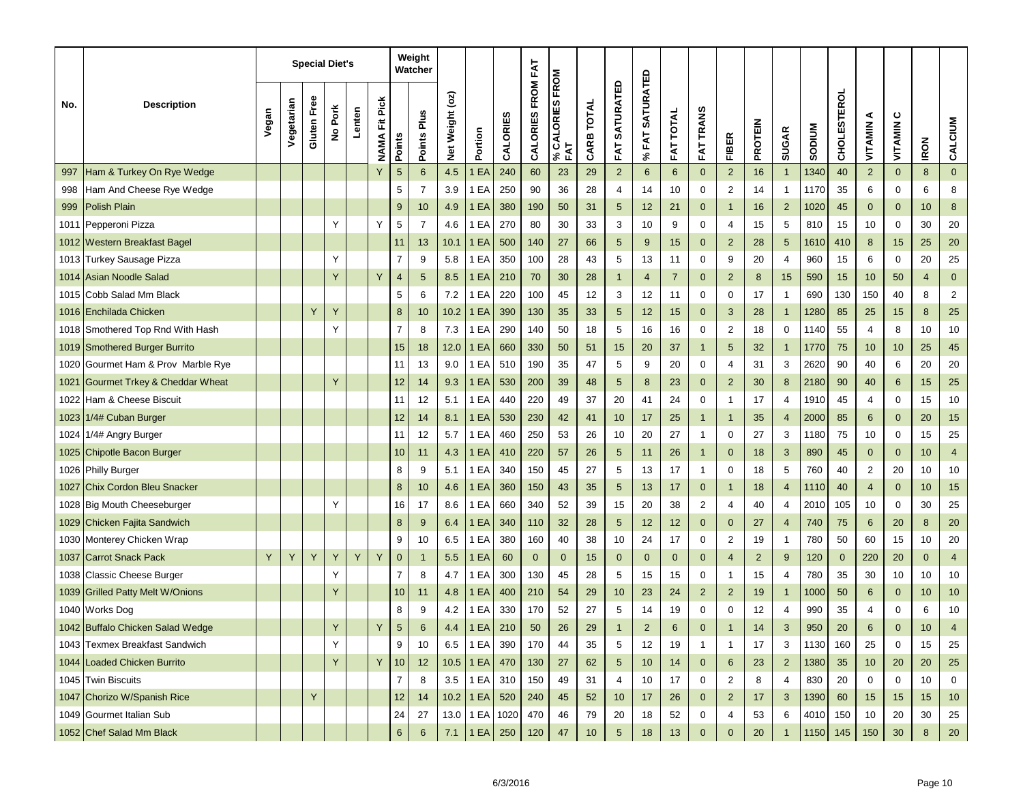|      |                                          |       |            |             | <b>Special Diet's</b> |        |                          |                | Weight<br>Watcher |                 |              |          |                   |                        |            |                          |                                 |                     |                  |                         |                |                |               |                    |                 |              |                |                |
|------|------------------------------------------|-------|------------|-------------|-----------------------|--------|--------------------------|----------------|-------------------|-----------------|--------------|----------|-------------------|------------------------|------------|--------------------------|---------------------------------|---------------------|------------------|-------------------------|----------------|----------------|---------------|--------------------|-----------------|--------------|----------------|----------------|
| No.  | <b>Description</b>                       | Vegan | Vegetarian | Gluten Free | No Pork               | Lenten | Pick<br>Ë<br><b>NAMA</b> | <b>Points</b>  | Plus<br>Points    | Net Weight (oz) | Portion      | CALORIES | CALORIES FROM FAT | % CALORIES FROM<br>FAT | CARB TOTAL | <b>SATURATED</b><br>FAT. | <b>SATURATED</b><br><b>%FAT</b> | <b>TOTAL</b><br>FAT | <b>FAT TRANS</b> | <b>FIBER</b>            | <b>PROTEIN</b> | <b>SUGAR</b>   | <b>SODIUM</b> | <b>CHOLESTEROL</b> | ⋖<br>VITAMIN    | ပ<br>VITAMIN | <b>IRON</b>    | CALCIUM        |
| 997  | Ham & Turkey On Rye Wedge                |       |            |             |                       |        |                          | 5              | 6                 | 4.5             | EA           | 240      | 60                | 23                     | 29         | $\overline{2}$           | 6                               | 6                   | $\mathbf{0}$     | $\overline{2}$          | 16             | $\mathbf{1}$   | 1340          | 40                 | $\overline{2}$  | $\mathbf{0}$ | 8              | $\overline{0}$ |
| 998  | Ham And Cheese Rye Wedge                 |       |            |             |                       |        |                          | 5              | $\overline{7}$    | 3.9             | 1 EA         | 250      | 90                | 36                     | 28         | 4                        | 14                              | 10                  | 0                | $\overline{\mathbf{c}}$ | 14             | $\mathbf{1}$   | 1170          | 35                 | 6               | $\mathbf 0$  | 6              | 8              |
| 999  | <b>Polish Plain</b>                      |       |            |             |                       |        |                          | 9              | 10                | 4.9             | 1 EA         | 380      | 190               | 50                     | 31         | 5                        | 12                              | 21                  | $\mathbf{0}$     | $\mathbf{1}$            | 16             | $\overline{2}$ | 1020          | 45                 | $\mathbf 0$     | $\mathbf{0}$ | 10             | 8              |
| 1011 | Pepperoni Pizza                          |       |            |             | Υ                     |        | Y                        | 5              | $\overline{7}$    | 4.6             | 1 EA         | 270      | 80                | 30                     | 33         | 3                        | 10                              | 9                   | 0                | 4                       | 15             | 5              | 810           | 15                 | 10              | 0            | 30             | 20             |
| 1012 | Western Breakfast Bagel                  |       |            |             |                       |        |                          | 11             | 13                | 10.1            | EA           | 500      | 140               | 27                     | 66         | 5                        | 9                               | 15                  | $\mathbf 0$      | $\overline{2}$          | 28             | 5              | 1610          | 410                | 8               | 15           | 25             | 20             |
| 1013 | Turkey Sausage Pizza                     |       |            |             | Υ                     |        |                          | $\overline{7}$ | 9                 | 5.8             | EA           | 350      | 100               | 28                     | 43         | 5                        | 13                              | 11                  | 0                | 9                       | 20             | 4              | 960           | 15                 | 6               | $\mathbf 0$  | 20             | 25             |
| 1014 | <b>Asian Noodle Salad</b>                |       |            |             | Y                     |        | Y                        | $\overline{4}$ | 5                 | 8.5             | EA           | 210      | 70                | 30                     | 28         | $\mathbf{1}$             | $\overline{4}$                  | $\overline{7}$      | $\mathbf{0}$     | $\overline{2}$          | 8              | 15             | 590           | 15                 | 10              | 50           | $\overline{4}$ | $\mathbf 0$    |
| 1015 | Cobb Salad Mm Black                      |       |            |             |                       |        |                          | 5              | 6                 | 7.2             | EA           | 220      | 100               | 45                     | 12         | 3                        | 12                              | 11                  | 0                | 0                       | 17             | 1              | 690           | 130                | 150             | 40           | 8              | 2              |
| 1016 | <b>Enchilada Chicken</b>                 |       |            | Y           | Y                     |        |                          | 8              | 10                | 10.2            | EA           | 390      | 130               | 35                     | 33         | 5                        | 12                              | 15                  | $\mathbf 0$      | 3                       | 28             | $\mathbf{1}$   | 1280          | 85                 | 25              | 15           | 8              | 25             |
| 1018 | Smothered Top Rnd With Hash              |       |            |             | Υ                     |        |                          | $\overline{7}$ | 8                 | 7.3             | 1 EA         | 290      | 140               | 50                     | 18         | 5                        | 16                              | 16                  | 0                | $\overline{\mathbf{c}}$ | 18             | 0              | 1140          | 55                 | 4               | 8            | 10             | $10$           |
| 1019 | <b>Smothered Burger Burrito</b>          |       |            |             |                       |        |                          | 15             | 18                | 12.0            | EA           | 660      | 330               | 50                     | 51         | 15                       | 20                              | 37                  | $\mathbf{1}$     | 5                       | 32             | $\mathbf{1}$   | 1770          | 75                 | 10              | 10           | 25             | 45             |
| 1020 | Gourmet Ham & Prov Marble Rye            |       |            |             |                       |        |                          | 11             | 13                | 9.0             | 1 EA         | 510      | 190               | 35                     | 47         | 5                        | 9                               | 20                  | 0                | 4                       | 31             | 3              | 2620          | 90                 | 40              | 6            | 20             | 20             |
| 1021 | <b>Gourmet Trkey &amp; Cheddar Wheat</b> |       |            |             | Y                     |        |                          | 12             | 14                | 9.3             | EA           | 530      | 200               | 39                     | 48         | 5                        | 8                               | 23                  | $\mathbf 0$      | $\overline{2}$          | 30             | 8              | 2180          | 90                 | 40              | 6            | 15             | 25             |
| 1022 | Ham & Cheese Biscuit                     |       |            |             |                       |        |                          | 11             | 12                | 5.1             | EA           | 440      | 220               | 49                     | 37         | 20                       | 41                              | 24                  | 0                | 1                       | 17             | 4              | 1910          | 45                 | 4               | 0            | 15             | 10             |
| 1023 | 1/4# Cuban Burger                        |       |            |             |                       |        |                          | 12             | 14                | 8.1             | EA           | 530      | 230               | 42                     | 41         | 10                       | 17                              | 25                  | $\mathbf{1}$     | $\overline{1}$          | 35             | 4              | 2000          | 85                 | 6               | $\mathbf 0$  | 20             | 15             |
| 1024 | 1/4# Angry Burger                        |       |            |             |                       |        |                          | 11             | 12                | 5.7             | EA           | 460      | 250               | 53                     | 26         | 10                       | 20                              | 27                  | $\mathbf{1}$     | 0                       | 27             | 3              | 1180          | 75                 | 10              | 0            | 15             | 25             |
| 1025 | Chipotle Bacon Burger                    |       |            |             |                       |        |                          | 10             | 11                | 4.3             | EA           | 410      | 220               | 57                     | 26         | 5                        | 11                              | 26                  | $\mathbf{1}$     | $\mathbf 0$             | 18             | 3              | 890           | 45                 | 0               | $\mathbf 0$  | 10             | $\overline{4}$ |
|      | 1026 Philly Burger                       |       |            |             |                       |        |                          | 8              | 9                 | 5.1             | 1 EA         | 340      | 150               | 45                     | 27         | 5                        | 13                              | 17                  | $\mathbf{1}$     | 0                       | 18             | 5              | 760           | 40                 | 2               | 20           | 10             | 10             |
|      | 1027 Chix Cordon Bleu Snacker            |       |            |             |                       |        |                          | 8              | 10                | 4.6             | EA           | 360      | 150               | 43                     | 35         | 5                        | 13                              | 17                  | $\mathbf 0$      | $\mathbf{1}$            | 18             | 4              | 1110          | 40                 | $\overline{4}$  | $\mathbf{0}$ | 10             | 15             |
|      | 1028 Big Mouth Cheeseburger              |       |            |             | Υ                     |        |                          | 16             | 17                | 8.6             | 1 EA         | 660      | 340               | 52                     | 39         | 15                       | 20                              | 38                  | 2                | 4                       | 40             | 4              | 2010          | 105                | 10              | 0            | 30             | 25             |
| 1029 | Chicken Fajita Sandwich                  |       |            |             |                       |        |                          | 8              | 9                 | 6.4             | EA           | 340      | 110               | 32                     | 28         | 5                        | 12                              | 12                  | $\mathbf 0$      | $\mathbf 0$             | 27             | 4              | 740           | 75                 | 6               | 20           | 8              | 20             |
|      | 1030 Monterey Chicken Wrap               |       |            |             |                       |        |                          | 9              | 10                | 6.5             | EA           | 380      | 160               | 40                     | 38         | 10                       | 24                              | 17                  | 0                | 2                       | 19             | $\mathbf{1}$   | 780           | 50                 | 60              | 15           | 10             | 20             |
| 1037 | <b>Carrot Snack Pack</b>                 | Y     | Y          | Y           | Υ                     | Y      | Y                        | $\overline{0}$ | $\mathbf{1}$      | 5.5             | EA           | 60       | $\mathbf{0}$      | $\mathbf 0$            | 15         | $\mathbf 0$              | $\mathbf 0$                     | 0                   | $\mathbf 0$      | 4                       | $\overline{2}$ | 9              | 120           | $\mathbf 0$        | 220             | 20           | $\mathbf 0$    | $\overline{4}$ |
| 1038 | <b>Classic Cheese Burger</b>             |       |            |             | Υ                     |        |                          | $\overline{7}$ | 8                 | 4.7             | EA           | 300      | 130               | 45                     | 28         | 5                        | 15                              | 15                  | 0                | 1                       | 15             | 4              | 780           | 35                 | 30              | 10           | 10             | 10             |
| 1039 | <b>Grilled Patty Melt W/Onions</b>       |       |            |             | Υ                     |        |                          | 10             | 11                | 4.8             | EA           | 400      | 210               | 54                     | 29         | 10                       | 23                              | 24                  | $\overline{2}$   | $\overline{2}$          | 19             | $\mathbf{1}$   | 1000          | 50                 | 6               | $\mathbf 0$  | 10             | 10             |
|      | 1040 Works Dog                           |       |            |             |                       |        |                          | 8              | 9                 | 4.2             | 1 EA         | 330      | 170               | 52                     | 27         | 5                        | 14                              | 19                  | 0                | 0                       | 12             | 4              | 990           | 35                 | 4               | 0            | 6              | 10             |
|      | 1042 Buffalo Chicken Salad Wedge         |       |            |             |                       |        |                          | 5              | 6                 | 4.4             | 1EA          | 210      | 50                | 26                     | 29         | $\mathbf{1}$             | $\overline{c}$                  | 6                   |                  |                         | 14             | $\sqrt{3}$     | 950           | 20                 | $6\phantom{1}$  |              | 10             |                |
|      | 1043 Texmex Breakfast Sandwich           |       |            |             | Υ                     |        |                          | 9              | 10                | 6.5             | 1 EA         | 390      | 170               | 44                     | 35         | 5                        | 12                              | 19                  | $\mathbf{1}$     | 1                       | 17             | 3              | 1130          | 160                | 25              | 0            | 15             | 25             |
|      | 1044 Loaded Chicken Burrito              |       |            |             | Y                     |        | Y                        | $ 10\rangle$   | 12                |                 | 10.5 $1 E A$ | 470      | 130               | 27                     | 62         | 5                        | 10                              | 14                  | $\mathbf 0$      | 6                       | 23             | $2^{\circ}$    | 1380          | 35                 | 10 <sup>°</sup> | 20           | 20             | 25             |
|      | 1045 Twin Biscuits                       |       |            |             |                       |        |                          | $\overline{7}$ | 8                 | 3.5             | 1 EA         | 310      | 150               | 49                     | 31         | 4                        | 10                              | 17                  | 0                | $\overline{c}$          | 8              | 4              | 830           | 20                 | 0               | 0            | 10             | 0              |
|      | 1047 Chorizo W/Spanish Rice              |       |            | Y           |                       |        |                          | 12             | 14                |                 | $10.2$ 1 EA  | 520      | 240               | 45                     | 52         | 10                       | 17                              | 26                  | $\mathbf 0$      | $\overline{2}$          | 17             | 3              | 1390          | 60                 | 15              | 15           | 15             | 10             |
|      | 1049 Gourmet Italian Sub                 |       |            |             |                       |        |                          | 24             | 27                |                 | 13.0 1 EA    | 1020     | 470               | 46                     | 79         | 20                       | 18                              | 52                  | 0                | 4                       | 53             | 6              | 4010          | 150                | 10              | 20           | 30             | 25             |
|      | 1052 Chef Salad Mm Black                 |       |            |             |                       |        |                          | $6\phantom{a}$ | 6                 | $7.1$           | 1EA          | 250      | 120               | 47                     | $10$       | $5\phantom{.0}$          | $18$                            | $13$                | $\pmb{0}$        | $\pmb{0}$               | 20             | $\mathbf{1}$   |               | 1150 145           | 150             | $30\,$       | $\bf 8$        | $20\,$         |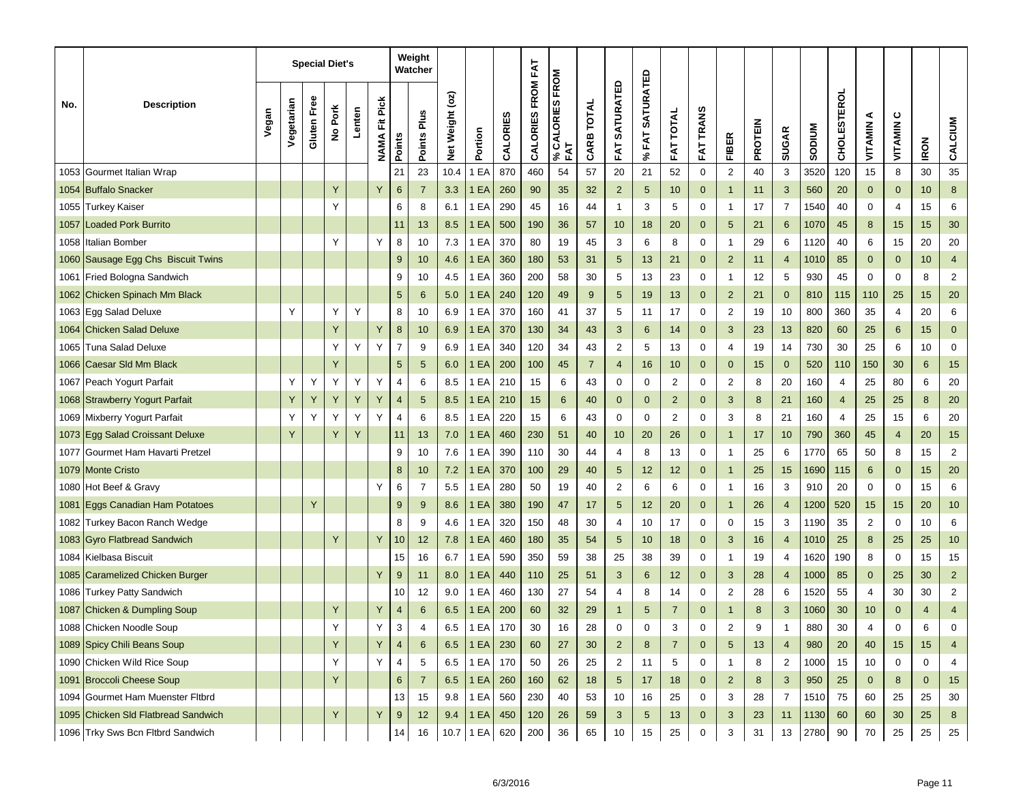|      |                                     |       |            |             | <b>Special Diet's</b> |        |                          |                  | Weight<br>Watcher |                 |         |          |                   |                        |                |                         |                                 |                     |                  |                         |                |                |               |                    |              |              |             |                         |
|------|-------------------------------------|-------|------------|-------------|-----------------------|--------|--------------------------|------------------|-------------------|-----------------|---------|----------|-------------------|------------------------|----------------|-------------------------|---------------------------------|---------------------|------------------|-------------------------|----------------|----------------|---------------|--------------------|--------------|--------------|-------------|-------------------------|
| No.  | <b>Description</b>                  | Vegan | Vegetarian | Gluten Free | No Pork               | Lenten | Pick<br>Ë<br><b>NAMA</b> | Points           | Points Plus       | Net Weight (oz) | Portion | CALORIES | CALORIES FROM FAT | % CALORIES FROM<br>FAT | CARB TOTAL     | <b>SATURATED</b><br>FAT | <b>SATURATED</b><br><b>%FAT</b> | <b>TOTAL</b><br>FAT | <b>FAT TRANS</b> | <b>FIBER</b>            | <b>PROTEIN</b> | <b>SUGAR</b>   | <b>SODIUM</b> | <b>CHOLESTEROL</b> | ⋖<br>VITAMIN | ပ<br>VITAMIN | <b>IRON</b> | CALCIUM                 |
| 1053 | Gourmet Italian Wrap                |       |            |             |                       |        |                          | 21               | 23                | 10.4            | EA      | 870      | 460               | 54                     | 57             | 20                      | 21                              | 52                  | $\mathbf 0$      | $\overline{\mathbf{c}}$ | 40             | 3              | 3520          | 120                | 15           | 8            | 30          | 35                      |
|      | 1054 Buffalo Snacker                |       |            |             | Y                     |        | Y                        | 6                | $\overline{7}$    | 3.3             | EA      | 260      | 90                | 35                     | 32             | $\overline{2}$          | 5                               | 10 <sup>1</sup>     | $\mathbf 0$      | $\mathbf{1}$            | 11             | 3              | 560           | 20                 | $\mathbf 0$  | $\mathbf 0$  | 10          | $\boldsymbol{8}$        |
| 1055 | Turkey Kaiser                       |       |            |             | Υ                     |        |                          | 6                | 8                 | 6.1             | 1 EA    | 290      | 45                | 16                     | 44             | $\overline{1}$          | 3                               | 5                   | 0                | 1                       | 17             | 7              | 1540          | 40                 | 0            | 4            | 15          | 6                       |
| 1057 | <b>Loaded Pork Burrito</b>          |       |            |             |                       |        |                          | 11               | 13                | 8.5             | 1 EA    | 500      | 190               | 36                     | 57             | 10                      | 18                              | 20                  | $\mathbf 0$      | 5                       | 21             | $6\phantom{1}$ | 1070          | 45                 | 8            | 15           | 15          | 30                      |
| 1058 | Italian Bomber                      |       |            |             | Υ                     |        | Y                        | 8                | 10                | 7.3             | 1 EA    | 370      | 80                | 19                     | 45             | 3                       | 6                               | 8                   | 0                | 1                       | 29             | 6              | 1120          | 40                 | 6            | 15           | 20          | 20                      |
| 1060 | Sausage Egg Chs Biscuit Twins       |       |            |             |                       |        |                          | 9                | 10                | 4.6             | 1 EA    | 360      | 180               | 53                     | 31             | 5                       | 13                              | 21                  | $\mathbf 0$      | $\overline{c}$          | 11             | 4              | 1010          | 85                 | $\mathbf 0$  | $\mathbf 0$  | 10          | $\overline{4}$          |
|      | 1061 Fried Bologna Sandwich         |       |            |             |                       |        |                          | 9                | 10                | 4.5             | EA      | 360      | 200               | 58                     | 30             | 5                       | 13                              | 23                  | 0                | 1                       | 12             | 5              | 930           | 45                 | 0            | 0            | 8           | $\overline{2}$          |
| 1062 | Chicken Spinach Mm Black            |       |            |             |                       |        |                          | 5                | 6                 | 5.0             | EA      | 240      | 120               | 49                     | $9\,$          | 5                       | 19                              | 13                  | $\mathbf 0$      | $\overline{2}$          | 21             | $\mathbf{0}$   | 810           | 115                | 110          | 25           | 15          | 20                      |
| 1063 | Egg Salad Deluxe                    |       | Υ          |             | Υ                     | Y      |                          | 8                | 10                | 6.9             | EA      | 370      | 160               | 41                     | 37             | 5                       | 11                              | 17                  | 0                | $\overline{\mathbf{c}}$ | 19             | 10             | 800           | 360                | 35           | 4            | 20          | 6                       |
|      | 1064 Chicken Salad Deluxe           |       |            |             | Y                     |        | Y                        | $\boldsymbol{8}$ | 10                | 6.9             | EA      | 370      | 130               | 34                     | 43             | 3                       | 6                               | 14                  | $\mathbf 0$      | 3                       | 23             | 13             | 820           | 60                 | 25           | 6            | 15          | $\mathbf 0$             |
| 1065 | Tuna Salad Deluxe                   |       |            |             | Υ                     | Y      | Y                        | $\overline{7}$   | 9                 | 6.9             | EA      | 340      | 120               | 34                     | 43             | $\overline{2}$          | 5                               | 13                  | 0                | 4                       | 19             | 14             | 730           | 30                 | 25           | 6            | 10          | $\mathbf 0$             |
| 1066 | Caesar SId Mm Black                 |       |            |             | Y                     |        |                          | 5                | $\sqrt{5}$        | 6.0             | 1 EA    | 200      | 100               | 45                     | $\overline{7}$ | $\overline{4}$          | 16                              | 10                  | $\mathbf 0$      | $\mathbf 0$             | 15             | $\mathbf 0$    | 520           | 110                | 150          | 30           | 6           | 15                      |
| 1067 | Peach Yogurt Parfait                |       | Y          | Υ           | Υ                     | Y      | Y                        | 4                | 6                 | 8.5             | EA      | 210      | 15                | 6                      | 43             | 0                       | 0                               | 2                   | 0                | $\overline{\mathbf{c}}$ | 8              | 20             | 160           | $\overline{4}$     | 25           | 80           | 6           | 20                      |
|      | 1068 Strawberry Yogurt Parfait      |       | Υ          | Y           | Y                     | Υ      | Y                        | 4                | $\sqrt{5}$        | 8.5             | EA      | 210      | 15                | 6                      | 40             | $\mathbf 0$             | $\mathbf 0$                     | $\overline{2}$      | $\mathbf 0$      | 3                       | 8              | 21             | 160           | $\overline{4}$     | 25           | 25           | 8           | 20                      |
|      | 1069 Mixberry Yogurt Parfait        |       | Y          | Υ           | Y                     | Υ      | Y                        | 4                | 6                 | 8.5             | EA      | 220      | 15                | 6                      | 43             | 0                       | 0                               | 2                   | 0                | 3                       | 8              | 21             | 160           | $\overline{4}$     | 25           | 15           | 6           | 20                      |
|      | 1073 Egg Salad Croissant Deluxe     |       | Y          |             | Y                     | Y      |                          | 11               | 13                | 7.0             | EA      | 460      | 230               | 51                     | 40             | 10                      | 20                              | 26                  | $\mathbf 0$      | 1                       | 17             | 10             | 790           | 360                | 45           | 4            | 20          | 15                      |
| 1077 | Gourmet Ham Havarti Pretzel         |       |            |             |                       |        |                          | 9                | 10                | 7.6             | EA      | 390      | 110               | 30                     | 44             | 4                       | 8                               | 13                  | 0                | 1                       | 25             | 6              | 1770          | 65                 | 50           | 8            | 15          | $\overline{\mathbf{c}}$ |
|      | 1079 Monte Cristo                   |       |            |             |                       |        |                          | 8                | 10                | 7.2             | EA      | 370      | 100               | 29                     | 40             | 5                       | 12                              | 12                  | $\mathbf 0$      | $\overline{1}$          | 25             | 15             | 1690          | 115                | 6            | $\mathbf 0$  | 15          | 20                      |
|      | 1080 Hot Beef & Gravy               |       |            |             |                       |        | Y                        | 6                | $\overline{7}$    | 5.5             | EA      | 280      | 50                | 19                     | 40             | 2                       | 6                               | 6                   | 0                | 1                       | 16             | 3              | 910           | 20                 | 0            | 0            | 15          | 6                       |
| 1081 | Eggs Canadian Ham Potatoes          |       |            | Y           |                       |        |                          | 9                | 9                 | 8.6             | EA      | 380      | 190               | 47                     | 17             | 5                       | 12                              | 20                  | $\mathbf 0$      | -1                      | 26             | 4              | 1200          | 520                | 15           | 15           | 20          | 10                      |
| 1082 | Turkey Bacon Ranch Wedge            |       |            |             |                       |        |                          | 8                | 9                 | 4.6             | EA      | 320      | 150               | 48                     | 30             | 4                       | 10                              | 17                  | 0                | 0                       | 15             | 3              | 1190          | 35                 | 2            | 0            | 10          | 6                       |
| 1083 | <b>Gyro Flatbread Sandwich</b>      |       |            |             | Y                     |        | Y                        | 10               | 12                | 7.8             | EA      | 460      | 180               | 35                     | 54             | 5                       | 10                              | 18                  | $\mathbf 0$      | 3                       | 16             | 4              | 1010          | 25                 | 8            | 25           | 25          | 10                      |
|      | 1084 Kielbasa Biscuit               |       |            |             |                       |        |                          | 15               | 16                | 6.7             | EA      | 590      | 350               | 59                     | 38             | 25                      | 38                              | 39                  | 0                | 1                       | 19             | 4              | 1620          | 190                | 8            | 0            | 15          | 15                      |
| 1085 | <b>Caramelized Chicken Burger</b>   |       |            |             |                       |        | Y                        | 9                | 11                | 8.0             | EA      | 440      | 110               | 25                     | 51             | 3                       | 6                               | 12                  | $\mathbf 0$      | 3                       | 28             | 4              | 1000          | 85                 | 0            | 25           | 30          | $\overline{2}$          |
| 1086 | <b>Turkey Patty Sandwich</b>        |       |            |             |                       |        |                          | 10               | 12                | 9.0             | EA      | 460      | 130               | 27                     | 54             | 4                       | 8                               | 14                  | 0                | 2                       | 28             | 6              | 1520          | 55                 | 4            | 30           | 30          | $\overline{c}$          |
|      | 1087 Chicken & Dumpling Soup        |       |            |             | Y                     |        | Y                        | $\overline{4}$   | 6                 | 6.5             | EA      | 200      | 60                | 32                     | 29             | $\mathbf{1}$            | 5                               | $\overline{7}$      | $\Omega$         | 1                       | 8              | 3              | 1060          | 30                 | 10           | $\mathbf 0$  | 4           | $\overline{4}$          |
|      | 1088 Chicken Noodle Soup            |       |            |             |                       |        | Y                        | 3                | 4                 | 6.5             | 1 EA    | 170      | 30                | 16                     | 28             | $\mathsf{U}$            | O                               | 3                   | O                | $\mathbf{z}$            | 9              | 1              | 880           | 30                 | 4            | 0            | 6           |                         |
|      | 1089 Spicy Chili Beans Soup         |       |            |             | Y                     |        | $\sf Y$                  | $\overline{4}$   | 6                 | 6.5             | 1 EA    | 230      | 60                | 27                     | 30             | $\overline{2}$          | 8                               | $\overline{7}$      | 0                | 5                       | 13             | 4              | 980           | 20                 | 40           | 15           | 15          | 4                       |
|      | 1090 Chicken Wild Rice Soup         |       |            |             | Υ                     |        | Y                        | 4                | 5                 | 6.5             | 1 EA    | 170      | 50                | 26                     | 25             | $\overline{2}$          | 11                              | 5                   | 0                | 1                       | 8              | $\overline{2}$ | 1000          | 15                 | 10           | $\mathbf 0$  | 0           | 4                       |
|      | 1091 Broccoli Cheese Soup           |       |            |             | Y                     |        |                          | 6                | $\overline{7}$    | 6.5             | 1EA     | 260      | 160               | 62                     | 18             | 5                       | 17                              | 18                  | $\mathbf 0$      | $\overline{2}$          | 8              | 3              | 950           | 25                 | $\mathbf 0$  | 8            | $\mathbf 0$ | 15                      |
|      | 1094 Gourmet Ham Muenster Fitbrd    |       |            |             |                       |        |                          | 13               | 15                | 9.8             | 1 EA    | 560      | 230               | 40                     | 53             | 10                      | 16                              | 25                  | 0                | 3                       | 28             | $\overline{7}$ | 1510          | 75                 | 60           | 25           | 25          | 30                      |
|      | 1095 Chicken Sld Flatbread Sandwich |       |            |             | Y                     |        | Υ                        | 9                | 12                | 9.4             | 1EA     | 450      | 120               | 26                     | 59             | 3                       | $\sqrt{5}$                      | 13 <sub>2</sub>     | 0                | 3                       | 23             | 11             | 1130          | 60                 | 60           | 30           | 25          | 8                       |
|      | 1096 Trky Sws Bcn Fltbrd Sandwich   |       |            |             |                       |        |                          | 14               | 16                | 10.7            | 1 EA    | 620      | 200               | 36                     | 65             | 10                      | 15                              | 25                  | $\mathbf 0$      | 3                       | 31             | 13             | 2780          | 90                 | 70           | 25           | 25          | 25                      |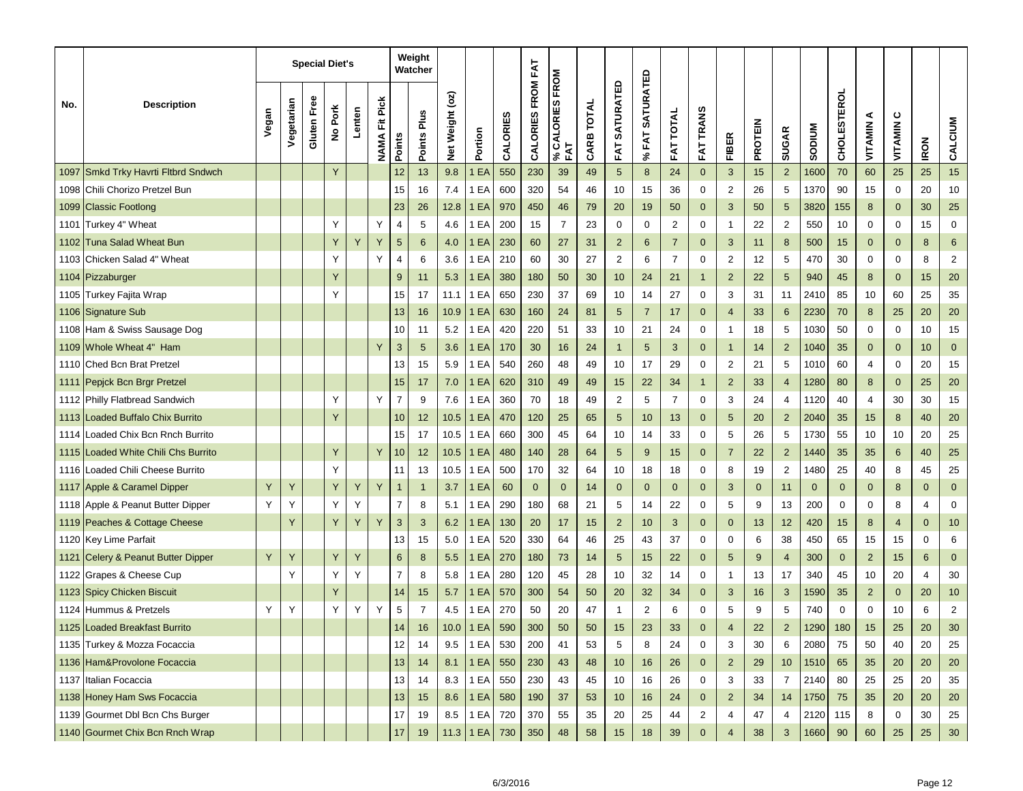|      |                                     |       |            |             | <b>Special Diet's</b> |        |                          |                | Weight<br>Watcher |                 |               |          |                   |                        |            |                         |                                 |                     |                  |                         |                |                 |               |                    |                |                |             |                |
|------|-------------------------------------|-------|------------|-------------|-----------------------|--------|--------------------------|----------------|-------------------|-----------------|---------------|----------|-------------------|------------------------|------------|-------------------------|---------------------------------|---------------------|------------------|-------------------------|----------------|-----------------|---------------|--------------------|----------------|----------------|-------------|----------------|
| No.  | <b>Description</b>                  | Vegan | Vegetarian | Gluten Free | No Pork               | Lenten | Pick<br>Ë<br><b>NAMA</b> | Points         | Points Plus       | Net Weight (oz) | Portion       | CALORIES | CALORIES FROM FAT | % CALORIES FROM<br>FAT | CARB TOTAL | <b>SATURATED</b><br>FAT | <b>SATURATED</b><br><b>%FAT</b> | <b>TOTAL</b><br>FAT | <b>FAT TRANS</b> | <b>FIBER</b>            | <b>PROTEIN</b> | <b>SUGAR</b>    | <b>SODIUM</b> | <b>CHOLESTEROL</b> | ⋖<br>VITAMIN   | ပ<br>VITAMIN   | <b>IRON</b> | CALCIUM        |
| 1097 | Smkd Trky Havrti Fltbrd Sndwch      |       |            |             | Y                     |        |                          | 12             | 13                | 9.8             | EA            | 550      | 230               | 39                     | 49         | 5                       | 8                               | 24                  | $\mathbf{0}$     | $\sqrt{3}$              | 15             | $\overline{2}$  | 1600          | 70                 | 60             | 25             | 25          | 15             |
| 1098 | Chili Chorizo Pretzel Bun           |       |            |             |                       |        |                          | 15             | 16                | 7.4             | 1 EA          | 600      | 320               | 54                     | 46         | 10                      | 15                              | 36                  | 0                | $\overline{\mathbf{c}}$ | 26             | 5               | 1370          | 90                 | 15             | $\mathbf 0$    | 20          | 10             |
| 1099 | <b>Classic Footlong</b>             |       |            |             |                       |        |                          | 23             | 26                | 12.8            | 1 EA          | 970      | 450               | 46                     | 79         | 20                      | 19                              | 50                  | $\mathbf 0$      | 3                       | 50             | 5               | 3820          | 155                | 8              | $\mathbf 0$    | 30          | 25             |
| 1101 | Turkey 4" Wheat                     |       |            |             | Υ                     |        | Y                        | 4              | 5                 | 4.6             | 1 EA          | 200      | 15                | 7                      | 23         | 0                       | 0                               | 2                   | 0                | 1                       | 22             | $\overline{2}$  | 550           | 10                 | 0              | 0              | 15          | $\mathbf 0$    |
| 1102 | Tuna Salad Wheat Bun                |       |            |             | Y                     | Υ      | Y                        | 5              | 6                 | 4.0             | EA            | 230      | 60                | 27                     | 31         | $\overline{2}$          | 6                               | $\overline{7}$      | $\mathbf 0$      | 3                       | 11             | 8               | 500           | 15                 | 0              | $\mathbf 0$    | 8           | 6              |
| 1103 | Chicken Salad 4" Wheat              |       |            |             | Υ                     |        | Y                        | 4              | 6                 | 3.6             | 1 EA          | 210      | 60                | 30                     | 27         | 2                       | 6                               | $\overline{7}$      | 0                | $\overline{\mathbf{c}}$ | 12             | 5               | 470           | 30                 | 0              | 0              | 8           | $\overline{2}$ |
|      | 1104 Pizzaburger                    |       |            |             | Y                     |        |                          | 9              | 11                | 5.3             | EA            | 380      | 180               | 50                     | 30         | 10                      | 24                              | 21                  | $\mathbf{1}$     | $\overline{2}$          | 22             | 5               | 940           | 45                 | 8              | $\mathbf 0$    | 15          | 20             |
| 1105 | Turkey Fajita Wrap                  |       |            |             | Υ                     |        |                          | 15             | 17                | 11.1            | 1 EA          | 650      | 230               | 37                     | 69         | 10                      | 14                              | 27                  | 0                | 3                       | 31             | 11              | 2410          | 85                 | 10             | 60             | 25          | 35             |
|      | 1106 Signature Sub                  |       |            |             |                       |        |                          | 13             | 16                | 10.9            | EA            | 630      | 160               | 24                     | 81         | 5                       | 7                               | 17                  | $\mathbf 0$      | 4                       | 33             | 6               | 2230          | 70                 | 8              | 25             | 20          | 20             |
|      | 1108 Ham & Swiss Sausage Dog        |       |            |             |                       |        |                          | 10             | 11                | 5.2             | 1 EA          | 420      | 220               | 51                     | 33         | 10                      | 21                              | 24                  | 0                | 1                       | 18             | 5               | 1030          | 50                 | 0              | 0              | 10          | 15             |
|      | 1109 Whole Wheat 4" Ham             |       |            |             |                       |        | Y                        | 3              | 5                 | 3.6             | EA            | 170      | 30                | 16                     | 24         | $\overline{1}$          | 5                               | 3                   | $\mathbf{0}$     | $\overline{1}$          | 14             | $\overline{2}$  | 1040          | 35                 | $\mathbf 0$    | $\mathbf{0}$   | 10          | $\mathbf 0$    |
| 1110 | <b>Ched Bcn Brat Pretzel</b>        |       |            |             |                       |        |                          | 13             | 15                | 5.9             | 1 EA          | 540      | 260               | 48                     | 49         | 10                      | 17                              | 29                  | 0                | $\overline{\mathbf{c}}$ | 21             | 5               | 1010          | 60                 | 4              | 0              | 20          | 15             |
|      | 1111   Pepjck Bcn Brgr Pretzel      |       |            |             |                       |        |                          | 15             | 17                | 7.0             | EA            | 620      | 310               | 49                     | 49         | 15                      | 22                              | 34                  | $\mathbf{1}$     | $\overline{2}$          | 33             | 4               | 1280          | 80                 | 8              | $\mathbf 0$    | 25          | 20             |
|      | 1112 Philly Flatbread Sandwich      |       |            |             | Υ                     |        | Y                        | $\overline{7}$ | 9                 | 7.6             | 1 EA          | 360      | 70                | 18                     | 49         | $\overline{\mathbf{c}}$ | 5                               | $\overline{7}$      | 0                | 3                       | 24             | 4               | 1120          | 40                 | 4              | 30             | 30          | 15             |
|      | 1113 Loaded Buffalo Chix Burrito    |       |            |             | Y                     |        |                          | 10             | 12                | 10.5            | 1 EA          | 470      | 120               | 25                     | 65         | 5                       | 10                              | 13                  | $\mathbf 0$      | 5                       | 20             | $\overline{2}$  | 2040          | 35                 | 15             | 8              | 40          | 20             |
|      | 1114 Loaded Chix Bcn Rnch Burrito   |       |            |             |                       |        |                          | 15             | 17                | 10.5            | 1 EA          | 660      | 300               | 45                     | 64         | 10                      | 14                              | 33                  | 0                | 5                       | 26             | 5               | 1730          | 55                 | 10             | 10             | 20          | 25             |
|      | 1115 Loaded White Chili Chs Burrito |       |            |             | Υ                     |        | Y                        | 10             | 12                | 10.5            | EA            | 480      | 140               | 28                     | 64         | 5                       | 9                               | 15                  | $\mathbf 0$      | $\overline{7}$          | 22             | $\overline{2}$  | 1440          | 35                 | 35             | 6              | 40          | 25             |
|      | 1116 Loaded Chili Cheese Burrito    |       |            |             | Υ                     |        |                          | 11             | 13                | 10.5            | 1 EA          | 500      | 170               | 32                     | 64         | 10                      | 18                              | 18                  | 0                | 8                       | 19             | 2               | 1480          | 25                 | 40             | 8              | 45          | 25             |
|      | 1117 Apple & Caramel Dipper         | Y     | Y          |             | Y                     | Υ      | Y                        | $\mathbf 1$    | $\mathbf{1}$      | 3.7             | EA            | 60       | $\mathbf 0$       | $\mathbf 0$            | 14         | $\mathbf 0$             | $\mathbf 0$                     | $\mathbf{0}$        | $\mathbf 0$      | 3                       | $\mathbf{0}$   | 11              | $\mathbf{0}$  | $\Omega$           | 0              | 8              | $\mathbf 0$ | $\mathbf 0$    |
| 1118 | Apple & Peanut Butter Dipper        | Υ     | Y          |             | Υ                     | Y      |                          | $\overline{7}$ | 8                 | 5.1             | EA            | 290      | 180               | 68                     | 21         | 5                       | 14                              | 22                  | 0                | 5                       | 9              | 13              | 200           | 0                  | 0              | 8              | 4           | 0              |
|      | 1119 Peaches & Cottage Cheese       |       | Υ          |             | Υ                     | Y      | Y                        | 3              | 3                 | 6.2             | EA            | 130      | 20                | 17                     | 15         | $\overline{2}$          | 10                              | 3                   | $\mathbf 0$      | $\mathbf 0$             | 13             | 12              | 420           | 15                 | 8              | $\overline{4}$ | $\mathbf 0$ | 10             |
|      | 1120 Key Lime Parfait               |       |            |             |                       |        |                          | 13             | 15                | 5.0             | 1 EA          | 520      | 330               | 64                     | 46         | 25                      | 43                              | 37                  | 0                | 0                       | 6              | 38              | 450           | 65                 | 15             | 15             | 0           | 6              |
|      | 1121 Celery & Peanut Butter Dipper  | Y     | Υ          |             | Y                     | Y      |                          | 6              | 8                 | 5.5             | EA            | 270      | 180               | 73                     | 14         | 5                       | 15                              | 22                  | $\mathbf 0$      | 5                       | 9              | $\overline{4}$  | 300           | $\mathbf 0$        | $\overline{2}$ | 15             | 6           | $\mathbf 0$    |
|      | 1122 Grapes & Cheese Cup            |       | Y          |             | Y                     | Y      |                          | $\overline{7}$ | 8                 | 5.8             | 1 EA          | 280      | 120               | 45                     | 28         | 10                      | 32                              | 14                  | 0                | 1                       | 13             | 17              | 340           | 45                 | 10             | 20             | 4           | $30\,$         |
|      | 1123 Spicy Chicken Biscuit          |       |            |             | Υ                     |        |                          | 14             | 15                | 5.7             | EA            | 570      | 300               | 54                     | 50         | 20                      | 32                              | 34                  | $\mathbf 0$      | 3                       | 16             | 3               | 1590          | 35                 | $\overline{2}$ | $\mathbf 0$    | 20          | 10             |
|      | 1124 Hummus & Pretzels              | Υ     | Υ          |             | Y                     | Y      | Υ                        | 5              | $\overline{7}$    | 4.5             | 1 EA          | 270      | 50                | 20                     | 47         | $\mathbf{1}$            | $\overline{2}$                  | 6                   | 0                | 5                       | 9              | 5               | 740           | 0                  | 0              | 10             | 6           | $\overline{2}$ |
|      | 1125 Loaded Breakfast Burrito       |       |            |             |                       |        |                          | 14             | 16                |                 | $10.0$   1 EA | 590      | 300               | 50                     | 50         | 15                      | 23                              | 33                  |                  | 4                       | 22             | $\mathbf 2$     | 1290          | 180                | 15             | 25             | 20          | 30             |
|      | 1135 Turkey & Mozza Focaccia        |       |            |             |                       |        |                          | 12             | 14                | 9.5             | 1 EA          | 530      | 200               | 41                     | 53         | 5                       | 8                               | 24                  | 0                | 3                       | 30             | 6               | 2080          | 75                 | 50             | 40             | 20          | 25             |
|      | 1136 Ham&Provolone Focaccia         |       |            |             |                       |        |                          | 13             | 14                | 8.1             | 1EA           | 550      | 230               | 43                     | 48         | 10                      | 16                              | 26                  | $\mathbf 0$      | $\overline{2}$          | 29             | 10 <sup>°</sup> | 1510          | 65                 | 35             | 20             | 20          | 20             |
|      | 1137 Italian Focaccia               |       |            |             |                       |        |                          | 13             | 14                | 8.3             | 1 EA          | 550      | 230               | 43                     | 45         | 10                      | 16                              | 26                  | 0                | 3                       | 33             | 7               | 2140          | 80                 | 25             | 25             | 20          | 35             |
|      | 1138 Honey Ham Sws Focaccia         |       |            |             |                       |        |                          | 13             | 15                | 8.6             | <b>1 EA</b>   | 580      | 190               | 37                     | 53         | 10                      | 16                              | 24                  | $\mathbf 0$      | $\overline{2}$          | 34             | 14              | 1750          | 75                 | 35             | 20             | 20          | 20             |
|      | 1139 Gourmet Dbl Bcn Chs Burger     |       |            |             |                       |        |                          | 17             | 19                | 8.5             | 1 EA          | 720      | 370               | 55                     | 35         | 20                      | 25                              | 44                  | 2                | 4                       | 47             | 4               | 2120          | 115                | 8              | 0              | 30          | 25             |
|      | 1140 Gourmet Chix Bcn Rnch Wrap     |       |            |             |                       |        |                          | 17             | 19                |                 | $11.3$ 1 EA   | 730      | 350               | 48                     | 58         | $15\,$                  | 18                              | 39                  | $\pmb{0}$        | $\overline{4}$          | 38             | 3 <sup>2</sup>  | 1660          | 90                 | 60             | 25             | 25          | $30\,$         |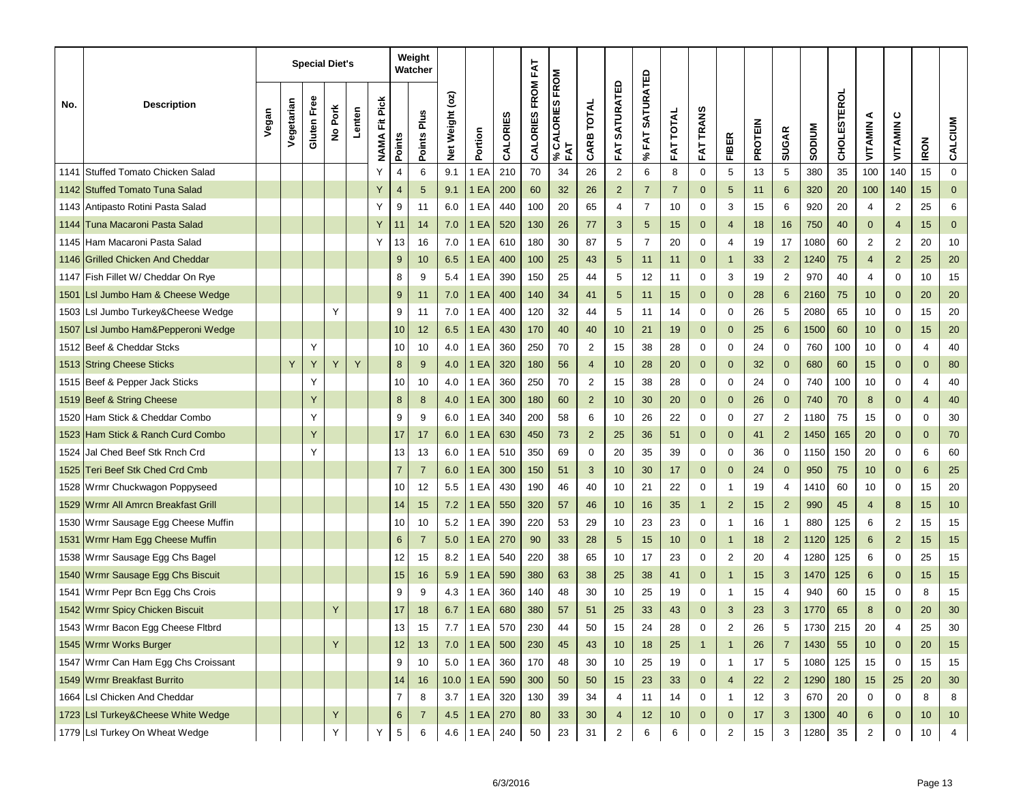|      | <b>Description</b>                  |  |            |             | <b>Special Diet's</b> |        |                          | Weight<br>Watcher |                |                 |             |          |                   | <b>FROM</b>       |                |                          |                                 |                     |                  |                |                |                         |               |                    |                 |                |                |                |
|------|-------------------------------------|--|------------|-------------|-----------------------|--------|--------------------------|-------------------|----------------|-----------------|-------------|----------|-------------------|-------------------|----------------|--------------------------|---------------------------------|---------------------|------------------|----------------|----------------|-------------------------|---------------|--------------------|-----------------|----------------|----------------|----------------|
| No.  |                                     |  | Vegetarian | Gluten Free | No Pork               | Lenten | Pick<br>Ë<br><b>NAMA</b> | Points            | Points Plus    | Net Weight (oz) | Portion     | CALORIES | CALORIES FROM FAT | % CALORIES<br>FAT | CARB TOTAL     | <b>SATURATED</b><br>FAT. | <b>SATURATED</b><br><b>%FAT</b> | <b>TOTAL</b><br>FAT | <b>FAT TRANS</b> | <b>FIBER</b>   | <b>PROTEIN</b> | <b>SUGAR</b>            | <b>NUMGOS</b> | <b>CHOLESTEROL</b> | ⋖<br>VITAMIN    | ပ<br>VITAMIN   | <b>IRON</b>    | CALCIUM        |
| 1141 | Stuffed Tomato Chicken Salad        |  |            |             |                       |        | Υ                        | 4                 | 6              | 9.1             | EA          | 210      | 70                | 34                | 26             | $\overline{2}$           | 6                               | 8                   | 0                | 5              | 13             | 5                       | 380           | 35                 | 100             | 140            | 15             | $\mathbf 0$    |
|      | 1142 Stuffed Tomato Tuna Salad      |  |            |             |                       |        | Y                        | $\overline{4}$    | 5              | 9.1             | EA          | 200      | 60                | 32                | 26             | $\overline{2}$           | $\overline{7}$                  | $\overline{7}$      | $\mathbf{0}$     | 5              | 11             | 6                       | 320           | 20                 | 100             | 140            | 15             | $\mathbf{0}$   |
| 1143 | Antipasto Rotini Pasta Salad        |  |            |             |                       |        | Y                        | 9                 | 11             | 6.0             | 1 EA        | 440      | 100               | 20                | 65             | 4                        | 7                               | 10                  | 0                | 3              | 15             | 6                       | 920           | 20                 | 4               | 2              | 25             | 6              |
| 1144 | Tuna Macaroni Pasta Salad           |  |            |             |                       |        | Y                        | 11                | 14             | 7.0             | 1 EA        | 520      | 130               | 26                | 77             | 3                        | 5                               | 15                  | $\mathbf{0}$     | 4              | 18             | 16                      | 750           | 40                 | $\mathbf 0$     | $\overline{4}$ | 15             | $\mathbf{0}$   |
| 1145 | Ham Macaroni Pasta Salad            |  |            |             |                       |        | Y                        | 13                | 16             | 7.0             | 1 EA        | 610      | 180               | 30                | 87             | 5                        | 7                               | 20                  | 0                | 4              | 19             | 17                      | 1080          | 60                 | 2               | 2              | 20             | 10             |
| 1146 | <b>Grilled Chicken And Cheddar</b>  |  |            |             |                       |        |                          | 9                 | 10             | 6.5             | 1 EA        | 400      | 100               | 25                | 43             | 5                        | 11                              | 11                  | $\mathbf 0$      | $\mathbf{1}$   | 33             | $\overline{2}$          | 1240          | 75                 | 4               | $\overline{c}$ | 25             | 20             |
|      | 1147 Fish Fillet W/ Cheddar On Rye  |  |            |             |                       |        |                          | 8                 | 9              | 5.4             | EA          | 390      | 150               | 25                | 44             | 5                        | 12                              | 11                  | 0                | 3              | 19             | $\overline{\mathbf{c}}$ | 970           | 40                 | 4               | 0              | 10             | 15             |
|      | 1501 Lsl Jumbo Ham & Cheese Wedge   |  |            |             |                       |        |                          | 9                 | 11             | 7.0             | EA          | 400      | 140               | 34                | 41             | 5                        | 11                              | 15                  | $\mathbf 0$      | $\mathbf 0$    | 28             | 6                       | 2160          | 75                 | 10              | $\mathbf 0$    | 20             | 20             |
| 1503 | Lsl Jumbo Turkey&Cheese Wedge       |  |            |             | Υ                     |        |                          | 9                 | 11             | 7.0             | EA          | 400      | 120               | 32                | 44             | 5                        | 11                              | 14                  | 0                | 0              | 26             | 5                       | 2080          | 65                 | 10              | 0              | 15             | 20             |
|      | 1507 Lsl Jumbo Ham&Pepperoni Wedge  |  |            |             |                       |        |                          | 10                | 12             | 6.5             | EA          | 430      | 170               | 40                | 40             | 10                       | 21                              | 19                  | $\mathbf 0$      | $\pmb{0}$      | 25             | 6                       | 1500          | 60                 | 10              | $\mathbf 0$    | 15             | 20             |
|      | 1512 Beef & Cheddar Stcks           |  |            | Υ           |                       |        |                          | 10                | 10             | 4.0             | EA          | 360      | 250               | 70                | $\overline{2}$ | 15                       | 38                              | 28                  | 0                | 0              | 24             | 0                       | 760           | 100                | 10              | 0              | 4              | 40             |
|      | 1513 String Cheese Sticks           |  | Y          | Y           | Y                     | Y      |                          | 8                 | 9              | 4.0             | EA          | 320      | 180               | 56                | $\overline{4}$ | 10                       | 28                              | 20                  | $\mathbf{0}$     | $\mathbf 0$    | 32             | $\mathbf{0}$            | 680           | 60                 | 15              | $\mathbf 0$    | $\overline{0}$ | 80             |
|      | 1515 Beef & Pepper Jack Sticks      |  |            | Υ           |                       |        |                          | 10                | 10             | 4.0             | EA          | 360      | 250               | 70                | $\overline{2}$ | 15                       | 38                              | 28                  | 0                | 0              | 24             | $\mathbf 0$             | 740           | 100                | 10              | 0              | 4              | 40             |
|      | 1519 Beef & String Cheese           |  |            | Y           |                       |        |                          | 8                 | 8              | 4.0             | EA          | 300      | 180               | 60                | $\overline{2}$ | 10                       | 30                              | 20                  | $\mathbf 0$      | $\mathbf 0$    | 26             | $\mathbf{0}$            | 740           | 70                 | 8               | $\mathbf 0$    | $\overline{4}$ | 40             |
|      | 1520 Ham Stick & Cheddar Combo      |  |            | Υ           |                       |        |                          | 9                 | 9              | 6.0             | EA          | 340      | 200               | 58                | 6              | 10                       | 26                              | 22                  | 0                | 0              | 27             | 2                       | 1180          | 75                 | 15              | 0              | $\mathbf 0$    | 30             |
|      | 1523 Ham Stick & Ranch Curd Combo   |  |            | Y           |                       |        |                          | 17                | 17             | 6.0             | EA          | 630      | 450               | 73                | $\overline{2}$ | 25                       | 36                              | 51                  | $\mathbf 0$      | $\mathbf 0$    | 41             | $\overline{2}$          | 1450          | 165                | 20              | $\mathbf 0$    | $\mathbf 0$    | 70             |
| 1524 | Jal Ched Beef Stk Rnch Crd          |  |            | Υ           |                       |        |                          | 13                | 13             | 6.0             | EA          | 510      | 350               | 69                | 0              | 20                       | 35                              | 39                  | 0                | 0              | 36             | 0                       | 1150          | 150                | 20              | 0              | 6              | 60             |
| 1525 | Teri Beef Stk Ched Crd Cmb          |  |            |             |                       |        |                          | $\overline{7}$    | $\overline{7}$ | 6.0             | 1 EA        | 300      | 150               | 51                | 3              | 10                       | 30                              | 17                  | $\mathbf 0$      | $\mathbf 0$    | 24             | $\mathbf 0$             | 950           | 75                 | 10              | $\mathbf 0$    | 6              | 25             |
| 1528 | Wrmr Chuckwagon Poppyseed           |  |            |             |                       |        |                          | 10                | 12             | 5.5             | EA          | 430      | 190               | 46                | 40             | 10                       | 21                              | 22                  | 0                | 1              | 19             | 4                       | 1410          | 60                 | 10              | 0              | 15             | 20             |
| 1529 | Wrmr All Amrcn Breakfast Grill      |  |            |             |                       |        |                          | 14                | 15             | 7.2             | EA          | 550      | 320               | 57                | 46             | 10                       | 16                              | 35                  | $\mathbf 1$      | $\overline{2}$ | 15             | $\overline{2}$          | 990           | 45                 | 4               | 8              | 15             | 10             |
| 1530 | Wrmr Sausage Egg Cheese Muffin      |  |            |             |                       |        |                          | 10                | 10             | 5.2             | EA          | 390      | 220               | 53                | 29             | 10                       | 23                              | 23                  | 0                | 1              | 16             | $\mathbf{1}$            | 880           | 125                | 6               | 2              | 15             | 15             |
| 1531 | Wrmr Ham Egg Cheese Muffin          |  |            |             |                       |        |                          | 6                 | $\overline{7}$ | 5.0             | EA          | 270      | 90                | 33                | 28             | 5                        | 15                              | 10                  | $\mathbf 0$      | -1             | 18             | $\overline{2}$          | 1120          | 125                | 6               | $\overline{2}$ | 15             | 15             |
|      | 1538 Wrmr Sausage Egg Chs Bagel     |  |            |             |                       |        |                          | 12                | 15             | 8.2             | EA          | 540      | 220               | 38                | 65             | 10                       | 17                              | 23                  | 0                | 2              | 20             | 4                       | 1280          | 125                | 6               | 0              | 25             | 15             |
|      | 1540 Wrmr Sausage Egg Chs Biscuit   |  |            |             |                       |        |                          | 15                | 16             | 5.9             | EA          | 590      | 380               | 63                | 38             | 25                       | 38                              | 41                  | $\mathbf 0$      | 1              | 15             | 3                       | 1470          | 125                | 6               | $\mathbf 0$    | 15             | 15             |
|      | 1541 Wrmr Pepr Bcn Egg Chs Crois    |  |            |             |                       |        |                          | 9                 | 9              | 4.3             | EA          | 360      | 140               | 48                | 30             | 10                       | 25                              | 19                  | 0                | 1              | 15             | 4                       | 940           | 60                 | 15              | 0              | 8              | 15             |
|      | 1542 Wrmr Spicy Chicken Biscuit     |  |            |             | Y                     |        |                          | 17                | 18             | 6.7             | EA          | 680      | 380               | 57                | 51             | 25                       | 33                              | 43                  | $\Omega$         | 3              | 23             | 3                       | 1770          | 65                 | 8               | $\mathbf{0}$   | 20             | 30             |
|      | 1543 Wrmr Bacon Egg Cheese Fitbrd   |  |            |             |                       |        |                          | 13                | 15             | $\iota$ .       | 1 EA        | 5/0      | 230               | 44                | 50             | 15                       | 24                              | 28                  | O                | 2              | 26             | b                       | 1730          | 215                | 20              |                | 25             | 30             |
|      | 1545 Wrmr Works Burger              |  |            |             | Υ                     |        |                          | 12                | 13             | 7.0             | 1EA         | 500      | 230               | 45                | 43             | 10                       | 18                              | 25                  | $\mathbf{1}$     | -1             | 26             | $\overline{7}$          | 1430          | 55                 | 10              | $\mathbf 0$    | 20             | 15             |
|      | 1547 Wrmr Can Ham Egg Chs Croissant |  |            |             |                       |        |                          | 9                 | 10             | 5.0             | 1 EA        | 360      | 170               | 48                | 30             | 10                       | 25                              | 19                  | $\mathbf 0$      | 1              | 17             | 5                       | 1080          | 125                | 15              | $\mathbf 0$    | 15             | 15             |
|      | 1549 Wrmr Breakfast Burrito         |  |            |             |                       |        |                          | 14                | 16             |                 | $10.0$ 1 EA | 590      | 300               | 50                | 50             | 15                       | 23                              | 33                  | $\mathbf 0$      | $\overline{4}$ | 22             | $2^{\circ}$             | 1290 180      |                    | 15 <sub>2</sub> | 25             | 20             | 30             |
|      | 1664 Lsl Chicken And Cheddar        |  |            |             |                       |        |                          | 7                 | 8              | 3.7             | 1 EA        | 320      | 130               | 39                | 34             | 4                        | 11                              | 14                  | 0                | 1              | 12             | 3                       | 670           | 20                 | 0               | $\mathbf 0$    | 8              | 8              |
|      | 1723 LsI Turkey&Cheese White Wedge  |  |            |             |                       |        |                          | 6                 | $\overline{7}$ | 4.5             | 1EA         | 270      | 80                | 33                | 30             | 4                        | 12                              | 10 <sub>1</sub>     | 0                | $\mathbf 0$    | 17             | 3                       | 1300          | 40                 | 6               | $\mathbf 0$    | 10             | 10             |
|      | 1779 Lsl Turkey On Wheat Wedge      |  |            |             | Υ                     |        | Υ                        | $\,$ 5 $\,$       | 6              | 4.6             | 1 EA        | 240      | 50                | 23                | 31             | $\overline{2}$           | 6                               | 6                   | $\mathbf 0$      | 2              | 15             | 3                       | 1280          | 35                 | $\overline{2}$  | 0              | 10             | $\overline{4}$ |